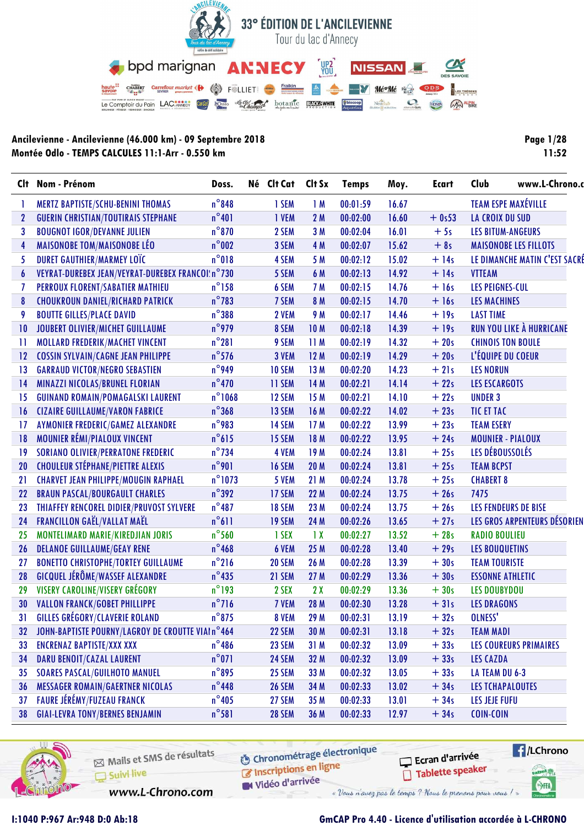

| <b>Page 1/28</b> |       |
|------------------|-------|
|                  | 11:52 |

|                  | Clt Nom - Prénom                                  | Doss.            | Né Clt Cat    | Clt Sx          | <b>Temps</b> | Moy.  | Ecart   | Club                     | www.L-Chrono.c                |
|------------------|---------------------------------------------------|------------------|---------------|-----------------|--------------|-------|---------|--------------------------|-------------------------------|
|                  | MERTZ BAPTISTE/SCHU-BENINI THOMAS                 | $n^{\circ}848$   | 1 SEM         | 1M              | 00:01:59     | 16.67 |         |                          | <b>TEAM ESPE MAXÉVILLE</b>    |
| $\mathbf{2}$     | <b>GUERIN CHRISTIAN/TOUTIRAIS STEPHANE</b>        | $n^{\circ}401$   | 1 VEM         | 2M              | 00:02:00     | 16.60 | $+0s53$ | <b>LA CROIX DU SUD</b>   |                               |
| 3                | <b>BOUGNOT IGOR/DEVANNE JULIEN</b>                | $n^{\circ}$ 870  | 2 SEM         | 3M              | 00:02:04     | 16.01 | $+5s$   | <b>LES BITUM-ANGEURS</b> |                               |
| $\overline{4}$   | <b>MAISONOBE TOM/MAISONOBE LÉO</b>                | $n^{\circ}$ 002  | 3 SEM         | 4 M             | 00:02:07     | 15.62 | $+8s$   |                          | <b>MAISONOBE LES FILLOTS</b>  |
| 5                | <b>DURET GAUTHIER/MARMEY LOTC</b>                 | $n^{\circ}018$   | 4 SEM         | 5 M             | 00:02:12     | 15.02 | $+14s$  |                          | LE DIMANCHE MATIN C'EST SACRÉ |
| $\boldsymbol{6}$ | VEYRAT-DUREBEX JEAN/VEYRAT-DUREBEX FRANCOI:n°730  |                  | 5 SEM         | 6 M             | 00:02:13     | 14.92 | $+14s$  | <b>VTTEAM</b>            |                               |
| $\overline{1}$   | PERROUX FLORENT/SABATIER MATHIEU                  | $n^{\circ}$ 158  | 6 SEM         | 7 M             | 00:02:15     | 14.76 | $+16s$  | <b>LES PEIGNES-CUL</b>   |                               |
| 8                | <b>CHOUKROUN DANIEL/RICHARD PATRICK</b>           | $n^{\circ}$ 783  | 7 SEM         | 8 M             | 00:02:15     | 14.70 | $+16s$  | <b>LES MACHINES</b>      |                               |
| 9                | <b>BOUTTE GILLES/PLACE DAVID</b>                  | $n^{\circ}$ 388  | 2 VEM         | 9 M             | 00:02:17     | 14.46 | $+19s$  | <b>LAST TIME</b>         |                               |
| 10               | JOUBERT OLIVIER/MICHET GUILLAUME                  | $n^{\circ}$ 979  | 8 SEM         | <b>10M</b>      | 00:02:18     | 14.39 | $+19s$  |                          | RUN YOU LIKE À HURRICANE      |
| 11               | MOLLARD FREDERIK/MACHET VINCENT                   | $n^{\circ}281$   | 9 SEM         | 11 M            | 00:02:19     | 14.32 | $+20s$  | <b>CHINOIS TON BOULE</b> |                               |
| 12               | <b>COSSIN SYLVAIN/CAGNE JEAN PHILIPPE</b>         | $n^{\circ}$ 576  | 3 VEM         | 12M             | 00:02:19     | 14.29 | $+20s$  | L'ÉQUIPE DU COEUR        |                               |
| 13               | <b>GARRAUD VICTOR/NEGRO SEBASTIEN</b>             | $n^{\circ}$ 949  | <b>10 SEM</b> | 13 M            | 00:02:20     | 14.23 | $+21s$  | <b>LES NORUN</b>         |                               |
| 14               | MINAZZI NICOLAS/BRUNEL FLORIAN                    | $n^{\circ}$ 470  | 11 SEM        | 14 M            | 00:02:21     | 14.14 | $+22s$  | <b>LES ESCARGOTS</b>     |                               |
| 15               | <b>GUINAND ROMAIN/POMAGALSKI LAURENT</b>          | $n^{\circ}$ 1068 | 12 SEM        | 15 M            | 00:02:21     | 14.10 | $+22s$  | <b>UNDER 3</b>           |                               |
| 16               | <b>CIZAIRE GUILLAUME/VARON FABRICE</b>            | $n^{\circ}368$   | 13 SEM        | 16 M            | 00:02:22     | 14.02 | $+23s$  | <b>TIC ET TAC</b>        |                               |
| 17               | AYMONIER FREDERIC/GAMEZ ALEXANDRE                 | $n^{\circ}$ 983  | 14 SEM        | 17 M            | 00:02:22     | 13.99 | $+23s$  | <b>TEAM ESERY</b>        |                               |
| 18               | MOUNIER RÉMI/PIALOUX VINCENT                      | $n^{\circ}615$   | 15 SEM        | 18 M            | 00:02:22     | 13.95 | $+24s$  | <b>MOUNIER - PIALOUX</b> |                               |
| 19               | <b>SORIANO OLIVIER/PERRATONE FREDERIC</b>         | $n^{\circ}$ 734  | 4 VEM         | 19 M            | 00:02:24     | 13.81 | $+25s$  | LES DÉBOUSSOLÉS          |                               |
| 20               | <b>CHOULEUR STÉPHANE/PIETTRE ALEXIS</b>           | $n^{\circ}$ 901  | <b>16 SEM</b> | 20 M            | 00:02:24     | 13.81 | $+25s$  | <b>TEAM BCPST</b>        |                               |
| 21               | <b>CHARVET JEAN PHILIPPE/MOUGIN RAPHAEL</b>       | $n^{\circ}$ 1073 | 5 VEM         | 21 M            | 00:02:24     | 13.78 | $+25s$  | <b>CHABERT 8</b>         |                               |
| 22               | <b>BRAUN PASCAL/BOURGAULT CHARLES</b>             | $n^{\circ}$ 392  | 17 SEM        | 22 M            | 00:02:24     | 13.75 | $+26s$  | 7475                     |                               |
| 23               | THIAFFEY RENCOREL DIDIER/PRUVOST SYLVERE          | $n^{\circ}487$   | <b>18 SEM</b> | 23 M            | 00:02:24     | 13.75 | $+26s$  |                          | LES FENDEURS DE BISE          |
| 24               | <b>FRANCILLON GAËL/VALLAT MAËL</b>                | $n^{\circ}611$   | 19 SEM        | 24 M            | 00:02:26     | 13.65 | $+27s$  |                          | LES GROS ARPENTEURS DÉSORIEN  |
| 25               | MONTELIMARD MARIE/KIREDJIAN JORIS                 | $n^{\circ}$ 560  | 1 SEX         | $\overline{1}x$ | 00:02:27     | 13.52 | $+28s$  | <b>RADIO BOULIEU</b>     |                               |
| 26               | <b>DELANOE GUILLAUME/GEAY RENE</b>                | $n^{\circ}$ 468  | 6 VEM         | 25 M            | 00:02:28     | 13.40 | $+29s$  | <b>LES BOUQUETINS</b>    |                               |
| 27               | <b>BONETTO CHRISTOPHE/TORTEY GUILLAUME</b>        | $n^{\circ}$ 216  | 20 SEM        | 26 M            | 00:02:28     | 13.39 | $+30s$  | <b>TEAM TOURISTE</b>     |                               |
| 28               | GICQUEL JÉRÔME/WASSEF ALEXANDRE                   | $n^{\circ}$ 435  | 21 SEM        | 27 M            | 00:02:29     | 13.36 | $+30s$  | <b>ESSONNE ATHLETIC</b>  |                               |
| 29               | VISERY CAROLINE/VISERY GRÉGORY                    | $n^{\circ}$ 193  | 2 SEX         | 2X              | 00:02:29     | 13.36 | $+30s$  | <b>LES DOUBYDOU</b>      |                               |
| 30               | <b>VALLON FRANCK/GOBET PHILLIPPE</b>              | $n^{\circ}$ 716  | 7 VEM         | 28 M            | 00:02:30     | 13.28 | $+31s$  | <b>LES DRAGONS</b>       |                               |
| 31               | <b>GILLES GRÉGORY/CLAVERIE ROLAND</b>             | $n^{\circ}$ 875  | 8 VEM         | 29 M            | 00:02:31     | 13.19 | $+32s$  | OLNESS'                  |                               |
| 32               | JOHN-BAPTISTE POURNY/LAGROY DE CROUTTE VIAI n°464 |                  | 22 SEM        | 30 M            | 00:02:31     | 13.18 | $+32s$  | <b>TEAM MADI</b>         |                               |
| 33               | <b>ENCRENAZ BAPTISTE/XXX XXX</b>                  | $n^{\circ}$ 486  | 23 SEM        | 31 M            | 00:02:32     | 13.09 | $+33s$  |                          | LES COUREURS PRIMAIRES        |
| 34               | DARU BENOIT/CAZAL LAURENT                         | $n^{\circ}071$   | 24 SEM        | 32 M            | 00:02:32     | 13.09 | $+33s$  | <b>LES CAZDA</b>         |                               |
| 35               | <b>SOARES PASCAL/GUILHOTO MANUEL</b>              | $n^{\circ}$ 895  | <b>25 SEM</b> | 33 M            | 00:02:32     | 13.05 | $+33s$  | LA TEAM DU 6-3           |                               |
| 36               | <b>MESSAGER ROMAIN/GAERTNER NICOLAS</b>           | $n^{\circ}$ 448  | <b>26 SEM</b> | 34 M            | 00:02:33     | 13.02 | $+34s$  | LES TCHAPALOUTES         |                               |
| 37               | <b>FAURE JÉRÉMY/FUZEAU FRANCK</b>                 | $n^{\circ}$ 405  | 27 SEM        | 35 M            | 00:02:33     | 13.01 | $+34s$  | <b>LES JEJE FUFU</b>     |                               |
| 38               | <b>GIAI-LEVRA TONY/BERNES BENJAMIN</b>            | $n^{\circ}581$   | <b>28 SEM</b> | 36 M            | 00:02:33     | 12.97 | $+34s$  | COIN-COIN                |                               |



Mails et SMS de résultats Suivi live

www.L-Chrono.com

**6** Chronométrage électronique is the conditions on ligne

W Vidéo d'arrivée

Ecran d'arrivée Tablette speaker



**I:1040 P:967 Ar:948 D:0 Ab:18 GmCAP Pro 4.40 - Licence d'utilisation accordée à L-CHRONO**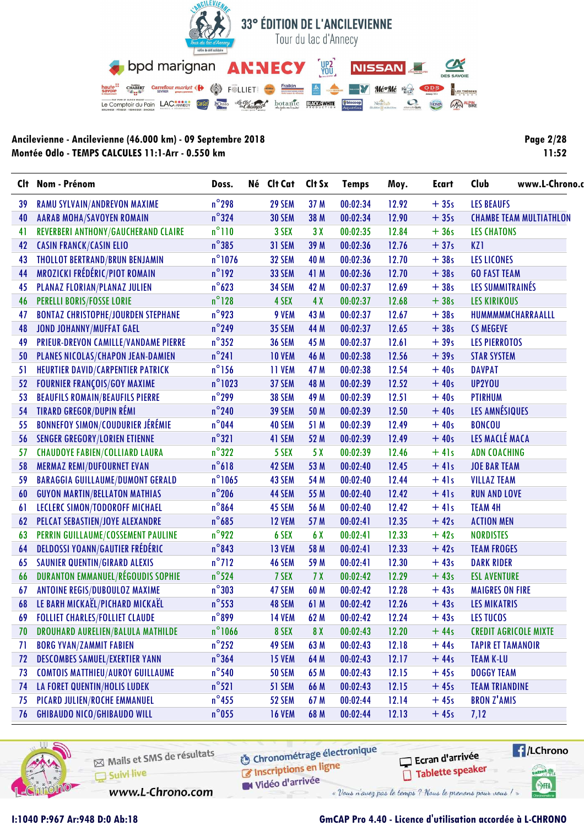

**Page 2/28**  $11:52$ 

|    | Clt Nom - Prénom                          | Doss.            | Né Clt Cat Clt Sx |      | <b>Temps</b> | Moy.  | <b>Ecart</b> | Club                           | www.L-Chrono. |
|----|-------------------------------------------|------------------|-------------------|------|--------------|-------|--------------|--------------------------------|---------------|
| 39 | RAMU SYLVAIN/ANDREVON MAXIME              | $n^{\circ}$ 298  | 29 SEM            | 37 M | 00:02:34     | 12.92 | $+35s$       | <b>LES BEAUFS</b>              |               |
| 40 | <b>AARAB MOHA/SAVOYEN ROMAIN</b>          | $n^{\circ}324$   | <b>30 SEM</b>     | 38 M | 00:02:34     | 12.90 | $+35s$       | <b>CHAMBE TEAM MULTIATHLON</b> |               |
| 41 | REVERBERI ANTHONY/GAUCHERAND CLAIRE       | $n^{\circ}110$   | 3 SEX             | 3X   | 00:02:35     | 12.84 | $+36s$       | <b>LES CHATONS</b>             |               |
| 42 | <b>CASIN FRANCK/CASIN ELIO</b>            | $n^{\circ}385$   | 31 SEM            | 39 M | 00:02:36     | 12.76 | $+37s$       | KZ1                            |               |
| 43 | THOLLOT BERTRAND/BRUN BENJAMIN            | $n^{\circ}$ 1076 | <b>32 SEM</b>     | 40 M | 00:02:36     | 12.70 | $+38s$       | <b>LES LICONES</b>             |               |
| 44 | MROZICKI FRÉDÉRIC/PIOT ROMAIN             | $n^{\circ}$ 192  | 33 SEM            | 41 M | 00:02:36     | 12.70 | $+38s$       | <b>GO FAST TEAM</b>            |               |
| 45 | PLANAZ FLORIAN/PLANAZ JULIEN              | $n^{\circ}$ 623  | <b>34 SEM</b>     | 42 M | 00:02:37     | 12.69 | $+38s$       | LES SUMMITRAINÉS               |               |
| 46 | <b>PERELLI BORIS/FOSSE LORIE</b>          | $n^{\circ}$ 128  | 4 SEX             | 4X   | 00:02:37     | 12.68 | $+38s$       | <b>LES KIRIKOUS</b>            |               |
| 47 | <b>BONTAZ CHRISTOPHE/JOURDEN STEPHANE</b> | $n^{\circ}$ 923  | 9 VEM             | 43 M | 00:02:37     | 12.67 | $+38s$       | HUMMMMMCHARRAALLL              |               |
| 48 | <b>JOND JOHANNY/MUFFAT GAEL</b>           | $n^{\circ}$ 249  | <b>35 SEM</b>     | 44 M | 00:02:37     | 12.65 | $+38s$       | <b>CS MEGEVE</b>               |               |
| 49 | PRIEUR-DREVON CAMILLE/VANDAME PIERRE      | $n^{\circ}352$   | <b>36 SEM</b>     | 45 M | 00:02:37     | 12.61 | $+39s$       | <b>LES PIERROTOS</b>           |               |
| 50 | PLANES NICOLAS/CHAPON JEAN-DAMIEN         | $n^{\circ}241$   | <b>10 VEM</b>     | 46 M | 00:02:38     | 12.56 | $+39s$       | <b>STAR SYSTEM</b>             |               |
| 51 | HEURTIER DAVID/CARPENTIER PATRICK         | $n^{\circ}$ 156  | 11 VEM            | 47 M | 00:02:38     | 12.54 | $+40s$       | <b>DAVPAT</b>                  |               |
| 52 | <b>FOURNIER FRANÇOIS/GOY MAXIME</b>       | $n^{\circ}$ 1023 | 37 SEM            | 48 M | 00:02:39     | 12.52 | $+40s$       | UP2YOU                         |               |
| 53 | <b>BEAUFILS ROMAIN/BEAUFILS PIERRE</b>    | $n^{\circ}$ 299  | <b>38 SEM</b>     | 49 M | 00:02:39     | 12.51 | $+40s$       | <b>PTIRHUM</b>                 |               |
| 54 | <b>TIRARD GREGOR/DUPIN RÉMI</b>           | $n^{\circ}$ 240  | <b>39 SEM</b>     | 50 M | 00:02:39     | 12.50 | $+40s$       | LES AMNÉSIQUES                 |               |
| 55 | <b>BONNEFOY SIMON/COUDURIER JÉRÉMIE</b>   | $n^{\circ}$ 044  | 40 SEM            | 51 M | 00:02:39     | 12.49 | $+40s$       | <b>BONCOU</b>                  |               |
| 56 | <b>SENGER GREGORY/LORIEN ETIENNE</b>      | $n^{\circ}321$   | 41 SEM            | 52 M | 00:02:39     | 12.49 | $+40s$       | LES MACLÉ MACA                 |               |
| 57 | <b>CHAUDOYE FABIEN/COLLIARD LAURA</b>     | $n^{\circ}322$   | 5 SEX             | 5X   | 00:02:39     | 12.46 | $+41s$       | <b>ADN COACHING</b>            |               |
| 58 | <b>MERMAZ REMI/DUFOURNET EVAN</b>         | $n^{\circ}618$   | 42 SEM            | 53 M | 00:02:40     | 12.45 | $+41s$       | <b>JOE BAR TEAM</b>            |               |
| 59 | <b>BARAGGIA GUILLAUME/DUMONT GERALD</b>   | $n^{\circ}$ 1065 | 43 SEM            | 54 M | 00:02:40     | 12.44 | $+41s$       | <b>VILLAZ TEAM</b>             |               |
| 60 | <b>GUYON MARTIN/BELLATON MATHIAS</b>      | $n^{\circ}$ 206  | 44 SEM            | 55 M | 00:02:40     | 12.42 | $+41s$       | <b>RUN AND LOVE</b>            |               |
| 61 | LECLERC SIMON/TODOROFF MICHAEL            | $n^{\circ}864$   | 45 SEM            | 56 M | 00:02:40     | 12.42 | $+41s$       | <b>TEAM 4H</b>                 |               |
| 62 | PELCAT SEBASTIEN/JOYE ALEXANDRE           | $n^{\circ}$ 685  | <b>12 VEM</b>     | 57 M | 00:02:41     | 12.35 | $+42s$       | <b>ACTION MEN</b>              |               |
| 63 | PERRIN GUILLAUME/COSSEMENT PAULINE        | $n^{\circ}$ 922  | 6 SEX             | 6 X  | 00:02:41     | 12.33 | $+42s$       | <b>NORDISTES</b>               |               |
| 64 | <b>DELDOSSI YOANN/GAUTIER FRÉDÉRIC</b>    | $n^{\circ}843$   | 13 VEM            | 58 M | 00:02:41     | 12.33 | $+42s$       | <b>TEAM FROGES</b>             |               |
| 65 | <b>SAUNIER QUENTIN/GIRARD ALEXIS</b>      | $n^{\circ}$ 712  | 46 SEM            | 59 M | 00:02:41     | 12.30 | $+43s$       | <b>DARK RIDER</b>              |               |
| 66 | <b>DURANTON EMMANUEL/RÉGOUDIS SOPHIE</b>  | $n^{\circ}$ 524  | 7 SEX             | 7X   | 00:02:42     | 12.29 | $+43s$       | <b>ESL AVENTURE</b>            |               |
| 67 | <b>ANTOINE REGIS/DUBOULOZ MAXIME</b>      | $n^{\circ}303$   | 47 SEM            | 60 M | 00:02:42     | 12.28 | $+43s$       | <b>MAIGRES ON FIRE</b>         |               |
| 68 | LE BARH MICKAËL/PICHARD MICKAËL           | $n^{\circ}$ 553  | 48 SEM            | 61 M | 00:02:42     | 12.26 | $+43s$       | <b>LES MIKATRIS</b>            |               |
| 69 | <b>FOLLIET CHARLES/FOLLIET CLAUDE</b>     | $n^{\circ}$ 899  | <b>14 VEM</b>     | 62 M | 00:02:42     | 12.24 | $+43s$       | <b>LES TUCOS</b>               |               |
| 70 | DROUHARD AURELIEN/BALULA MATHILDE         | $n^{\circ}1066$  | 8 SEX             | 8X   | 00:02:43     | 12.20 | $+44s$       | <b>CREDIT AGRICOLE MIXTE</b>   |               |
| 71 | <b>BORG YVAN/ZAMMIT FABIEN</b>            | $n^{\circ}$ 252  | 49 SEM            | 63 M | 00:02:43     | 12.18 | $+44s$       | <b>TAPIR ET TAMANOIR</b>       |               |
| 72 | <b>DESCOMBES SAMUEL/EXERTIER YANN</b>     | $n^{\circ}$ 364  | <b>15 VEM</b>     | 64 M | 00:02:43     | 12.17 | $+44s$       | <b>TEAM K-LU</b>               |               |
| 73 | <b>COMTOIS MATTHIEU/AUROY GUILLAUME</b>   | $n^{\circ}$ 540  | <b>50 SEM</b>     | 65 M | 00:02:43     | 12.15 | $+45s$       | <b>DOGGY TEAM</b>              |               |
| 74 | LA FORET QUENTIN/HOLIS LUDEK              | $n^{\circ}521$   | 51 SEM            | 66 M | 00:02:43     | 12.15 | $+45s$       | <b>TEAM TRIANDINE</b>          |               |
| 75 | PICARD JULIEN/ROCHE EMMANUEL              | $n^{\circ}$ 455  | 52 SEM            | 67 M | 00:02:44     | 12.14 | $+45s$       | <b>BRON Z'AMIS</b>             |               |
| 76 | <b>GHIBAUDO NICO/GHIBAUDO WILL</b>        | $n^{\circ}$ 055  | <b>16 VEM</b>     | 68 M | 00:02:44     | 12.13 | $+45s$       | 7,12                           |               |



Mails et SMS de résultats Suivi live

www.L-Chrono.com

**6** Chronométrage électronique Inscriptions en ligne

Vidéo d'arrivée

Ecran d'arrivée Tablette speaker



I:1040 P:967 Ar:948 D:0 Ab:18

# GmCAP Pro 4.40 - Licence d'utilisation accordée à L-CHRONO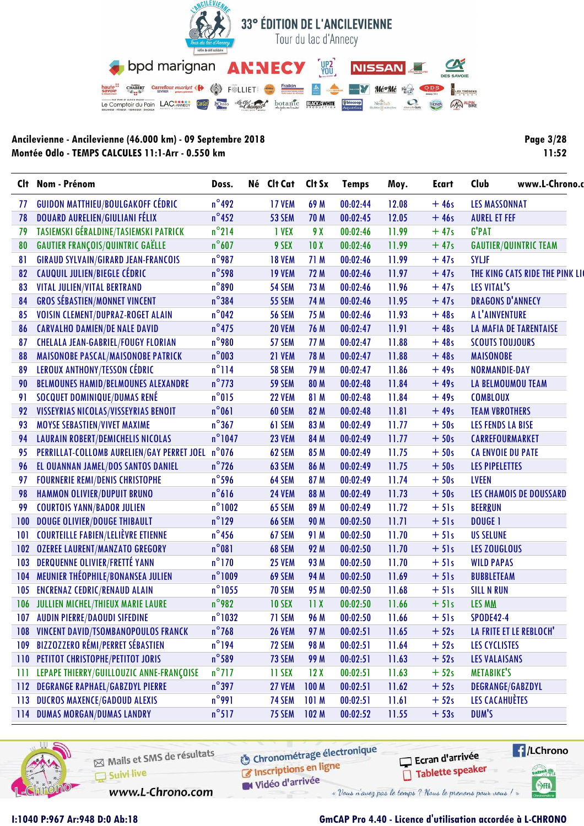

| <b>Page 3/28</b> |       |
|------------------|-------|
|                  | 11:52 |

| Clt | Nom - Prénom                                     | Doss.            | Né | Clt Cat       | Clt Sx           | <b>Temps</b> | Moy.  | Ecart  | Club                     | www.L-Chrono.c                  |
|-----|--------------------------------------------------|------------------|----|---------------|------------------|--------------|-------|--------|--------------------------|---------------------------------|
| 77  | <b>GUIDON MATTHIEU/BOULGAKOFF CÉDRIC</b>         | $n^{\circ}$ 492  |    | <b>17 VEM</b> | 69 M             | 00:02:44     | 12.08 | $+46s$ | <b>LES MASSONNAT</b>     |                                 |
| 78  | DOUARD AURELIEN/GIULIANI FÉLIX                   | $n^{\circ}$ 452  |    | <b>53 SEM</b> | 70 M             | 00:02:45     | 12.05 | $+46s$ | <b>AUREL ET FEF</b>      |                                 |
| 79  | TASIEMSKI GÉRALDINE/TASIEMSKI PATRICK            | $n^{\circ}$ 214  |    | <b>I VEX</b>  | 9 X              | 00:02:46     | 11.99 | $+47s$ | <b>G'PAT</b>             |                                 |
| 80  | <b>GAUTIER FRANÇOIS/QUINTRIC GAËLLE</b>          | $n^{\circ}607$   |    | 9 SEX         | 10X              | 00:02:46     | 11.99 | $+47s$ |                          | <b>GAUTIER/QUINTRIC TEAM</b>    |
| 81  | <b>GIRAUD SYLVAIN/GIRARD JEAN-FRANCOIS</b>       | $n^{\circ}$ 987  |    | <b>18 VEM</b> | 71 M             | 00:02:46     | 11.99 | $+47s$ | <b>SYLJF</b>             |                                 |
| 82  | CAUQUIL JULIEN/BIEGLE CÉDRIC                     | $n^{\circ}$ 598  |    | <b>19 VEM</b> | 72 M             | 00:02:46     | 11.97 | $+47s$ |                          | THE KING CATS RIDE THE PINK LIC |
| 83  | VITAL JULIEN/VITAL BERTRAND                      | $n^{\circ}890$   |    | <b>54 SEM</b> | 73 M             | 00:02:46     | 11.96 | $+47s$ | LES VITAL'S              |                                 |
| 84  | <b>GROS SÉBASTIEN/MONNET VINCENT</b>             | $n^{\circ}384$   |    | <b>55 SEM</b> | 74 M             | 00:02:46     | 11.95 | $+47s$ | <b>DRAGONS D'ANNECY</b>  |                                 |
| 85  | VOISIN CLEMENT/DUPRAZ-ROGET ALAIN                | $n^{\circ}$ 042  |    | <b>56 SEM</b> | 75 M             | 00:02:46     | 11.93 | $+48s$ | A L'AINVENTURE           |                                 |
| 86  | <b>CARVALHO DAMIEN/DE NALE DAVID</b>             | $n^{\circ}$ 475  |    | <b>20 VEM</b> | 76 M             | 00:02:47     | 11.91 | $+48s$ |                          | <b>LA MAFIA DE TARENTAISE</b>   |
| 87  | <b>CHELALA JEAN-GABRIEL/FOUGY FLORIAN</b>        | $n^{\circ}$ 980  |    | 57 SEM        | 77 M             | 00:02:47     | 11.88 | $+48s$ | <b>SCOUTS TOUJOURS</b>   |                                 |
| 88  | MAISONOBE PASCAL/MAISONOBE PATRICK               | $n^{\circ}$ 003  |    | 21 VEM        | 78 M             | 00:02:47     | 11.88 | $+48s$ | <b>MAISONOBE</b>         |                                 |
| 89  | <b>LEROUX ANTHONY/TESSON CÉDRIC</b>              | $n^{\circ}$ 114  |    | <b>58 SEM</b> | 79 M             | 00:02:47     | 11.86 | $+49s$ | <b>NORMANDIE-DAY</b>     |                                 |
| 90  | <b>BELMOUNES HAMID/BELMOUNES ALEXANDRE</b>       | $n^{\circ}$ 773  |    | <b>59 SEM</b> | 80 M             | 00:02:48     | 11.84 | $+49s$ | LA BELMOUMOU TEAM        |                                 |
| 91  | SOCQUET DOMINIQUE/DUMAS RENÉ                     | $n^{\circ}015$   |    | <b>22 VEM</b> | 81 M             | 00:02:48     | 11.84 | $+49s$ | <b>COMBLOUX</b>          |                                 |
| 92  | VISSEYRIAS NICOLAS/VISSEYRIAS BENOIT             | $n^{\circ}061$   |    | 60 SEM        | 82 M             | 00:02:48     | 11.81 | $+49s$ | <b>TEAM VBROTHERS</b>    |                                 |
| 93  | MOYSE SEBASTIEN/VIVET MAXIME                     | $n^{\circ}367$   |    | 61 SEM        | 83 M             | 00:02:49     | 11.77 | $+50s$ | <b>LES FENDS LA BISE</b> |                                 |
| 94  | <b>LAURAIN ROBERT/DEMICHELIS NICOLAS</b>         | $n^{\circ}$ 1047 |    | <b>23 VEM</b> | 84 M             | 00:02:49     | 11.77 | $+50s$ | CARREFOURMARKET          |                                 |
| 95  | PERRILLAT-COLLOMB AURELIEN/GAY PERRET JOEL n°076 |                  |    | 62 SEM        | 85 M             | 00:02:49     | 11.75 | $+50s$ | <b>CA ENVOIE DU PATE</b> |                                 |
| 96  | EL OUANNAN JAMEL/DOS SANTOS DANIEL               | $n^{\circ}$ 726  |    | 63 SEM        | 86 M             | 00:02:49     | 11.75 | $+50s$ | <b>LES PIPELETTES</b>    |                                 |
| 97  | <b>FOURNERIE REMI/DENIS CHRISTOPHE</b>           | $n^{\circ}$ 596  |    | 64 SEM        | 87 M             | 00:02:49     | 11.74 | $+50s$ | <b>LVEEN</b>             |                                 |
| 98  | <b>HAMMON OLIVIER/DUPUIT BRUNO</b>               | $n^{\circ}616$   |    | <b>24 VEM</b> | 88 M             | 00:02:49     | 11.73 | $+50s$ |                          | <b>LES CHAMOIS DE DOUSSARD</b>  |
| 99  | <b>COURTOIS YANN/BADOR JULIEN</b>                | $n^{\circ}$ 1002 |    | 65 SEM        | 89 M             | 00:02:49     | 11.72 | $+51s$ | <b>BEERRUN</b>           |                                 |
| 100 | <b>DOUGE OLIVIER/DOUGE THIBAULT</b>              | $n^{\circ}$ 129  |    | <b>66 SEM</b> | 90 M             | 00:02:50     | 11.71 | $+51s$ | <b>DOUGE 1</b>           |                                 |
| 101 | <b>COURTEILLE FABIEN/LELIÈVRE ETIENNE</b>        | $n^{\circ}$ 456  |    | 67 SEM        | 91 M             | 00:02:50     | 11.70 | $+51s$ | <b>US SELUNE</b>         |                                 |
| 102 | <b>OZEREE LAURENT/MANZATO GREGORY</b>            | $n^{\circ}081$   |    | 68 SEM        | 92 M             | 00:02:50     | 11.70 | $+51s$ | LES ZOUGLOUS             |                                 |
| 103 | <b>DERQUENNE OLIVIER/FRETTÉ YANN</b>             | $n^{\circ}$ 170  |    | <b>25 VEM</b> | 93 M             | 00:02:50     | 11.70 | $+51s$ | <b>WILD PAPAS</b>        |                                 |
| 104 | MEUNIER THÉOPHILE/BONANSEA JULIEN                | $n^{\circ}$ 1009 |    | 69 SEM        | 94 M             | 00:02:50     | 11.69 | $+51s$ | <b>BUBBLETEAM</b>        |                                 |
| 105 | <b>ENCRENAZ CEDRIC/RENAUD ALAIN</b>              | $n^{\circ}$ 1055 |    | <b>70 SEM</b> | 95 M             | 00:02:50     | 11.68 | $+51s$ | <b>SILL N RUN</b>        |                                 |
| 106 | JULLIEN MICHEL/THIEUX MARIE LAURE                | $n^{\circ}$ 982  |    | <b>10 SEX</b> | 11X              | 00:02:50     | 11.66 | $+51s$ | <b>LES MM</b>            |                                 |
| 107 | <b>AUDIN PIERRE/DAOUDI SIFEDINE</b>              | $n^{\circ}$ 1032 |    | 71 SEM        | 96 M             | 00:02:50     | 11.66 | $+51s$ | <b>SPODE42-4</b>         |                                 |
| 108 | VINCENT DAVID/TSOMBANOPOULOS FRANCK              | $n^{\circ}768$   |    | <b>26 VEM</b> | 97 M             | 00:02:51     | 11.65 | $+52s$ | LA FRITE ET LE REBLOCH'  |                                 |
| 109 | <b>BIZZOZZERO RÉMI/PERRET SÉBASTIEN</b>          | $n^{\circ}$ 194  |    | 72 SEM        | 98 M             | 00:02:51     | 11.64 | $+52s$ | LES CYCLISTES            |                                 |
| 110 | PETITOT CHRISTOPHE/PETITOT JORIS                 | $n^{\circ}$ 589  |    | 73 SEM        | 99 M             | 00:02:51     | 11.63 | $+52s$ | <b>LES VALAISANS</b>     |                                 |
| 111 | LEPAPE THIERRY/GUILLOUZIC ANNE-FRANÇOISE         | $n^{\circ}$ 717  |    | 11 SEX        | 12X              | 00:02:51     | 11.63 | $+52s$ | <b>METABIKE'S</b>        |                                 |
| 112 | <b>DEGRANGE RAPHAEL/GABZDYL PIERRE</b>           | $n^{\circ}397$   |    | <b>27 VEM</b> | 100 <sub>M</sub> | 00:02:51     | 11.62 | $+52s$ | DEGRANGE/GABZDYL         |                                 |
| 113 | <b>DUCROS MAXENCE/GADOUD ALEXIS</b>              | $n^{\circ}$ 991  |    | <b>74 SEM</b> | 101M             | 00:02:51     | 11.61 | $+52s$ | LES CACAHUÈTES           |                                 |
| 114 | <b>DUMAS MORGAN/DUMAS LANDRY</b>                 | $n^{\circ}$ 517  |    | <b>75 SEM</b> | 102 <sub>M</sub> | 00:02:52     | 11.55 | $+53s$ | DUM'S                    |                                 |



Mails et SMS de résultats Suivi live

**6** Chronométrage électronique is the conditions on ligne

Ecran d'arrivée Tablette speaker



SHA

www.L-Chrono.com

W Vidéo d'arrivée « Vous n'avez pas le temps ? Nous le prenons pour vous !

### **I:1040 P:967 Ar:948 D:0 Ab:18 GmCAP Pro 4.40 - Licence d'utilisation accordée à L-CHRONO**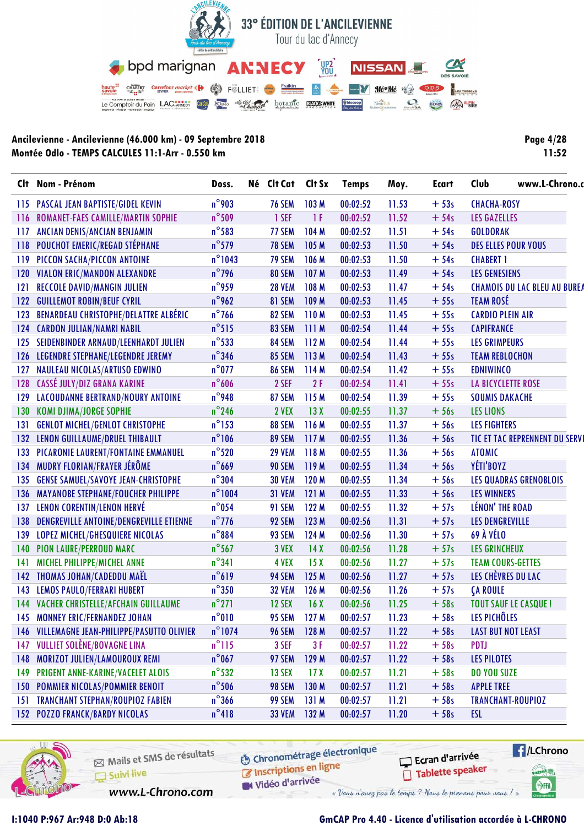

| Page 4/28 |       |  |
|-----------|-------|--|
|           | 11:52 |  |

|     | Clt Nom - Prénom                             | Doss.            | Né Clt Cat    | Clt Sx           | <b>Temps</b> | Moy.  | Ecart  | Club                    | www.L-Chrono.c                      |
|-----|----------------------------------------------|------------------|---------------|------------------|--------------|-------|--------|-------------------------|-------------------------------------|
|     | 115 PASCAL JEAN BAPTISTE/GIDEL KEVIN         | $n^{\circ}$ 903  | <b>76 SEM</b> | 103M             | 00:02:52     | 11.53 | $+53s$ | <b>CHACHA-ROSY</b>      |                                     |
|     | 116 ROMANET-FAES CAMILLE/MARTIN SOPHIE       | $n^{\circ}$ 509  | 1 SEF         | 1F               | 00:02:52     | 11.52 | $+54s$ | <b>LES GAZELLES</b>     |                                     |
| 117 | <b>ANCIAN DENIS/ANCIAN BENJAMIN</b>          | $n^{\circ}$ 583  | 77 SEM        | 104 M            | 00:02:52     | 11.51 | $+54s$ | <b>GOLDORAK</b>         |                                     |
| 118 | <b>POUCHOT EMERIC/REGAD STÉPHANE</b>         | $n^{\circ}$ 579  | <b>78 SEM</b> | 105 <sub>M</sub> | 00:02:53     | 11.50 | $+54s$ |                         | <b>DES ELLES POUR VOUS</b>          |
| 119 | PICCON SACHA/PICCON ANTOINE                  | $n^{\circ}$ 1043 | 79 SEM        | 106 M            | 00:02:53     | 11.50 | $+54s$ | <b>CHABERT 1</b>        |                                     |
| 120 | <b>VIALON ERIC/MANDON ALEXANDRE</b>          | $n^{\circ}$ 796  | 80 SEM        | 107 <sub>M</sub> | 00:02:53     | 11.49 | $+54s$ | <b>LES GENESIENS</b>    |                                     |
| 121 | <b>RECCOLE DAVID/MANGIN JULIEN</b>           | $n^{\circ}$ 959  | <b>28 VEM</b> | 108 M            | 00:02:53     | 11.47 | $+54s$ |                         | <b>CHAMOIS DU LAC BLEU AU BURE/</b> |
| 122 | <b>GUILLEMOT ROBIN/BEUF CYRIL</b>            | $n^{\circ}$ 962  | 81 SEM        | 109 M            | 00:02:53     | 11.45 | $+55s$ | <b>TEAM ROSÉ</b>        |                                     |
| 123 | <b>BENARDEAU CHRISTOPHE/DELATTRE ALBÉRIC</b> | $n^{\circ}$ 766  | 82 SEM        | 110M             | 00:02:53     | 11.45 | $+55s$ | <b>CARDIO PLEIN AIR</b> |                                     |
| 124 | <b>CARDON JULIAN/NAMRI NABIL</b>             | $n^{\circ}515$   | 83 SEM        | 111M             | 00:02:54     | 11.44 | $+55s$ | <b>CAPIFRANCE</b>       |                                     |
| 125 | SEIDENBINDER ARNAUD/LEENHARDT JULIEN         | $n^{\circ}$ 533  | 84 SEM        | 112M             | 00:02:54     | 11.44 | $+55s$ | <b>LES GRIMPEURS</b>    |                                     |
|     | 126 LEGENDRE STEPHANE/LEGENDRE JEREMY        | $n^{\circ}$ 346  | 85 SEM        | 113M             | 00:02:54     | 11.43 | $+55s$ | <b>TEAM REBLOCHON</b>   |                                     |
| 127 | NAULEAU NICOLAS/ARTUSO EDWINO                | $n^{\circ}$ 077  | <b>86 SEM</b> | 114 M            | 00:02:54     | 11.42 | $+55s$ | <b>EDNIWINCO</b>        |                                     |
| 128 | CASSÉ JULY/DIZ GRANA KARINE                  | $n^{\circ}$ 606  | 2 SEF         | 2F               | 00:02:54     | 11.41 | $+55s$ |                         | <b>LA BICYCLETTE ROSE</b>           |
| 129 | LACOUDANNE BERTRAND/NOURY ANTOINE            | $n^{\circ}$ 948  | 87 SEM        | 115 M            | 00:02:54     | 11.39 | $+55s$ | <b>SOUMIS DAKACHE</b>   |                                     |
| 130 | <b>KOMI DJIMA/JORGE SOPHIE</b>               | $n^{\circ}$ 246  | 2 VEX         | 13X              | 00:02:55     | 11.37 | $+56s$ | <b>LES LIONS</b>        |                                     |
| 131 | <b>GENLOT MICHEL/GENLOT CHRISTOPHE</b>       | $n^{\circ}$ 153  | 88 SEM        | 116 M            | 00:02:55     | 11.37 | $+56s$ | <b>LES FIGHTERS</b>     |                                     |
|     | 132 LENON GUILLAUME/DRUEL THIBAULT           | $n^{\circ}106$   | 89 SEM        | 117M             | 00:02:55     | 11.36 | $+56s$ |                         | TIC ET TAC REPRENNENT DU SERVI      |
| 133 | PICARONIE LAURENT/FONTAINE EMMANUEL          | $n^{\circ}520$   | <b>29 VEM</b> | 118M             | 00:02:55     | 11.36 | $+56s$ | <b>ATOMIC</b>           |                                     |
| 134 | MUDRY FLORIAN/FRAYER JÉRÔME                  | $n^{\circ}$ 669  | <b>90 SEM</b> | 119 M            | 00:02:55     | 11.34 | $+56s$ | YÉTI'BOYZ               |                                     |
| 135 | <b>GENSE SAMUEL/SAVOYE JEAN-CHRISTOPHE</b>   | $n^{\circ}304$   | <b>30 VEM</b> | 120 M            | 00:02:55     | 11.34 | $+56s$ |                         | <b>LES QUADRAS GRENOBLOIS</b>       |
| 136 | <b>MAYANOBE STEPHANE/FOUCHER PHILIPPE</b>    | $n^{\circ}1004$  | 31 VEM        | 121M             | 00:02:55     | 11.33 | $+56s$ | <b>LES WINNERS</b>      |                                     |
| 137 | LENON CORENTIN/LENON HERVÉ                   | $n^{\circ}$ 054  | 91 SEM        | 122 M            | 00:02:55     | 11.32 | $+57s$ | <b>LÉNON' THE ROAD</b>  |                                     |
| 138 | DENGREVILLE ANTOINE/DENGREVILLE ETIENNE      | $n^{\circ}$ 776  | 92 SEM        | 123 M            | 00:02:56     | 11.31 | $+57s$ | <b>LES DENGREVILLE</b>  |                                     |
| 139 | LOPEZ MICHEL/GHESQUIERE NICOLAS              | $n^{\circ}884$   | 93 SEM        | 124 M            | 00:02:56     | 11.30 | $+57s$ | 69 À VÉLO               |                                     |
| 140 | <b>PION LAURE/PERROUD MARC</b>               | $n^{\circ}$ 567  | 3 VEX         | 14X              | 00:02:56     | 11.28 | $+57s$ | <b>LES GRINCHEUX</b>    |                                     |
| 141 | MICHEL PHILIPPE/MICHEL ANNE                  | $n^{\circ}341$   | 4 VEX         | 15X              | 00:02:56     | 11.27 | $+57s$ |                         | <b>TEAM COURS-GETTES</b>            |
| 142 | THOMAS JOHAN/CADEDDU MAËL                    | $n^{\circ}619$   | 94 SEM        | 125M             | 00:02:56     | 11.27 | $+57s$ |                         | LES CHÈVRES DU LAC                  |
| 143 | <b>LEMOS PAULO/FERRARI HUBERT</b>            | $n^{\circ}350$   | <b>32 VEM</b> | 126 M            | 00:02:56     | 11.26 | $+57s$ | <b>CA ROULE</b>         |                                     |
|     | 144 VACHER CHRISTELLE/AFCHAIN GUILLAUME      | $n^{\circ}271$   | <b>12 SEX</b> | 16X              | 00:02:56     | 11.25 | $+58s$ |                         | <b>TOUT SAUF LE CASQUE!</b>         |
|     | 145 MONNEY ERIC/FERNANDEZ JOHAN              | $n^{\circ}010$   | 95 SEM        | 127 M            | 00:02:57     | 11.23 | $+58s$ | LES PICHÔLES            |                                     |
|     | 146 VILLEMAGNE JEAN-PHILIPPE/PASUTTO OLIVIER | $n^{\circ}$ 1074 | <b>96 SEM</b> | 128 M            | 00:02:57     | 11.22 | $+58s$ |                         | <b>LAST BUT NOT LEAST</b>           |
| 147 | VULLIET SOLÈNE/BOVAGNE LINA                  | $n^{\circ}115$   | 3 SEF         | 3F               | 00:02:57     | 11.22 | $+58s$ | PDTJ                    |                                     |
| 148 | MORIZOT JULIEN/LAMOUROUX REMI                | $n^{\circ}$ 067  | 97 SEM        | 129M             | 00:02:57     | 11.22 | $+58s$ | <b>LES PILOTES</b>      |                                     |
| 149 | PRIGENT ANNE-KARINE/VACELET ALOIS            | $n^{\circ}$ 532  | <b>13 SEX</b> | 17 <sub>X</sub>  | 00:02:57     | 11.21 | $+58s$ | <b>DO YOU SUZE</b>      |                                     |
| 150 | <b>POMMIER NICOLAS/POMMIER BENOIT</b>        | $n^{\circ}$ 506  | 98 SEM        | 130 M            | 00:02:57     | 11.21 | $+58s$ | <b>APPLE TREE</b>       |                                     |
| 151 | <b>TRANCHANT STEPHAN/ROUPIOZ FABIEN</b>      | $n^{\circ}$ 366  | 99 SEM        | 131M             | 00:02:57     | 11.21 | $+58s$ |                         | TRANCHANT-ROUPIOZ                   |
|     | <b>152 POZZO FRANCK/BARDY NICOLAS</b>        | $n^{\circ}418$   | <b>33 VEM</b> | 132M             | 00:02:57     | 11.20 | $+58s$ | ESL                     |                                     |



Mails et SMS de résultats Suivi live

**6** Chronométrage électronique Inscriptions en ligne

Ecran d'arrivée Tablette speaker



www.L-Chrono.com

Vidéo d'arrivée « Vous n'avez pas le temps ? Nous le prenons pour vous !

I:1040 P:967 Ar:948 D:0 Ab:18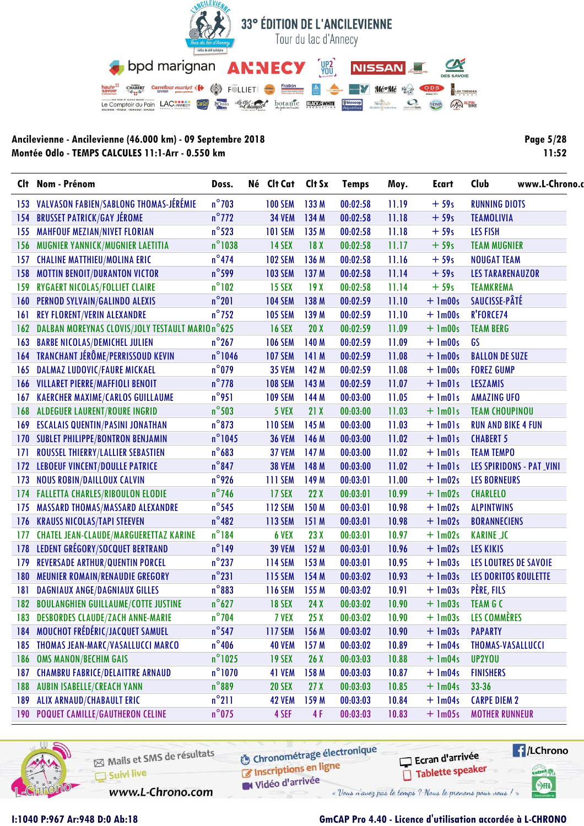

**Page 5/28**  $11:52$ 

| Clt | Nom - Prénom                                     | Doss.            | Né Clt Cat Clt Sx |                  | <b>Temps</b> | Moy.  | Ecart       | Club                            | www.L-Chrono. |
|-----|--------------------------------------------------|------------------|-------------------|------------------|--------------|-------|-------------|---------------------------------|---------------|
| 153 | VALVASON FABIEN/SABLONG THOMAS-JÉRÉMIE           | $n^{\circ}$ 703  | <b>100 SEM</b>    | 133 M            | 00:02:58     | 11.19 | $+59s$      | <b>RUNNING DIOTS</b>            |               |
| 154 | <b>BRUSSET PATRICK/GAY JÉROME</b>                | $n^{\circ}$ 772  | <b>34 VEM</b>     | 134 M            | 00:02:58     | 11.18 | $+59s$      | <b>TEAMOLIVIA</b>               |               |
| 155 | <b>MAHFOUF MEZIAN/NIVET FLORIAN</b>              | $n^{\circ}$ 523  | <b>101 SEM</b>    | 135 M            | 00:02:58     | 11.18 | $+59s$      | <b>LES FISH</b>                 |               |
| 156 | MUGNIER YANNICK/MUGNIER LAETITIA                 | $n^{\circ}$ 1038 | <b>14 SEX</b>     | 18 <sub>X</sub>  | 00:02:58     | 11.17 | $+59s$      | <b>TEAM MUGNIER</b>             |               |
| 157 | <b>CHALINE MATTHIEU/MOLINA ERIC</b>              | $n^{\circ}474$   | <b>102 SEM</b>    | 136 M            | 00:02:58     | 11.16 | $+59s$      | <b>NOUGAT TEAM</b>              |               |
| 158 | <b>MOTTIN BENOIT/DURANTON VICTOR</b>             | $n^{\circ}$ 599  | <b>103 SEM</b>    | 137 <sub>M</sub> | 00:02:58     | 11.14 | $+59s$      | <b>LES TARARENAUZOR</b>         |               |
| 159 | RYGAERT NICOLAS/FOLLIET CLAIRE                   | $n^{\circ}102$   | <b>15 SEX</b>     | 19X              | 00:02:58     | 11.14 | $+59s$      | <b>TEAMKREMA</b>                |               |
| 160 | PERNOD SYLVAIN/GALINDO ALEXIS                    | $n^{\circ}201$   | <b>104 SEM</b>    | 138 M            | 00:02:59     | 11.10 | $+$ 1m00s   | SAUCISSE-PÂTÉ                   |               |
| 161 | <b>REY FLORENT/VERIN ALEXANDRE</b>               | $n^{\circ}$ 752  | <b>105 SEM</b>    | 139 M            | 00:02:59     | 11.10 | $+$ 1m00s   | R'FORCE74                       |               |
| 162 | DALBAN MOREYNAS CLOVIS/JOLY TESTAULT MARIO n°625 |                  | <b>16 SEX</b>     | 20X              | 00:02:59     | 11.09 | $+$ 1m00s   | <b>TEAM BERG</b>                |               |
| 163 | <b>BARBE NICOLAS/DEMICHEL JULIEN</b>             | $n^{\circ}267$   | <b>106 SEM</b>    | 140 M            | 00:02:59     | 11.09 | $+$ 1m00s   | GS                              |               |
|     | 164 TRANCHANT JÉRÔME/PERRISSOUD KEVIN            | $n^{\circ}$ 1046 | <b>107 SEM</b>    | 141 M            | 00:02:59     | 11.08 | $+$ 1m00s   | <b>BALLON DE SUZE</b>           |               |
| 165 | <b>DALMAZ LUDOVIC/FAURE MICKAEL</b>              | $n^{\circ}$ 079  | <b>35 VEM</b>     | 142 M            | 00:02:59     | 11.08 | $+ 1m00s$   | <b>FOREZ GUMP</b>               |               |
| 166 | <b>VILLARET PIERRE/MAFFIOLI BENOIT</b>           | $n^{\circ}$ 778  | <b>108 SEM</b>    | 143 M            | 00:02:59     | 11.07 | $+$ 1m01s   | <b>LESZAMIS</b>                 |               |
| 167 | <b>KAERCHER MAXIME/CARLOS GUILLAUME</b>          | $n^{\circ}$ 951  | <b>109 SEM</b>    | 144 M            | 00:03:00     | 11.05 | $+$ $lm01s$ | <b>AMAZING UFO</b>              |               |
| 168 | <b>ALDEGUER LAURENT/ROURE INGRID</b>             | $n^{\circ}$ 503  | 5 VEX             | 21X              | 00:03:00     | 11.03 | $+$ $lm01s$ | <b>TEAM CHOUPINOU</b>           |               |
| 169 | <b>ESCALAIS QUENTIN/PASINI JONATHAN</b>          | $n^{\circ}$ 873  | <b>110 SEM</b>    | 145 M            | 00:03:00     | 11.03 | $+$ $lm01s$ | <b>RUN AND BIKE 4 FUN</b>       |               |
|     | 170 SUBLET PHILIPPE/BONTRON BENJAMIN             | $n^{\circ}$ 1045 | <b>36 VEM</b>     | 146 M            | 00:03:00     | 11.02 | $+$ 1m01s   | <b>CHABERT 5</b>                |               |
| 171 | ROUSSEL THIERRY/LALLIER SEBASTIEN                | $n^{\circ}683$   | <b>37 VEM</b>     | 147 <sub>M</sub> | 00:03:00     | 11.02 | $+$ $lm01s$ | <b>TEAM TEMPO</b>               |               |
| 172 | LEBOEUF VINCENT/DOULLE PATRICE                   | $n^{\circ}$ 847  | <b>38 VEM</b>     | 148 M            | 00:03:00     | 11.02 | $+$ 1m01s   | <b>LES SPIRIDONS - PAT_VINI</b> |               |
| 173 | <b>NOUS ROBIN/DAILLOUX CALVIN</b>                | $n^{\circ}$ 926  | <b>111 SEM</b>    | 149 M            | 00:03:01     | 11.00 | $+$ 1m02s   | <b>LES BORNEURS</b>             |               |
| 174 | <b>FALLETTA CHARLES/RIBOULON ELODIE</b>          | $n^{\circ}$ 746  | 17 SEX            | 22X              | 00:03:01     | 10.99 | $+$ 1m02s   | <b>CHARLELO</b>                 |               |
| 175 | MASSARD THOMAS/MASSARD ALEXANDRE                 | $n^{\circ}$ 545  | <b>112 SEM</b>    | 150 M            | 00:03:01     | 10.98 | $+$ 1m02s   | <b>ALPINTWINS</b>               |               |
| 176 | <b>KRAUSS NICOLAS/TAPI STEEVEN</b>               | $n^{\circ}482$   | <b>113 SEM</b>    | 151M             | 00:03:01     | 10.98 | $+$ 1m02s   | <b>BORANNECIENS</b>             |               |
| 177 | <b>CHATEL JEAN-CLAUDE/MARGUERETTAZ KARINE</b>    | $n^{\circ}$ 184  | 6 VEX             | 23X              | 00:03:01     | 10.97 | $+$ 1m02s   | <b>KARINE JC</b>                |               |
| 178 | LEDENT GRÉGORY/SOCQUET BERTRAND                  | $n^{\circ}$ 149  | <b>39 VEM</b>     | 152 M            | 00:03:01     | 10.96 | $+$ 1m02s   | <b>LES KIKIS</b>                |               |
| 179 | <b>REVERSADE ARTHUR/QUENTIN PORCEL</b>           | $n^{\circ}$ 237  | <b>114 SEM</b>    | 153 M            | 00:03:01     | 10.95 | $+$ 1m03s   | LES LOUTRES DE SAVOIE           |               |
| 180 | <b>MEUNIER ROMAIN/RENAUDIE GREGORY</b>           | $n^{\circ}231$   | <b>115 SEM</b>    | 154M             | 00:03:02     | 10.93 | $+$ 1m03s   | LES DORITOS ROULETTE            |               |
| 181 | DAGNIAUX ANGE/DAGNIAUX GILLES                    | $n^{\circ}883$   | <b>116 SEM</b>    | 155 M            | 00:03:02     | 10.91 | $+$ 1m03s   | PÈRE, FILS                      |               |
| 182 | <b>BOULANGHIEN GUILLAUME/COTTE JUSTINE</b>       | $n^{\circ}627$   | <b>18 SEX</b>     | 24X              | 00:03:02     | 10.90 | $+$ 1m03s   | <b>TEAM G C</b>                 |               |
|     | 183 DESBORDES CLAUDE/ZACH ANNE-MARIE             | $n^{\circ}$ 704  | 7 VEX             | 25X              | 00:03:02     | 10.90 |             | + 1m03s LES COMMÈRES            |               |
| 184 | MOUCHOT FRÉDÉRIC/JACQUET SAMUEL                  | $n^{\circ}$ 547  | <b>117 SEM</b>    | 156 M            | 00:03:02     | 10.90 | $+ \ln 03s$ | <b>PAPARTY</b>                  |               |
| 185 | THOMAS JEAN-MARC/VASALLUCCI MARCO                | $n^{\circ}$ 406  | <b>40 VEM</b>     | 157 <sub>M</sub> | 00:03:02     | 10.89 | $+$ 1m04s   | THOMAS-VASALLUCCI               |               |
| 186 | <b>OMS MANON/BECHIM GAIS</b>                     | $n^{\circ}$ 1025 | <b>19 SEX</b>     | 26X              | 00:03:03     | 10.88 | $+$ 1m04s   | UP2YOU                          |               |
| 187 | <b>CHAMBRU FABRICE/DELAITTRE ARNAUD</b>          | $n^{\circ}$ 1070 | 41 VEM            | 158 M            | 00:03:03     | 10.87 | $+$ 1m04s   | <b>FINISHERS</b>                |               |
| 188 | <b>AUBIN ISABELLE/CREACH YANN</b>                | $n^{\circ}889$   | <b>20 SEX</b>     | 27X              | 00:03:03     | 10.85 | $+$ 1m04s   | $33 - 36$                       |               |
| 189 | <b>ALIX ARNAUD/CHABAULT ERIC</b>                 | $n^{\circ}211$   | <b>42 VEM</b>     | 159 M            | 00:03:03     | 10.84 | $+$ 1m04s   | <b>CARPE DIEM 2</b>             |               |
|     | 190 POQUET CAMILLE/GAUTHERON CELINE              | $n^{\circ}$ 075  | 4 SEF             | 4F               | 00:03:03     | 10.83 | $+$ 1m05s   | <b>MOTHER RUNNEUR</b>           |               |



Mails et SMS de résultats Suivi live

www.L-Chrono.com

**6** Chronométrage électronique Inscriptions en ligne

Vidéo d'arrivée

Ecran d'arrivée





#### GmCAP Pro 4.40 - Licence d'utilisation accordée à L-CHRONO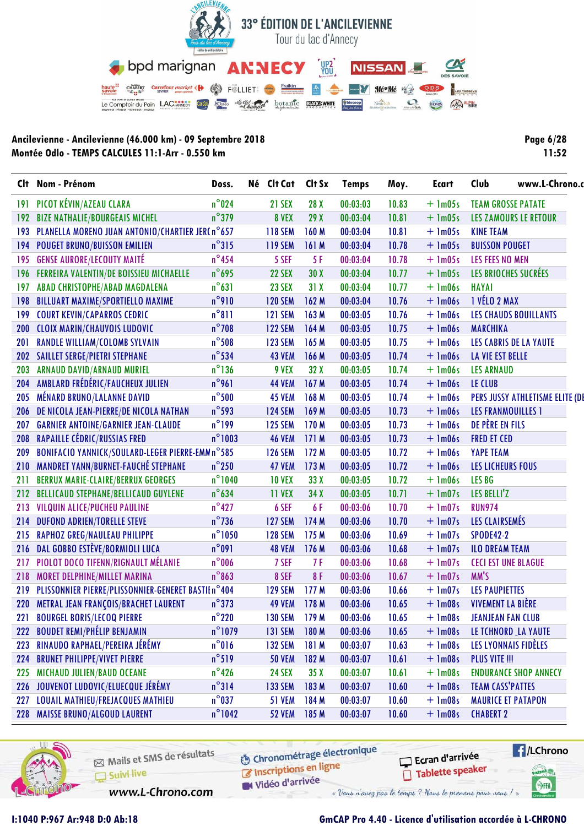

| Page 6/28 |       |  |
|-----------|-------|--|
|           | 11:52 |  |

| Clt        | Nom - Prénom                                       | Doss.            | Né Clt Cat     | Clt Sx           | <b>Temps</b> | Moy.  | Ecart       | Club<br>www.L-Chrono.o         |  |
|------------|----------------------------------------------------|------------------|----------------|------------------|--------------|-------|-------------|--------------------------------|--|
| 191        | PICOT KÉVIN/AZEAU CLARA                            | $n^{\circ}$ 024  | 21 SEX         | 28 X             | 00:03:03     | 10.83 | $+$ 1m05s   | <b>TEAM GROSSE PATATE</b>      |  |
| 192        | <b>BIZE NATHALIE/BOURGEAIS MICHEL</b>              | $n^{\circ}$ 379  | 8 VEX          | 29X              | 00:03:04     | 10.81 | $+$ 1m05s   | LES ZAMOURS LE RETOUR          |  |
| 193        | PLANELLA MORENO JUAN ANTONIO/CHARTIER JER(n°657    |                  | <b>118 SEM</b> | 160 M            | 00:03:04     | 10.81 | $+$ 1m05s   | <b>KINE TEAM</b>               |  |
| 194        | <b>POUGET BRUNO/BUISSON EMILIEN</b>                | $n^{\circ}315$   | <b>119 SEM</b> | 161M             | 00:03:04     | 10.78 | $+$ 1m05s   | <b>BUISSON POUGET</b>          |  |
| 195        | <b>GENSE AURORE/LECOUTY MAITÉ</b>                  | $n^{\circ}$ 454  | 5 SEF          | 5F               | 00:03:04     | 10.78 | $+$ 1m05s   | <b>LES FEES NO MEN</b>         |  |
| 196        | FERREIRA VALENTIN/DE BOISSIEU MICHAELLE            | $n^{\circ}$ 695  | 22 SEX         | 30X              | 00:03:04     | 10.77 | $+$ 1m05s   | LES BRIOCHES SUCRÉES           |  |
| 197        | ABAD CHRISTOPHE/ABAD MAGDALENA                     | $n^{\circ}631$   | <b>23 SEX</b>  | 31X              | 00:03:04     | 10.77 | $+$ 1m06s   | <b>HAYAI</b>                   |  |
| 198        | <b>BILLUART MAXIME/SPORTIELLO MAXIME</b>           | $n^{\circ}$ 910  | <b>120 SEM</b> | 162 M            | 00:03:04     | 10.76 | $+$ 1m06s   | <b>1 VÉLO 2 MAX</b>            |  |
| 199        | <b>COURT KEVIN/CAPARROS CEDRIC</b>                 | $n^{\circ}811$   | <b>121 SEM</b> | 163 M            | 00:03:05     | 10.76 | $+$ 1m06s   | <b>LES CHAUDS BOUILLANTS</b>   |  |
| 200        | <b>CLOIX MARIN/CHAUVOIS LUDOVIC</b>                | $n^{\circ}$ 708  | <b>122 SEM</b> | 164 M            | 00:03:05     | 10.75 | $+$ 1m06s   | <b>MARCHIKA</b>                |  |
| 201        | <b>RANDLE WILLIAM/COLOMB SYLVAIN</b>               | $n^{\circ}$ 508  | <b>123 SEM</b> | 165 M            | 00:03:05     | 10.75 | $+$ 1m06s   | <b>LES CABRIS DE LA YAUTE</b>  |  |
|            | 202 SAILLET SERGE/PIETRI STEPHANE                  | $n^{\circ}$ 534  | <b>43 VEM</b>  | 166 M            | 00:03:05     | 10.74 | $+$ 1m06s   | LA VIE EST BELLE               |  |
| 203        | <b>ARNAUD DAVID/ARNAUD MURIEL</b>                  | $n^{\circ}$ 136  | 9 VEX          | 32X              | 00:03:05     | 10.74 | $+$ 1m06s   | <b>LES ARNAUD</b>              |  |
| 204        | AMBLARD FRÉDÉRIC/FAUCHEUX JULIEN                   | $n^{\circ}$ 961  | <b>44 VEM</b>  | 167 M            | 00:03:05     | 10.74 | $+$ 1m06s   | LE CLUB                        |  |
| 205        | MÉNARD BRUNO/LALANNE DAVID                         | $n^{\circ}$ 500  | <b>45 VEM</b>  | 168 M            | 00:03:05     | 10.74 | $+$ $lm06s$ | PERS JUSSY ATHLETISME ELITE (D |  |
| 206        | DE NICOLA JEAN-PIERRE/DE NICOLA NATHAN             | $n^{\circ}$ 593  | <b>124 SEM</b> | 169 M            | 00:03:05     | 10.73 | $+$ 1m06s   | <b>LES FRANMOUILLES 1</b>      |  |
| 207        | <b>GARNIER ANTOINE/GARNIER JEAN-CLAUDE</b>         | $n^{\circ}$ 199  | <b>125 SEM</b> | 170 M            | 00:03:05     | 10.73 | $+$ 1m06s   | DE PÈRE EN FILS                |  |
| 208        | <b>RAPAILLE CÉDRIC/RUSSIAS FRED</b>                | $n^{\circ}$ 1003 | <b>46 VEM</b>  | 171M             | 00:03:05     | 10.73 | $+$ 1m06s   | <b>FRED ET CED</b>             |  |
| 209        | BONIFACIO YANNICK/SOULARD-LEGER PIERRE-EMM n°585   |                  | <b>126 SEM</b> | 172 M            | 00:03:05     | 10.72 | $+$ 1m06s   | <b>YAPE TEAM</b>               |  |
|            | 210 MANDRET YANN/BURNET-FAUCHÉ STEPHANE            | $n^{\circ}$ 250  | 47 VEM         | 173M             | 00:03:05     | 10.72 | $+$ 1m06s   | <b>LES LICHEURS FOUS</b>       |  |
| 211        | <b>BERRUX MARIE-CLAIRE/BERRUX GEORGES</b>          | $n^{\circ}1040$  | <b>10 VEX</b>  | 33 X             | 00:03:05     | 10.72 | $+$ 1m06s   | LES BG                         |  |
| 212        | <b>BELLICAUD STEPHANE/BELLICAUD GUYLENE</b>        | $n^{\circ}$ 634  | 11 VEX         | 34 X             | 00:03:05     | 10.71 | $+$ 1m07s   | LES BELLI'Z                    |  |
| 213        | VILQUIN ALICE/PUCHEU PAULINE                       | $n^{\circ}427$   | 6 SEF          | 6 F              | 00:03:06     | 10.70 | $+$ 1m07s   | <b>RUN974</b>                  |  |
| 214        | <b>DUFOND ADRIEN/TORELLE STEVE</b>                 | $n^{\circ}$ 736  | <b>127 SEM</b> | 174 M            | 00:03:06     | 10.70 | $+$ 1m07s   | LES CLAIRSEMÉS                 |  |
| 215        | <b>RAPHOZ GREG/NAULEAU PHILIPPE</b>                | $n^{\circ}1050$  | <b>128 SEM</b> | 175 M            | 00:03:06     | 10.69 | $+$ 1m07s   | <b>SPODE42-2</b>               |  |
| 216        | DAL GOBBO ESTÈVE/BORMIOLI LUCA                     | $n^{\circ}091$   | <b>48 VEM</b>  | 176 M            | 00:03:06     | 10.68 | $+$ 1m07s   | <b>ILO DREAM TEAM</b>          |  |
| 217        | PIOLOT DOCO TIFENN/RIGNAULT MÉLANIE                | $n^{\circ}$ 006  | 7 SEF          | 7 F              | 00:03:06     | 10.68 | $+$ 1m07s   | <b>CECI EST UNE BLAGUE</b>     |  |
| 218        | <b>MORET DELPHINE/MILLET MARINA</b>                | $n^{\circ}863$   | 8 SEF          | 8F               | 00:03:06     | 10.67 | $+$ 1m07s   | MM'S                           |  |
| 219        | PLISSONNIER PIERRE/PLISSONNIER-GENERET BASTIIn°404 |                  | <b>129 SEM</b> | 177 M            | 00:03:06     | 10.66 | $+$ 1m07s   | <b>LES PAUPIETTES</b>          |  |
| <b>220</b> | METRAL JEAN FRANÇOIS/BRACHET LAURENT               | $n^{\circ}373$   | <b>49 VEM</b>  | 178M             | 00:03:06     | 10.65 | $+$ 1m08s   | <b>VIVEMENT LA BIÈRE</b>       |  |
| 221        | <b>BOURGEL BORIS/LECOQ PIERRE</b>                  | $n^{\circ}$ 220  | <b>130 SEM</b> | 179 <sub>M</sub> | 00:03:06     | 10.65 | $+$ 1m08s   | <b>JEANJEAN FAN CLUB</b>       |  |
| 222        | <b>BOUDET REMI/PHÉLIP BENJAMIN</b>                 | n°1079           | <b>131 SEM</b> | 180 M            | 00:03:06     | 10.65 | $+$ 1m08s   | LE TCHNORD LA YAUTE            |  |
| 223        | RINAUDO RAPHAEL/PEREIRA JÉRÉMY                     | $n^{\circ}016$   | <b>132 SEM</b> | 181 M            | 00:03:07     | 10.63 | $+$ 1m08s   | LES LYONNAIS FIDÈLES           |  |
| 224        | <b>BRUNET PHILIPPE/VIVET PIERRE</b>                | $n^{\circ}519$   | <b>50 VEM</b>  | 182 M            | 00:03:07     | 10.61 | $+$ 1m08s   | <b>PLUS VITE !!!</b>           |  |
| 225        | MICHAUD JULIEN/BAUD OCEANE                         | $n^{\circ}$ 426  | <b>24 SEX</b>  | 35X              | 00:03:07     | 10.61 | $+$ 1m08s   | <b>ENDURANCE SHOP ANNECY</b>   |  |
| <b>226</b> | JOUVENOT LUDOVIC/ELUECQUE JÉRÉMY                   | $n^{\circ}314$   | <b>133 SEM</b> | 183 M            | 00:03:07     | 10.60 | $+$ 1m08s   | <b>TEAM CASS'PATTES</b>        |  |
| 227        | <b>LOUAIL MATHIEU/FREJACQUES MATHIEU</b>           | $n^{\circ}037$   | <b>51 VEM</b>  | 184 M            | 00:03:07     | 10.60 | $+$ 1m08s   | <b>MAURICE ET PATAPON</b>      |  |
| 228        | <b>MAISSE BRUNO/ALGOUD LAURENT</b>                 | $n^{\circ}$ 1042 | 52 VEM 185 M   |                  | 00:03:07     | 10.60 | $+$ 1m08s   | <b>CHABERT 2</b>               |  |



Mails et SMS de résultats Suivi live

**6** Chronométrage électronique Inscriptions en ligne

Vidéo d'arrivée

Ecran d'arrivée Tablette speaker



www.L-Chrono.com

« Vous n'avez pas le temps ? Nous le prenons pour vous !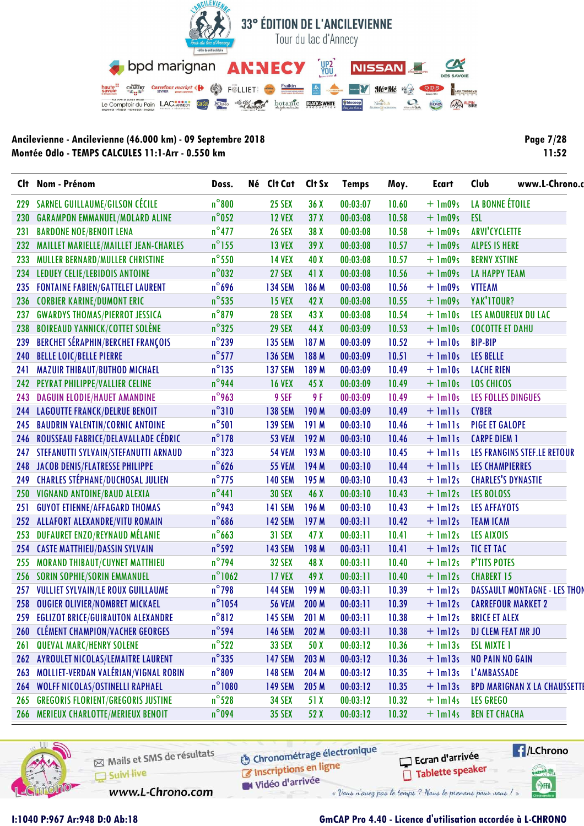

| <b>Page 7/28</b> |       |
|------------------|-------|
|                  | 11:52 |

|     | Clt Nom - Prénom                          | Doss.            | Né Clt Cat     | Clt Sx | <b>Temps</b> | Moy.  | <b>Ecart</b> | www.L-Chrono.<br>Club              |
|-----|-------------------------------------------|------------------|----------------|--------|--------------|-------|--------------|------------------------------------|
| 229 | SARNEL GUILLAUME/GILSON CÉCILE            | $n^{\circ}800$   | <b>25 SEX</b>  | 36X    | 00:03:07     | 10.60 | $+$ 1m09s    | LA BONNE ÉTOILE                    |
| 230 | <b>GARAMPON EMMANUEL/MOLARD ALINE</b>     | $n^{\circ}$ 052  | <b>12 VEX</b>  | 37X    | 00:03:08     | 10.58 | $+$ 1m09s    | <b>ESL</b>                         |
| 231 | <b>BARDONE NOE/BENOIT LENA</b>            | $n^{\circ}477$   | <b>26 SEX</b>  | 38 X   | 00:03:08     | 10.58 | $+$ 1m09s    | <b>ARVI'CYCLETTE</b>               |
| 232 | MAILLET MARIELLE/MAILLET JEAN-CHARLES     | $n^{\circ}$ 155  | <b>13 VEX</b>  | 39 X   | 00:03:08     | 10.57 | $+$ 1m09s    | <b>ALPES IS HERE</b>               |
| 233 | MULLER BERNARD/MULLER CHRISTINE           | $n^{\circ}$ 550  | <b>14 VEX</b>  | 40 X   | 00:03:08     | 10.57 | $+$ 1m09s    | <b>BERNY XSTINE</b>                |
| 234 | LEDUEY CELIE/LEBIDOIS ANTOINE             | $n^{\circ}$ 032  | 27 SEX         | 41 X   | 00:03:08     | 10.56 | $+$ 1m09s    | <b>LA HAPPY TEAM</b>               |
| 235 | <b>FONTAINE FABIEN/GATTELET LAURENT</b>   | $n^{\circ}$ 696  | <b>134 SEM</b> | 186 M  | 00:03:08     | 10.56 | $+$ 1m09s    | <b>VTTEAM</b>                      |
| 236 | <b>CORBIER KARINE/DUMONT ERIC</b>         | $n^{\circ}$ 535  | <b>15 VEX</b>  | 42 X   | 00:03:08     | 10.55 | $+$ 1m09s    | YAK'ITOUR?                         |
| 237 | <b>GWARDYS THOMAS/PIERROT JESSICA</b>     | $n^{\circ}$ 879  | <b>28 SEX</b>  | 43 X   | 00:03:08     | 10.54 | $+$ $lm10s$  | LES AMOUREUX DU LAC                |
| 238 | <b>BOIREAUD YANNICK/COTTET SOLÈNE</b>     | $n^{\circ}325$   | <b>29 SEX</b>  | 44 X   | 00:03:09     | 10.53 | $+$ $lm10s$  | <b>COCOTTE ET DAHU</b>             |
| 239 | <b>BERCHET SÉRAPHIN/BERCHET FRANÇOIS</b>  | $n^{\circ}$ 239  | <b>135 SEM</b> | 187 M  | 00:03:09     | 10.52 | $+$ $lm10s$  | <b>BIP-BIP</b>                     |
| 240 | <b>BELLE LOIC/BELLE PIERRE</b>            | $n^{\circ}$ 577  | <b>136 SEM</b> | 188 M  | 00:03:09     | 10.51 | $+$ $lm10s$  | <b>LES BELLE</b>                   |
| 241 | <b>MAZUIR THIBAUT/BUTHOD MICHAEL</b>      | $n^{\circ}$ 135  | <b>137 SEM</b> | 189 M  | 00:03:09     | 10.49 | $+$ 1m10s    | <b>LACHE RIEN</b>                  |
| 242 | PEYRAT PHILIPPE/VALLIER CELINE            | n°944            | <b>16 VEX</b>  | 45 X   | 00:03:09     | 10.49 | $+$ $lm10s$  | <b>LOS CHICOS</b>                  |
| 243 | <b>DAGUIN ELODIE/HAUET AMANDINE</b>       | $n^{\circ}$ 963  | 9 SEF          | 9 F    | 00:03:09     | 10.49 | $+$ $lm10s$  | LES FOLLES DINGUES                 |
| 244 | <b>LAGOUTTE FRANCK/DELRUE BENOIT</b>      | $n^{\circ}310$   | <b>138 SEM</b> | 190 M  | 00:03:09     | 10.49 | $+$ $lmlls$  | <b>CYBER</b>                       |
| 245 | <b>BAUDRIN VALENTIN/CORNIC ANTOINE</b>    | $n^{\circ}$ 501  | <b>139 SEM</b> | 191 M  | 00:03:10     | 10.46 | $+$ $lmlls$  | <b>PIGE ET GALOPE</b>              |
| 246 | ROUSSEAU FABRICE/DELAVALLADE CÉDRIC       | $n^{\circ}$ 178  | <b>53 VEM</b>  | 192 M  | 00:03:10     | 10.46 | $+$ $lmlls$  | <b>CARPE DIEM 1</b>                |
|     | 247 STEFANUTTI SYLVAIN/STEFANUTTI ARNAUD  | $n^{\circ}323$   | <b>54 VEM</b>  | 193 M  | 00:03:10     | 10.45 | $+$ $lmlls$  | LES FRANGINS STEF.LE RETOUR        |
|     | 248 JACOB DENIS/FLATRESSE PHILIPPE        | $n^{\circ}$ 626  | <b>55 VEM</b>  | 194 M  | 00:03:10     | 10.44 | $+$ $lmlls$  | <b>LES CHAMPIERRES</b>             |
| 249 | <b>CHARLES STÉPHANE/DUCHOSAL JULIEN</b>   | $n^{\circ}$ 775  | <b>140 SEM</b> | 195 M  | 00:03:10     | 10.43 | $+$ $lm12s$  | <b>CHARLES'S DYNASTIE</b>          |
| 250 | VIGNAND ANTOINE/BAUD ALEXIA               | $n^{\circ}441$   | <b>30 SEX</b>  | 46 X   | 00:03:10     | 10.43 | $+$ $lm12s$  | <b>LES BOLOSS</b>                  |
| 251 | <b>GUYOT ETIENNE/AFFAGARD THOMAS</b>      | n°943            | <b>141 SEM</b> | 196 M  | 00:03:10     | 10.43 | $+$ $lm12s$  | <b>LES AFFAYOTS</b>                |
| 252 | <b>ALLAFORT ALEXANDRE/VITU ROMAIN</b>     | $n^{\circ}$ 686  | <b>142 SEM</b> | 197M   | 00:03:11     | 10.42 | $+$ $lm12s$  | <b>TEAM ICAM</b>                   |
| 253 | DUFAURET ENZO/REYNAUD MÉLANIE             | $n^{\circ}$ 663  | <b>31 SEX</b>  | 47 X   | 00:03:11     | 10.41 | $+$ $lm12s$  | <b>LES AIXOIS</b>                  |
|     | 254 CASTE MATTHIEU/DASSIN SYLVAIN         | $n^{\circ}$ 592  | <b>143 SEM</b> | 198 M  | 00:03:11     | 10.41 | $+$ 1m12s    | TIC ET TAC                         |
| 255 | MORAND THIBAUT/CUYNET MATTHIEU            | $n^{\circ}$ 794  | <b>32 SEX</b>  | 48 X   | 00:03:11     | 10.40 | $+$ $lm12s$  | <b>P'TITS POTES</b>                |
| 256 | <b>SORIN SOPHIE/SORIN EMMANUEL</b>        | $n^{\circ}$ 1062 | <b>17 VEX</b>  | 49 X   | 00:03:11     | 10.40 | $+$ $lm12s$  | <b>CHABERT 15</b>                  |
| 257 | <b>VULLIET SYLVAIN/LE ROUX GUILLAUME</b>  | $n^{\circ}$ 798  | <b>144 SEM</b> | 199 M  | 00:03:11     | 10.39 | $+$ $lm12s$  | <b>DASSAULT MONTAGNE - LES THO</b> |
|     | 258 OUGIER OLIVIER/NOMBRET MICKAEL        | $n^{\circ}$ 1054 | <b>56 VEM</b>  | 200 M  | 00:03:11     | 10.39 | $+$ $lm12s$  | <b>CARREFOUR MARKET 2</b>          |
|     | 259 EGLIZOT BRICE/GUIRAUTON ALEXANDRE     | $n^{\circ}812$   | <b>145 SEM</b> | 201 M  | 00:03:11     | 10.38 | $+$ $lm12s$  | <b>BRICE ET ALEX</b>               |
|     | 260 CLÉMENT CHAMPION/VACHER GEORGES       | $n^{\circ}$ 594  | <b>146 SEM</b> | 202 M  | 00:03:11     | 10.38 | $+$ $lm12s$  | <b>DJ CLEM FEAT MR JO</b>          |
| 261 | <b>QUEVAL MARC/HENRY SOLENE</b>           | $n^{\circ}$ 522  | <b>33 SEX</b>  | 50 X   | 00:03:12     | 10.36 | $+$ $lm13s$  | <b>ESL MIXTE 1</b>                 |
| 262 | <b>AYROULET NICOLAS/LEMAITRE LAURENT</b>  | $n^{\circ}$ 335  | <b>147 SEM</b> | 203 M  | 00:03:12     | 10.36 | $+$ $lm13s$  | <b>NO PAIN NO GAIN</b>             |
| 263 | MOLLIET-VERDAN VALÉRIAN/VIGNAL ROBIN      | $n^{\circ}809$   | <b>148 SEM</b> | 204 M  | 00:03:12     | 10.35 | $+$ $lm13s$  | L'AMBASSADE                        |
| 264 | WOLFF NICOLAS/OSTINELLI RAPHAEL           | $n^{\circ}$ 1080 | <b>149 SEM</b> | 205 M  | 00:03:12     | 10.35 | $+$ $lm13s$  | <b>BPD MARIGNAN X LA CHAUSSETT</b> |
| 265 | <b>GREGORIS FLORIENT/GREGORIS JUSTINE</b> | $n^{\circ}$ 528  | <b>34 SEX</b>  | 51 X   | 00:03:12     | 10.32 | $+$ 1m14s    | <b>LES GREGO</b>                   |
|     | 266 MERIEUX CHARLOTTE/MERIEUX BENOIT      | $n^{\circ}$ 094  | <b>35 SEX</b>  | 52 X   | 00:03:12     | 10.32 | $+$ $lm14s$  | <b>BEN ET CHACHA</b>               |



Mails et SMS de résultats Suivi live

www.L-Chrono.com

**6** Chronométrage électronique Inscriptions en ligne

Vidéo d'arrivée

Ecran d'arrivée Tablette speaker

« Vous n'avez pas le temps ? Nous le prenons pour vous !

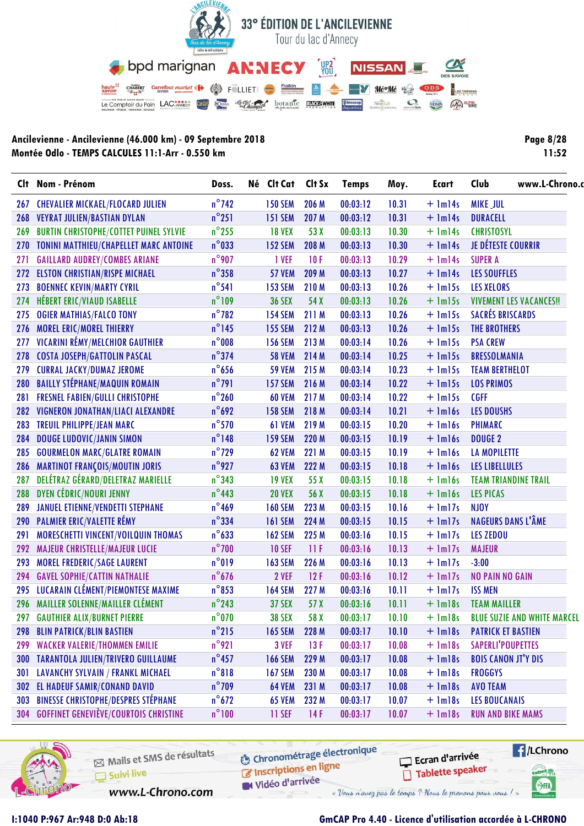

| <b>Page 8/28</b> |       |
|------------------|-------|
|                  | 11:52 |

|     | Clt Nom - Prénom                              | Doss.           |  | Né Clt Cat Clt Sx |       | <b>Temps</b> | Moy.  | <b>Ecart</b> | www.L-Chrono.<br>Club              |
|-----|-----------------------------------------------|-----------------|--|-------------------|-------|--------------|-------|--------------|------------------------------------|
| 267 | <b>CHEVALIER MICKAEL/FLOCARD JULIEN</b>       | $n^{\circ}$ 742 |  | <b>150 SEM</b>    | 206 M | 00:03:12     | 10.31 | $+$ $lm14s$  | <b>MIKE JUL</b>                    |
| 268 | <b>VEYRAT JULIEN/BASTIAN DYLAN</b>            | $n^{\circ}251$  |  | <b>151 SEM</b>    | 207 M | 00:03:12     | 10.31 | $+$ 1m14s    | DURACELL                           |
| 269 | <b>BURTIN CHRISTOPHE/COTTET PUINEL SYLVIE</b> | $n^{\circ}$ 255 |  | <b>18 VEX</b>     | 53 X  | 00:03:13     | 10.30 | $+$ 1m14s    | <b>CHRISTOSYL</b>                  |
|     | 270 TONINI MATTHIEU/CHAPELLET MARC ANTOINE    | $n^{\circ}$ 033 |  | <b>152 SEM</b>    | 208 M | 00:03:13     | 10.30 | $+$ $lm14s$  | JE DÉTESTE COURRIR                 |
| 271 | <b>GAILLARD AUDREY/COMBES ARIANE</b>          | $n^{\circ}$ 907 |  | 1 VEF             | 10F   | 00:03:13     | 10.29 | $+$ 1m14s    | <b>SUPER A</b>                     |
| 272 | <b>ELSTON CHRISTIAN/RISPE MICHAEL</b>         | $n^{\circ}358$  |  | <b>57 VEM</b>     | 209 M | 00:03:13     | 10.27 | $+$ $lm14s$  | <b>LES SOUFFLES</b>                |
| 273 | <b>BOENNEC KEVIN/MARTY CYRIL</b>              | $n^{\circ}541$  |  | <b>153 SEM</b>    | 210M  | 00:03:13     | 10.26 | $+$ 1m15s    | <b>LES XELORS</b>                  |
| 274 | <b>HÉBERT ERIC/VIAUD ISABELLE</b>             | $n^{\circ}109$  |  | <b>36 SEX</b>     | 54 X  | 00:03:13     | 10.26 | $+$ 1m15s    | <b>VIVEMENT LES VACANCES!!</b>     |
| 275 | <b>OGIER MATHIAS/FALCO TONY</b>               | $n^{\circ}$ 782 |  | <b>154 SEM</b>    | 211 M | 00:03:13     | 10.26 | $+$ 1m15s    | <b>SACRÉS BRISCARDS</b>            |
| 276 | MOREL ERIC/MOREL THIERRY                      | $n^{\circ}$ 145 |  | <b>155 SEM</b>    | 212 M | 00:03:13     | 10.26 | $+$ $lm15s$  | <b>THE BROTHERS</b>                |
| 277 | VICARINI RÉMY/MELCHIOR GAUTHIER               | $n^{\circ}$ 008 |  | <b>156 SEM</b>    | 213 M | 00:03:14     | 10.26 | $+$ 1m15s    | <b>PSA CREW</b>                    |
| 278 | <b>COSTA JOSEPH/GATTOLIN PASCAL</b>           | $n^{\circ}$ 374 |  | <b>58 VEM</b>     | 214 M | 00:03:14     | 10.25 | $+$ $lm15s$  | <b>BRESSOLMANIA</b>                |
| 279 | <b>CURRAL JACKY/DUMAZ JEROME</b>              | $n^{\circ}$ 656 |  | <b>59 VEM</b>     | 215 M | 00:03:14     | 10.23 | $+$ $lm15s$  | <b>TEAM BERTHELOT</b>              |
| 280 | <b>BAILLY STÉPHANE/MAQUIN ROMAIN</b>          | $n^{\circ}$ 791 |  | <b>157 SEM</b>    | 216 M | 00:03:14     | 10.22 | $+$ 1m15s    | <b>LOS PRIMOS</b>                  |
| 281 | <b>FRESNEL FABIEN/GULLI CHRISTOPHE</b>        | $n^{\circ}260$  |  | <b>60 VEM</b>     | 217 M | 00:03:14     | 10.22 | $+$ 1m15s    | <b>CGFF</b>                        |
| 282 | VIGNERON JONATHAN/LIACI ALEXANDRE             | $n^{\circ}$ 692 |  | <b>158 SEM</b>    | 218 M | 00:03:14     | 10.21 | $+$ $lm16s$  | <b>LES DOUSHS</b>                  |
| 283 | <b>TREUIL PHILIPPE/JEAN MARC</b>              | $n^{\circ}$ 570 |  |                   | 219 M | 00:03:15     | 10.20 | $+$ 1m16s    | <b>PHIMARC</b>                     |
| 284 | <b>DOUGE LUDOVIC/JANIN SIMON</b>              | $n^{\circ}$ 148 |  |                   | 220 M | 00:03:15     | 10.19 | $+$ $lm16s$  | <b>DOUGE 2</b>                     |
| 285 | <b>GOURMELON MARC/GLATRE ROMAIN</b>           | $n^{\circ}$ 729 |  | <b>62 VEM</b>     | 221 M | 00:03:15     | 10.19 | $+$ $lm16s$  | <b>LA MOPILETTE</b>                |
| 286 | <b>MARTINOT FRANÇOIS/MOUTIN JORIS</b>         | $n^{\circ}$ 927 |  | <b>63 VEM</b>     | 222 M | 00:03:15     | 10.18 | $+$ $lm16s$  | <b>LES LIBELLULES</b>              |
| 287 | DELÉTRAZ GÉRARD/DELETRAZ MARIELLE             | $n^{\circ}$ 343 |  | <b>19 VEX</b>     | 55 X  | 00:03:15     | 10.18 | $+$ $lml$    | <b>TEAM TRIANDINE TRAIL</b>        |
| 288 | <b>DYEN CÉDRIC/NOURI JENNY</b>                | $n^{\circ}$ 443 |  | <b>20 VEX</b>     | 56 X  | 00:03:15     | 10.18 | $+$ $lml$ 6s | LES PICAS                          |
| 289 | <b>JANUEL ETIENNE/VENDETTI STEPHANE</b>       | $n^{\circ}$ 469 |  | <b>160 SEM</b>    | 223 M | 00:03:15     | 10.16 | $+$ $lm17s$  | <b>NJOY</b>                        |
| 290 | <b>PALMIER ERIC/VALETTE RÉMY</b>              | $n^{\circ}$ 334 |  | <b>161 SEM</b>    | 224 M | 00:03:15     | 10.15 | $+$ $lm17s$  | <b>NAGEURS DANS L'ÂME</b>          |
| 291 | MORESCHETTI VINCENT/VOILQUIN THOMAS           | $n^{\circ}$ 633 |  | <b>162 SEM</b>    | 225 M | 00:03:16     | 10.15 | $+$ $lm17s$  | <b>LES ZEDOU</b>                   |
| 292 | <b>MAJEUR CHRISTELLE/MAJEUR LUCIE</b>         | $n^{\circ}$ 700 |  | <b>10 SEF</b>     | 11F   | 00:03:16     | 10.13 | $+$ 1m17s    | <b>MAJEUR</b>                      |
| 293 | MOREL FREDERIC/SAGE LAURENT                   | $n^{\circ}019$  |  | <b>163 SEM</b>    | 226 M | 00:03:16     | 10.13 | $+$ 1m17s    | $-3:00$                            |
| 294 | <b>GAVEL SOPHIE/CATTIN NATHALIE</b>           | $n^{\circ}$ 676 |  | 2 VEF             | 12F   | 00:03:16     | 10.12 | $+$ $lm17s$  | <b>NO PAIN NO GAIN</b>             |
| 295 | LUCARAIN CLÉMENT/PIEMONTESE MAXIME            | $n^{\circ}$ 853 |  | <b>164 SEM</b>    | 227 M | 00:03:16     | 10.11 | $+$ $lm17s$  | <b>ISS MEN</b>                     |
|     | 296 MAILLER SOLENNE/MAILLER CLÉMENT           | $n^{\circ}$ 243 |  | <b>37 SEX</b>     | 57 X  | 00:03:16     | 10.11 | $+$ $lm18s$  | <b>TEAM MAILLER</b>                |
|     | 297 GAUTHIER ALIX/BURNET PIERRE               | $n^{\circ}070$  |  | <b>38 SEX</b>     | 58 X  | 00:03:17     | 10.10 | $+$ $lm18s$  | <b>BLUE SUZIE AND WHITE MARCEL</b> |
| 298 | <b>BLIN PATRICK/BLIN BASTIEN</b>              | $n^{\circ}$ 215 |  | <b>165 SEM</b>    | 228 M | 00:03:17     | 10.10 | $+$ $lm18s$  | <b>PATRICK ET BASTIEN</b>          |
| 299 | <b>WACKER VALERIE/THOMMEN EMILIE</b>          | $n^{\circ}921$  |  | 3 VEF             | 13F   | 00:03:17     | 10.08 | $+$ 1m18s    | SAPERLI'POUPETTES                  |
| 300 | <b>TARANTOLA JULIEN/TRIVERO GUILLAUME</b>     | $n^{\circ}$ 457 |  | <b>166 SEM</b>    | 229 M | 00:03:17     | 10.08 | $+$ $lm18s$  | <b>BOIS CANON JT'Y DIS</b>         |
| 301 | LAVANCHY SYLVAIN / FRANKL MICHAEL             | $n^{\circ}818$  |  | <b>167 SEM</b>    | 230 M | 00:03:17     | 10.08 | $+$ $lm18s$  | <b>FROGGYS</b>                     |
| 302 | EL HADEUF SAMIR/CONAND DAVID                  | $n^{\circ}$ 709 |  | <b>64 VEM</b>     | 231 M | 00:03:17     | 10.08 | $+$ $lm18s$  | <b>AVO TEAM</b>                    |
| 303 | <b>BINESSE CHRISTOPHE/DESPRES STÉPHANE</b>    | $n^{\circ}$ 672 |  | <b>65 VEM</b>     | 232 M | 00:03:17     | 10.07 | $+$ $lm18s$  | <b>LES BOUCANAIS</b>               |
|     | 304 GOFFINET GENEVIÈVE/COURTOIS CHRISTINE     | $n^{\circ}100$  |  | 11 SEF            | 14F   | 00:03:17     | 10.07 | $+$ $lm18s$  | <b>RUN AND BIKE MAMS</b>           |



Mails et SMS de résultats Suivi live

www.L-Chrono.com

**6** Chronométrage électronique Inscriptions en ligne

Vidéo d'arrivée

Ecran d'arrivée Tablette speaker



I:1040 P:967 Ar:948 D:0 Ab:18

### GmCAP Pro 4.40 - Licence d'utilisation accordée à L-CHRONO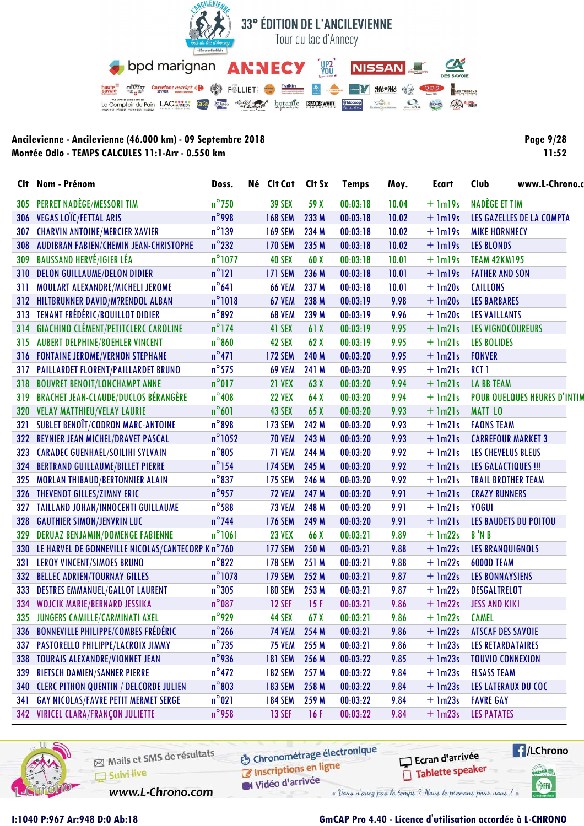

| <b>Page 9/28</b> |
|------------------|
| 11:52            |

| Clt | Nom - Prénom                                          | Doss.            | Né Clt Cat     | Clt Sx | <b>Temps</b> | Moy.  | Ecart       | Club<br>www.L-Chrono.o              |  |  |
|-----|-------------------------------------------------------|------------------|----------------|--------|--------------|-------|-------------|-------------------------------------|--|--|
| 305 | <b>PERRET NADÈGE/MESSORI TIM</b>                      | $n^{\circ}$ 750  | <b>39 SEX</b>  | 59 X   | 00:03:18     | 10.04 | $+$ $lm19s$ | NADÈGE ET TIM                       |  |  |
| 306 | VEGAS LOÏC/FETTAL ARIS                                | $n^{\circ}$ 998  | <b>168 SEM</b> | 233 M  | 00:03:18     | 10.02 | $+$ $lm19s$ | LES GAZELLES DE LA COMPTA           |  |  |
| 307 | <b>CHARVIN ANTOINE/MERCIER XAVIER</b>                 | $n^{\circ}$ 139  | <b>169 SEM</b> | 234 M  | 00:03:18     | 10.02 | $+$ $lm19s$ | <b>MIKE HORNNECY</b>                |  |  |
| 308 | AUDIBRAN FABIEN/CHEMIN JEAN-CHRISTOPHE                | $n^{\circ}$ 232  | <b>170 SEM</b> | 235 M  | 00:03:18     | 10.02 | $+$ $lm19s$ | <b>LES BLONDS</b>                   |  |  |
| 309 | <b>BAUSSAND HERVÉ/IGIER LÉA</b>                       | $n^{\circ}$ 1077 | <b>40 SEX</b>  | 60 X   | 00:03:18     | 10.01 | $+$ $lm19s$ | <b>TEAM 42KM195</b>                 |  |  |
| 310 | <b>DELON GUILLAUME/DELON DIDIER</b>                   | $n^{\circ}$ 121  | <b>171 SEM</b> | 236 M  | 00:03:18     | 10.01 | $+$ $lm19s$ | <b>FATHER AND SON</b>               |  |  |
| 311 | MOULART ALEXANDRE/MICHELI JEROME                      | $n^{\circ}641$   | <b>66 VEM</b>  | 237 M  | 00:03:18     | 10.01 | $+$ 1m20s   | <b>CAILLONS</b>                     |  |  |
|     | 312 HILTBRUNNER DAVID/M?RENDOL ALBAN                  | $n^{\circ}1018$  | 67 VEM         | 238 M  | 00:03:19     | 9.98  | $+$ 1m20s   | <b>LES BARBARES</b>                 |  |  |
|     | 313 TENANT FRÉDÉRIC/BOUILLOT DIDIER                   | $n^{\circ}892$   | <b>68 VEM</b>  | 239 M  | 00:03:19     | 9.96  | $+$ 1m20s   | <b>LES VAILLANTS</b>                |  |  |
| 314 | <b>GIACHINO CLÉMENT/PETITCLERC CAROLINE</b>           | $n^{\circ}$ 174  | 41 SEX         | 61 X   | 00:03:19     | 9.95  | $+$ $lm21s$ | <b>LES VIGNOCOUREURS</b>            |  |  |
| 315 | <b>AUBERT DELPHINE/BOEHLER VINCENT</b>                | $n^{\circ}860$   | 42 SEX         | 62X    | 00:03:19     | 9.95  | $+$ $lm21s$ | <b>LES BOLIDES</b>                  |  |  |
|     | 316 FONTAINE JEROME/VERNON STEPHANE                   | $n^{\circ}471$   | <b>172 SEM</b> | 240 M  | 00:03:20     | 9.95  | $+$ $lm21s$ | <b>FONVER</b>                       |  |  |
| 317 | PAILLARDET FLORENT/PAILLARDET BRUNO                   | $n^{\circ}$ 575  | <b>69 VEM</b>  | 241 M  | 00:03:20     | 9.95  | $+$ $lm21s$ | RCT <sub>1</sub>                    |  |  |
| 318 | <b>BOUVRET BENOIT/LONCHAMPT ANNE</b>                  | $n^{\circ}017$   | <b>21 VEX</b>  | 63 X   | 00:03:20     | 9.94  | $+$ $lm21s$ | <b>LA BB TEAM</b>                   |  |  |
| 319 | <b>BRACHET JEAN-CLAUDE/DUCLOS BÉRANGÈRE</b>           | $n^{\circ}$ 408  | <b>22 VEX</b>  | 64 X   | 00:03:20     | 9.94  | $+$ $lm21s$ | <b>POUR QUELQUES HEURES D'INTIN</b> |  |  |
| 320 | <b>VELAY MATTHIEU/VELAY LAURIE</b>                    | $n^{\circ}601$   | 43 SEX         | 65 X   | 00:03:20     | 9.93  | $+$ $lm21s$ | <b>MATT_LO</b>                      |  |  |
| 321 | <b>SUBLET BENOIT/CODRON MARC-ANTOINE</b>              | $n^{\circ}$ 898  | <b>173 SEM</b> | 242 M  | 00:03:20     | 9.93  | $+$ $lm21s$ | <b>FAONS TEAM</b>                   |  |  |
| 322 | <b>REYNIER JEAN MICHEL/DRAVET PASCAL</b>              | $n^{\circ}$ 1052 | <b>70 VEM</b>  | 243 M  | 00:03:20     | 9.93  | $+$ $lm21s$ | <b>CARREFOUR MARKET 3</b>           |  |  |
| 323 | <b>CARADEC GUENHAEL/SOILIHI SYLVAIN</b>               | $n^{\circ}805$   | 71 VEM         | 244 M  | 00:03:20     | 9.92  | $+$ $lm21s$ | <b>LES CHEVELUS BLEUS</b>           |  |  |
| 324 | <b>BERTRAND GUILLAUME/BILLET PIERRE</b>               | $n^{\circ}$ 154  | <b>174 SEM</b> | 245 M  | 00:03:20     | 9.92  | $+$ $lm21s$ | <b>LES GALACTIQUES !!!</b>          |  |  |
| 325 | <b>MORLAN THIBAUD/BERTONNIER ALAIN</b>                | $n^{\circ}$ 837  | <b>175 SEM</b> | 246 M  | 00:03:20     | 9.92  | $+$ $lm21s$ | <b>TRAIL BROTHER TEAM</b>           |  |  |
|     | 326 THEVENOT GILLES/ZIMNY ERIC                        | $n^{\circ}$ 957  | <b>72 VEM</b>  | 247 M  | 00:03:20     | 9.91  | $+$ $lm21s$ | <b>CRAZY RUNNERS</b>                |  |  |
| 327 | TAILLAND JOHAN/INNOCENTI GUILLAUME                    | $n^{\circ}$ 588  | <b>73 VEM</b>  | 248 M  | 00:03:20     | 9.91  | $+$ $lm21s$ | <b>YOGUI</b>                        |  |  |
| 328 | <b>GAUTHIER SIMON/JENVRIN LUC</b>                     | $n^{\circ}$ 744  | <b>176 SEM</b> | 249 M  | 00:03:20     | 9.91  | $+$ $lm21s$ | <b>LES BAUDETS DU POITOU</b>        |  |  |
| 329 | <b>DERUAZ BENJAMIN/DOMENGE FABIENNE</b>               | $n^{\circ}1061$  | <b>23 VEX</b>  | 66 X   | 00:03:21     | 9.89  | $+$ 1m22s   | B'N B                               |  |  |
|     | 330 LE HARVEL DE GONNEVILLE NICOLAS/CANTECORP K n°760 |                  | <b>177 SEM</b> | 250 M  | 00:03:21     | 9.88  | $+$ 1m22s   | <b>LES BRANQUIGNOLS</b>             |  |  |
| 331 | <b>LEROY VINCENT/SIMOES BRUNO</b>                     | $n^{\circ}822$   | <b>178 SEM</b> | 251 M  | 00:03:21     | 9.88  | $+$ 1m22s   | <b>6000D TEAM</b>                   |  |  |
| 332 | <b>BELLEC ADRIEN/TOURNAY GILLES</b>                   | $n^{\circ}$ 1078 | <b>179 SEM</b> | 252 M  | 00:03:21     | 9.87  | $+$ 1m22s   | <b>LES BONNAYSIENS</b>              |  |  |
| 333 | <b>DESTRES EMMANUEL/GALLOT LAURENT</b>                | $n^{\circ}305$   | <b>180 SEM</b> | 253 M  | 00:03:21     | 9.87  | $+$ 1m22s   | <b>DESGALTRELOT</b>                 |  |  |
| 334 | <b>WOJCIK MARIE/BERNARD JESSIKA</b>                   | $n^{\circ}$ 087  | <b>12 SEF</b>  | 15F    | 00:03:21     | 9.86  | $+$ 1m22s   | <b>JESS AND KIKI</b>                |  |  |
|     | 335 JUNGERS CAMILLE/CARMINATI AXEL                    | $n^{\circ}$ 929  | 44 SEX         | 67X    | 00:03:21     | 9.86  | $+$ $lm22s$ | <b>CAMEL</b>                        |  |  |
| 336 | <b>BONNEVILLE PHILIPPE/COMBES FRÉDÉRIC</b>            | $n^{\circ}$ 266  | <b>74 VEM</b>  | 254 M  | 00:03:21     | 9.86  | $+$ 1m22s   | <b>ATSCAF DES SAVOIE</b>            |  |  |
| 337 | PASTORELLO PHILIPPE/LACROIX JIMMY                     | $n^{\circ}$ 735  | <b>75 VEM</b>  | 255 M  | 00:03:21     | 9.86  | $+$ 1m23s   | <b>LES RETARDATAIRES</b>            |  |  |
| 338 | <b>TOURAIS ALEXANDRE/VIONNET JEAN</b>                 | $n^{\circ}$ 936  | <b>181 SEM</b> | 256 M  | 00:03:22     | 9.85  | $+$ 1m23s   | <b>TOUVIO CONNEXION</b>             |  |  |
| 339 | <b>RIETSCH DAMIEN/SANNER PIERRE</b>                   | $n^{\circ}472$   | <b>182 SEM</b> | 257 M  | 00:03:22     | 9.84  | $+$ 1m23s   | <b>ELSASS TEAM</b>                  |  |  |
| 340 | <b>CLERC PITHON QUENTIN / DELCORDE JULIEN</b>         | $n^{\circ}803$   | <b>183 SEM</b> | 258 M  | 00:03:22     | 9.84  | $+$ 1m23s   | LES LATERAUX DU COC                 |  |  |
| 341 | <b>GAY NICOLAS/FAVRE PETIT MERMET SERGE</b>           | $n^{\circ}021$   | <b>184 SEM</b> | 259 M  | 00:03:22     | 9.84  | $+$ 1m23s   | <b>FAVRE GAY</b>                    |  |  |
|     | <b>342 VIRICEL CLARA/FRANÇON JULIETTE</b>             | $n^{\circ}$ 958  | <b>13 SEF</b>  | 16F    | 00:03:22     | 9.84  | $+$ 1m23s   | <b>LES PATATES</b>                  |  |  |



Mails et SMS de résultats Suivi live

www.L-Chrono.com

**6** Chronométrage électronique Inscriptions en ligne

Vidéo d'arrivée

Ecran d'arrivée Tablette speaker



#### GmCAP Pro 4.40 - Licence d'utilisation accordée à L-CHRONO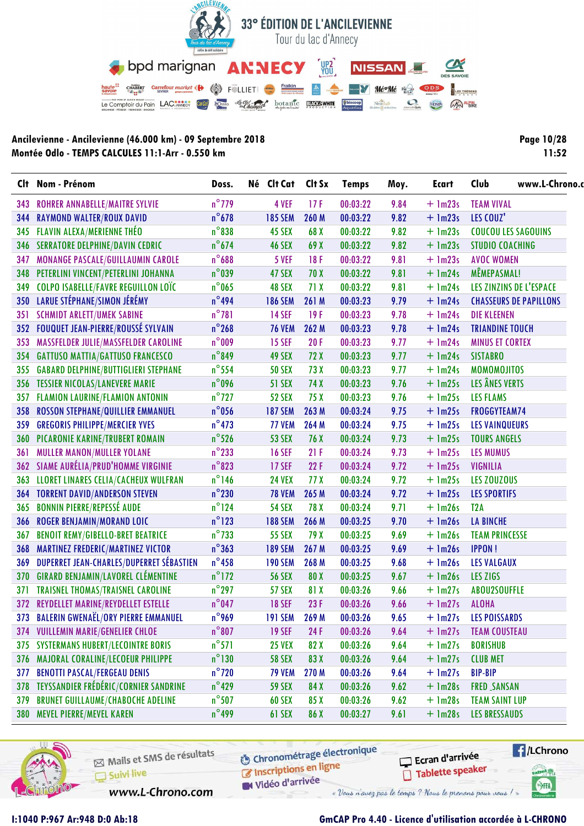

| <b>Page 10/28</b> |
|-------------------|
| 11:52             |

|            | Clt Nom - Prénom                            | Doss.           | Né Clt Cat     | Clt Sx | <b>Temps</b> | Moy. | Ecart       | Club<br>www.L-Chrono.         |  |  |
|------------|---------------------------------------------|-----------------|----------------|--------|--------------|------|-------------|-------------------------------|--|--|
| 343        | <b>ROHRER ANNABELLE/MAITRE SYLVIE</b>       | $n^{\circ}$ 779 | 4 VEF          | 17F    | 00:03:22     | 9.84 | $+$ 1m23s   | <b>TEAM VIVAL</b>             |  |  |
| 344        | <b>RAYMOND WALTER/ROUX DAVID</b>            | $n^{\circ}$ 678 | <b>185 SEM</b> | 260 M  | 00:03:22     | 9.82 | $+$ 1m23s   | LES COUZ'                     |  |  |
| 345        | <b>FLAVIN ALEXA/MERIENNE THÉO</b>           | $n^{\circ}838$  | 45 SEX         | 68 X   | 00:03:22     | 9.82 | $+$ 1m23s   | <b>COUCOU LES SAGOUINS</b>    |  |  |
| 346        | <b>SERRATORE DELPHINE/DAVIN CEDRIC</b>      | $n^{\circ}$ 674 | <b>46 SEX</b>  | 69 X   | 00:03:22     | 9.82 | $+$ 1m23s   | <b>STUDIO COACHING</b>        |  |  |
| 347        | MONANGE PASCALE/GUILLAUMIN CAROLE           | $n^{\circ}688$  | 5 VEF          | 18F    | 00:03:22     | 9.81 | $+$ 1m23s   | <b>AVOC WOMEN</b>             |  |  |
| 348        | PETERLINI VINCENT/PETERLINI JOHANNA         | $n^{\circ}$ 039 | 47 SEX         | 70 X   | 00:03:22     | 9.81 | $+$ 1m24s   | MÊMEPASMAL!                   |  |  |
| 349        | <b>COLPO ISABELLE/FAVRE REGUILLON LOÏC</b>  | $n^{\circ}$ 065 | 48 SEX         | 71X    | 00:03:22     | 9.81 | $+$ 1m24s   | LES ZINZINS DE L'ESPACE       |  |  |
|            | 350 LARUE STÉPHANE/SIMON JÉRÉMY             | $n^{\circ}$ 494 | <b>186 SEM</b> | 261 M  | 00:03:23     | 9.79 | $+$ 1m24s   | <b>CHASSEURS DE PAPILLONS</b> |  |  |
| 351        | <b>SCHMIDT ARLETT/UMEK SABINE</b>           | $n^{\circ}781$  | <b>14 SEF</b>  | 19F    | 00:03:23     | 9.78 | $+$ 1m24s   | <b>DIE KLEENEN</b>            |  |  |
| 352        | <b>FOUQUET JEAN-PIERRE/ROUSSÉ SYLVAIN</b>   | $n^{\circ}$ 268 | <b>76 VEM</b>  | 262 M  | 00:03:23     | 9.78 | $+$ 1m24s   | <b>TRIANDINE TOUCH</b>        |  |  |
| 353        | MASSFELDER JULIE/MASSFELDER CAROLINE        | $n^{\circ}$ 009 | <b>15 SEF</b>  | 20F    | 00:03:23     | 9.77 | $+$ 1m24s   | <b>MINUS ET CORTEX</b>        |  |  |
| 354        | <b>GATTUSO MATTIA/GATTUSO FRANCESCO</b>     | $n^{\circ}$ 849 | 49 SEX         | 72 X   | 00:03:23     | 9.77 | $+$ 1m24s   | <b>SISTABRO</b>               |  |  |
| 355        | <b>GABARD DELPHINE/BUTTIGLIERI STEPHANE</b> | $n^{\circ}$ 554 | <b>50 SEX</b>  | 73 X   | 00:03:23     | 9.77 | $+$ 1m24s   | <b>MOMOMOJITOS</b>            |  |  |
|            | 356 TESSIER NICOLAS/LANEVERE MARIE          | $n^{\circ}$ 096 | <b>51 SEX</b>  | 74 X   | 00:03:23     | 9.76 | $+$ 1m25s   | LES ÂNES VERTS                |  |  |
| 357        | <b>FLAMION LAURINE/FLAMION ANTONIN</b>      | $n^{\circ}$ 727 | <b>52 SEX</b>  | 75 X   | 00:03:23     | 9.76 | $+$ 1m25s   | <b>LES FLAMS</b>              |  |  |
| 358        | ROSSON STEPHANE/QUILLIER EMMANUEL           | $n^{\circ}$ 056 | <b>187 SEM</b> | 263 M  | 00:03:24     | 9.75 | $+$ 1m25s   | FROGGYTEAM74                  |  |  |
| 359        | <b>GREGORIS PHILIPPE/MERCIER YVES</b>       | $n^{\circ}$ 473 | <b>77 VEM</b>  | 264 M  | 00:03:24     | 9.75 | $+$ 1m25s   | <b>LES VAINQUEURS</b>         |  |  |
| <b>360</b> | PICARONIE KARINE/TRUBERT ROMAIN             | $n^{\circ}$ 526 | <b>53 SEX</b>  | 76 X   | 00:03:24     | 9.73 | $+$ 1m25s   | <b>TOURS ANGELS</b>           |  |  |
| 361        | <b>MULLER MANON/MULLER YOLANE</b>           | $n^{\circ}$ 233 | <b>16 SEF</b>  | 21F    | 00:03:24     | 9.73 | $+$ 1m25s   | <b>LES MUMUS</b>              |  |  |
|            | 362 SIAME AURÉLIA/PRUD'HOMME VIRGINIE       | $n^{\circ}$ 823 | <b>17 SEF</b>  | 22F    | 00:03:24     | 9.72 | $+$ 1m25s   | <b>VIGNILIA</b>               |  |  |
| 363        | LLORET LINARES CELIA/CACHEUX WULFRAN        | $n^{\circ}$ 146 | <b>24 VEX</b>  | 77 X   | 00:03:24     | 9.72 | $+$ 1m25s   | LES ZOUZOUS                   |  |  |
|            | <b>364 TORRENT DAVID/ANDERSON STEVEN</b>    | $n^{\circ}$ 230 | <b>78 VEM</b>  | 265 M  | 00:03:24     | 9.72 | $+$ 1m25s   | <b>LES SPORTIFS</b>           |  |  |
| 365        | <b>BONNIN PIERRE/REPESSÉ AUDE</b>           | $n^{\circ}$ 124 | <b>54 SEX</b>  | 78 X   | 00:03:24     | 9.71 | $+$ 1m26s   | T <sub>2</sub> A              |  |  |
| 366        | <b>ROGER BENJAMIN/MORAND LOIC</b>           | $n^{\circ}$ 123 | <b>188 SEM</b> | 266 M  | 00:03:25     | 9.70 | $+$ 1m26s   | <b>LA BINCHE</b>              |  |  |
| 367        | <b>BENOIT REMY/GIBELLO-BRET BEATRICE</b>    | $n^{\circ}$ 733 | <b>55 SEX</b>  | 79 X   | 00:03:25     | 9.69 | $+$ 1m26s   | <b>TEAM PRINCESSE</b>         |  |  |
| 368        | <b>MARTINEZ FREDERIC/MARTINEZ VICTOR</b>    | $n^{\circ}363$  | <b>189 SEM</b> | 267 M  | 00:03:25     | 9.69 | $+$ $lm26s$ | <b>IPPON!</b>                 |  |  |
| 369        | DUPERRET JEAN-CHARLES/DUPERRET SÉBASTIEN    | $n^{\circ}$ 458 | <b>190 SEM</b> | 268 M  | 00:03:25     | 9.68 | $+$ 1m26s   | <b>LES VALGAUX</b>            |  |  |
| 370        | <b>GIRARD BENJAMIN/LAVOREL CLÉMENTINE</b>   | $n^{\circ}$ 172 | <b>56 SEX</b>  | 80 X   | 00:03:25     | 9.67 | $+$ $lm26s$ | LES ZIGS                      |  |  |
| 371        | <b>TRAISNEL THOMAS/TRAISNEL CAROLINE</b>    | $n^{\circ}$ 297 | <b>57 SEX</b>  | 81 X   | 00:03:26     | 9.66 | $+$ 1m27s   | ABOU2SOUFFLE                  |  |  |
|            | 372 REYDELLET MARINE/REYDELLET ESTELLE      | $n^{\circ}$ 047 | <b>18 SEF</b>  | 23F    | 00:03:26     | 9.66 | $+$ 1m27s   | <b>ALOHA</b>                  |  |  |
|            | 373 BALERIN GWENAËL/ORY PIERRE EMMANUEL     | $n^{\circ}$ 969 | <b>191 SEM</b> | 269 M  | 00:03:26     | 9.65 | $+$ 1m27s   | <b>LES POISSARDS</b>          |  |  |
| 374        | <b>VUILLEMIN MARIE/GENELIER CHLOE</b>       | $n^{\circ}807$  | <b>19 SEF</b>  | 24 F   | 00:03:26     | 9.64 | $+$ 1m27s   | <b>TEAM COUSTEAU</b>          |  |  |
| 375        | <b>SYSTERMANS HUBERT/LECOINTRE BORIS</b>    | $n^{\circ}571$  | <b>25 VEX</b>  | 82 X   | 00:03:26     | 9.64 | $+$ $lm27s$ | <b>BORISHUB</b>               |  |  |
| 376        | MAJORAL CORALINE/LECOEUR PHILIPPE           | $n^{\circ}130$  | <b>58 SEX</b>  | 83 X   | 00:03:26     | 9.64 | $+$ 1m27s   | <b>CLUB MET</b>               |  |  |
| 377        | <b>BENOTTI PASCAL/FERGEAU DENIS</b>         | $n^{\circ}$ 720 | <b>79 VEM</b>  | 270 M  | 00:03:26     | 9.64 | $+$ 1m27s   | <b>BIP-BIP</b>                |  |  |
| 378        | TEYSSANDIER FRÉDÉRIC/CORNIER SANDRINE       | $n^{\circ}429$  | <b>59 SEX</b>  | 84 X   | 00:03:26     | 9.62 | $+$ $lm28s$ | <b>FRED SANSAN</b>            |  |  |
| 379        | <b>BRUNET GUILLAUME/CHABOCHE ADELINE</b>    | $n^{\circ}$ 507 | 60 SEX         | 85 X   | 00:03:26     | 9.62 | $+$ 1m28s   | <b>TEAM SAINT LUP</b>         |  |  |
|            | 380 MEVEL PIERRE/MEVEL KAREN                | $n^{\circ}$ 499 | 61 SEX         | 86 X   | 00:03:27     | 9.61 | $+$ 1m28s   | <b>LES BRESSAUDS</b>          |  |  |



Mails et SMS de résultats Suivi live

**6** Chronométrage électronique Inscriptions en ligne

Ecran d'arrivée Tablette speaker



www.L-Chrono.com

Vidéo d'arrivée « Vous n'avez pas le temps ? Nous le prenons pour vous !

#### I:1040 P:967 Ar:948 D:0 Ab:18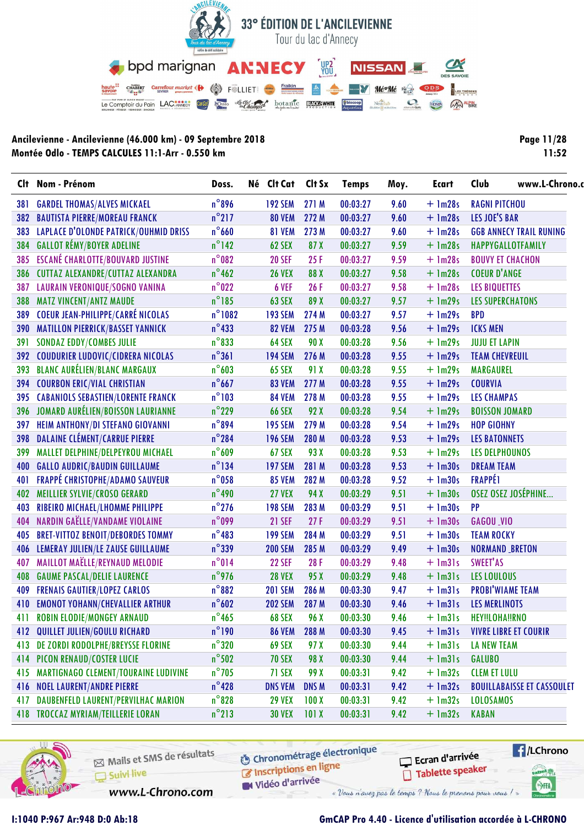

| Page 11/28 |
|------------|
| 11:52      |

| $n^{\circ}$ 896<br>271 M<br>00:03:27<br>$+$ 1m28s<br><b>RAGNI PITCHOU</b><br><b>GARDEL THOMAS/ALVES MICKAEL</b><br><b>192 SEM</b><br>9.60<br>381<br>$n^{\circ}$ 217<br>LES JOE'S BAR<br><b>BAUTISTA PIERRE/MOREAU FRANCK</b><br><b>80 VEM</b><br>272 M<br>00:03:27<br>9.60<br>$+$ 1m28s<br>382<br>$n^{\circ}$ 660<br><b>LAPLACE D'OLONDE PATRICK/OUHMID DRISS</b><br>81 VEM<br>273 M<br>00:03:27<br>9.60<br>$+$ 1m28s<br><b>GGB ANNECY TRAIL RUNING</b><br>383<br><b>GALLOT RÉMY/BOYER ADELINE</b><br>$n^{\circ}$ 142<br>$+$ 1m28s<br>384<br>62 SEX<br>87 X<br>00:03:27<br>9.59<br><b>HAPPYGALLOTFAMILY</b><br>$n^{\circ}082$<br><b>ESCANÉ CHARLOTTE/BOUVARD JUSTINE</b><br>$+$ 1m28s<br><b>BOUVY ET CHACHON</b><br>385<br><b>20 SEF</b><br>25F<br>00:03:27<br>9.59<br>$n^{\circ}$ 462<br><b>COEUR D'ANGE</b><br>CUTTAZ ALEXANDRE/CUTTAZ ALEXANDRA<br>00:03:27<br>$+$ 1m28s<br><b>26 VEX</b><br>88 X<br>9.58<br>386<br>$n^{\circ}022$<br>LAURAIN VERONIQUE/SOGNO VANINA<br>26F<br>00:03:27<br>9.58<br>$+$ 1m28s<br><b>LES BIQUETTES</b><br>387<br>6 VEF<br>$n^{\circ}185$<br><b>MATZ VINCENT/ANTZ MAUDE</b><br>63 SEX<br>89 X<br>00:03:27<br>$+$ 1m29s<br><b>LES SUPERCHATONS</b><br>388<br>9.57<br><b>COEUR JEAN-PHILIPPE/CARRÉ NICOLAS</b><br>$n^{\circ}1082$<br>389<br><b>193 SEM</b><br>274 M<br>00:03:27<br>9.57<br>$+$ 1m29s<br><b>BPD</b><br>$n^{\circ}433$<br><b>390 MATILLON PIERRICK/BASSET YANNICK</b><br>275 M<br>00:03:28<br>9.56<br><b>82 VEM</b><br>$+$ 1m29s<br><b>ICKS MEN</b><br>$n^{\circ}833$<br><b>SONDAZ EDDY/COMBES JULIE</b><br>00:03:28<br>$+$ 1m29s<br>64 SEX<br>90 X<br>9.56<br><b>JUJU ET LAPIN</b><br>391<br>$n^{\circ}361$<br><b>COUDURIER LUDOVIC/CIDRERA NICOLAS</b><br>00:03:28<br><b>194 SEM</b><br>276 M<br>9.55<br>$+$ 1m29s<br><b>TEAM CHEVREUIL</b><br>392<br><b>BLANC AURÉLIEN/BLANC MARGAUX</b><br>$n^{\circ}603$<br>00:03:28<br>9.55<br>$+$ 1m29s<br>393<br>65 SEX<br>91 X<br><b>MARGAUREL</b><br>$n^{\circ}$ 667<br><b>COURBON ERIC/VIAL CHRISTIAN</b><br>277 M<br>00:03:28<br>$+$ 1m29s<br>394<br><b>83 VEM</b><br>9.55<br><b>COURVIA</b><br>$n^{\circ}103$<br><b>CABANIOLS SEBASTIEN/LORENTE FRANCK</b><br>278 M<br>00:03:28<br>9.55<br>$+$ 1m29s<br><b>LES CHAMPAS</b><br>395<br><b>84 VEM</b><br>JOMARD AURÉLIEN/BOISSON LAURIANNE<br>$n^{\circ}$ 229<br>92 X<br>00:03:28<br>9.54<br>$+$ 1m29s<br>396<br><b>66 SEX</b><br><b>BOISSON JOMARD</b><br>$n^{\circ}$ 894<br>HEIM ANTHONY/DI STEFANO GIOVANNI<br>279 M<br><b>195 SEM</b><br>00:03:28<br>9.54<br>$+$ 1m29s<br><b>HOP GIOHNY</b><br>397<br><b>DALAINE CLÉMENT/CARRUE PIERRE</b><br>$n^{\circ}$ 284<br>00:03:28<br>$+$ 1m29s<br>398<br><b>196 SEM</b><br>280 M<br>9.53<br><b>LES BATONNETS</b><br>$n^{\circ}609$<br>MALLET DELPHINE/DELPEYROU MICHAEL<br>67 SEX<br>93 X<br>00:03:28<br>$+$ 1m29s<br>399<br>9.53<br><b>LES DELPHOUNOS</b><br>$n^{\circ}$ 134<br><b>GALLO AUDRIC/BAUDIN GUILLAUME</b><br>281 M<br>00:03:28<br>$+$ 1m30s<br><b>DREAM TEAM</b><br>400<br><b>197 SEM</b><br>9.53<br><b>FRAPPÉ CHRISTOPHE/ADAMO SAUVEUR</b><br>$n^{\circ}$ 058<br><b>FRAPPÉ1</b><br>401<br><b>85 VEM</b><br>282 M<br>00:03:28<br>9.52<br>$+$ 1m30s<br>OSEZ OSEZ JOSÉPHINE<br>$n^{\circ}$ 490<br><b>MEILLIER SYLVIE/CROSO GERARD</b><br><b>27 VEX</b><br>94 X<br>00:03:29<br>$+$ 1m30s<br>402<br>9.51<br>$n^{\circ}$ 276<br>RIBEIRO MICHAEL/LHOMME PHILIPPE<br><b>198 SEM</b><br>283 M<br>00:03:29<br>9.51<br>$+$ 1m30s<br>PP<br>403<br>$n^{\circ}$ 099<br>NARDIN GAËLLE/VANDAME VIOLAINE<br>00:03:29<br>$+$ 1m30s<br><b>21 SEF</b><br>27F<br>9.51<br><b>GAGOU_VIO</b><br>404<br>$n^{\circ}483$<br><b>BRET-VITTOZ BENOIT/DEBORDES TOMMY</b><br>284 M<br>$+$ 1m30s<br>405<br><b>199 SEM</b><br>00:03:29<br>9.51<br><b>TEAM ROCKY</b><br>$n^{\circ}339$<br>LEMERAY JULIEN/LE ZAUSE GUILLAUME<br><b>200 SEM</b><br>285 M<br>00:03:29<br>9.49<br>$+$ 1m30s<br><b>NORMAND BRETON</b><br>406<br>MAILLOT MAËLLE/REYNAUD MELODIE<br>$n^{\circ}014$<br>28F<br>00:03:29<br>9.48<br>$+$ 1m31s<br>SWEET'AS<br>407<br><b>22 SEF</b><br>$n^{\circ}$ 976<br><b>GAUME PASCAL/DELIE LAURENCE</b><br>$+$ $lm31s$<br><b>28 VEX</b><br>95 X<br>00:03:29<br>9.48<br><b>LES LOULOUS</b><br>408<br>$n^{\circ}882$<br><b>FRENAIS GAUTIER/LOPEZ CARLOS</b><br>286 M<br>$+$ $lm31s$<br><b>PROBI'WIAME TEAM</b><br><b>201 SEM</b><br>00:03:30<br>9.47<br>409<br>$n^{\circ}602$<br>$+$ $lm31s$<br><b>EMONOT YOHANN/CHEVALLIER ARTHUR</b><br><b>202 SEM</b><br>287 M<br>00:03:30<br>9.46<br><b>LES MERLINOTS</b><br>410<br>$n^{\circ}$ 465<br><b>ROBIN ELODIE/MONGEY ARNAUD</b><br>68 SEX<br>96 X<br>00:03:30<br>9.46<br>$+$ $lm31s$<br>HEY!!LOHA!!RNO<br>411<br>$n^{\circ}$ 190<br>QUILLET JULIEN/GOULU RICHARD<br>00:03:30<br>$+$ $lm31s$<br><b>VIVRE LIBRE ET COURIR</b><br><b>86 VEM</b><br>288 M<br>9.45<br>412<br>$n^{\circ}320$<br>DE ZORDI RODOLPHE/BREYSSE FLORINE<br>$+$ $lm31s$<br>69 SEX<br>97 X<br>00:03:30<br>9.44<br><b>LA NEW TEAM</b><br>413<br>$n^{\circ}$ 502<br>$+$ $lm31s$<br>PICON RENAUD/COSTER LUCIE<br><b>70 SEX</b><br>98 X<br>00:03:30<br>9.44<br><b>GALUBO</b><br>414<br>$n^{\circ}$ 705<br><b>MARTIGNAGO CLEMENT/TOURAINE LUDIVINE</b><br><b>CLEM ET LULU</b><br>71 SEX<br>99 X<br>00:03:31<br>9.42<br>$+$ $lm32s$<br>415<br>$n^{\circ}$ 428<br>00:03:31<br><b>NOEL LAURENT/ANDRE PIERRE</b><br><b>DNS VEM</b><br>DNS M<br>9.42<br>$+$ 1m32s<br><b>BOUILLABAISSE ET CASSOULET</b><br>416<br>$n^{\circ}$ 828<br>DAUBENFELD LAURENT/PERVILHAC MARION<br><b>29 VEX</b><br>100X<br>00:03:31<br>9.42<br>$+$ $lm32s$<br><b>LOLOSAMOS</b><br>417<br>$n^{\circ}$ 213<br>418 TROCCAZ MYRIAM/TEILLERIE LORAN<br>00:03:31<br>$+$ 1m32s<br><b>KABAN</b><br><b>30 VEX</b><br>101X<br>9.42 | Clt Nom - Prénom | Doss. | Né Clt Cat | Clt Sx | <b>Temps</b> | Moy. | <b>Ecart</b> | Club | www.L-Chrono.c |  |  |
|---------------------------------------------------------------------------------------------------------------------------------------------------------------------------------------------------------------------------------------------------------------------------------------------------------------------------------------------------------------------------------------------------------------------------------------------------------------------------------------------------------------------------------------------------------------------------------------------------------------------------------------------------------------------------------------------------------------------------------------------------------------------------------------------------------------------------------------------------------------------------------------------------------------------------------------------------------------------------------------------------------------------------------------------------------------------------------------------------------------------------------------------------------------------------------------------------------------------------------------------------------------------------------------------------------------------------------------------------------------------------------------------------------------------------------------------------------------------------------------------------------------------------------------------------------------------------------------------------------------------------------------------------------------------------------------------------------------------------------------------------------------------------------------------------------------------------------------------------------------------------------------------------------------------------------------------------------------------------------------------------------------------------------------------------------------------------------------------------------------------------------------------------------------------------------------------------------------------------------------------------------------------------------------------------------------------------------------------------------------------------------------------------------------------------------------------------------------------------------------------------------------------------------------------------------------------------------------------------------------------------------------------------------------------------------------------------------------------------------------------------------------------------------------------------------------------------------------------------------------------------------------------------------------------------------------------------------------------------------------------------------------------------------------------------------------------------------------------------------------------------------------------------------------------------------------------------------------------------------------------------------------------------------------------------------------------------------------------------------------------------------------------------------------------------------------------------------------------------------------------------------------------------------------------------------------------------------------------------------------------------------------------------------------------------------------------------------------------------------------------------------------------------------------------------------------------------------------------------------------------------------------------------------------------------------------------------------------------------------------------------------------------------------------------------------------------------------------------------------------------------------------------------------------------------------------------------------------------------------------------------------------------------------------------------------------------------------------------------------------------------------------------------------------------------------------------------------------------------------------------------------------------------------------------------------------------------------------------------------------------------------------------------------------------------------------------------------------------------------------------------------------------------------------------------------------------------------------------------------------------------------------------------------------------------------------------------------------------------------------------------------------------------------------------------------------------------------------------------------------------------------------------------------------------------------------------------------------------------------------------------------------------------------------------------------------------------------------------------------------------------------------------------------------------------------------------------------------------------------------------------------------------------------------------------------------------------------------------------------------------------------------------------------------------------|------------------|-------|------------|--------|--------------|------|--------------|------|----------------|--|--|
|                                                                                                                                                                                                                                                                                                                                                                                                                                                                                                                                                                                                                                                                                                                                                                                                                                                                                                                                                                                                                                                                                                                                                                                                                                                                                                                                                                                                                                                                                                                                                                                                                                                                                                                                                                                                                                                                                                                                                                                                                                                                                                                                                                                                                                                                                                                                                                                                                                                                                                                                                                                                                                                                                                                                                                                                                                                                                                                                                                                                                                                                                                                                                                                                                                                                                                                                                                                                                                                                                                                                                                                                                                                                                                                                                                                                                                                                                                                                                                                                                                                                                                                                                                                                                                                                                                                                                                                                                                                                                                                                                                                                                                                                                                                                                                                                                                                                                                                                                                                                                                                                                                                                                                                                                                                                                                                                                                                                                                                                                                                                                                                                                                                                           |                  |       |            |        |              |      |              |      |                |  |  |
|                                                                                                                                                                                                                                                                                                                                                                                                                                                                                                                                                                                                                                                                                                                                                                                                                                                                                                                                                                                                                                                                                                                                                                                                                                                                                                                                                                                                                                                                                                                                                                                                                                                                                                                                                                                                                                                                                                                                                                                                                                                                                                                                                                                                                                                                                                                                                                                                                                                                                                                                                                                                                                                                                                                                                                                                                                                                                                                                                                                                                                                                                                                                                                                                                                                                                                                                                                                                                                                                                                                                                                                                                                                                                                                                                                                                                                                                                                                                                                                                                                                                                                                                                                                                                                                                                                                                                                                                                                                                                                                                                                                                                                                                                                                                                                                                                                                                                                                                                                                                                                                                                                                                                                                                                                                                                                                                                                                                                                                                                                                                                                                                                                                                           |                  |       |            |        |              |      |              |      |                |  |  |
|                                                                                                                                                                                                                                                                                                                                                                                                                                                                                                                                                                                                                                                                                                                                                                                                                                                                                                                                                                                                                                                                                                                                                                                                                                                                                                                                                                                                                                                                                                                                                                                                                                                                                                                                                                                                                                                                                                                                                                                                                                                                                                                                                                                                                                                                                                                                                                                                                                                                                                                                                                                                                                                                                                                                                                                                                                                                                                                                                                                                                                                                                                                                                                                                                                                                                                                                                                                                                                                                                                                                                                                                                                                                                                                                                                                                                                                                                                                                                                                                                                                                                                                                                                                                                                                                                                                                                                                                                                                                                                                                                                                                                                                                                                                                                                                                                                                                                                                                                                                                                                                                                                                                                                                                                                                                                                                                                                                                                                                                                                                                                                                                                                                                           |                  |       |            |        |              |      |              |      |                |  |  |
|                                                                                                                                                                                                                                                                                                                                                                                                                                                                                                                                                                                                                                                                                                                                                                                                                                                                                                                                                                                                                                                                                                                                                                                                                                                                                                                                                                                                                                                                                                                                                                                                                                                                                                                                                                                                                                                                                                                                                                                                                                                                                                                                                                                                                                                                                                                                                                                                                                                                                                                                                                                                                                                                                                                                                                                                                                                                                                                                                                                                                                                                                                                                                                                                                                                                                                                                                                                                                                                                                                                                                                                                                                                                                                                                                                                                                                                                                                                                                                                                                                                                                                                                                                                                                                                                                                                                                                                                                                                                                                                                                                                                                                                                                                                                                                                                                                                                                                                                                                                                                                                                                                                                                                                                                                                                                                                                                                                                                                                                                                                                                                                                                                                                           |                  |       |            |        |              |      |              |      |                |  |  |
|                                                                                                                                                                                                                                                                                                                                                                                                                                                                                                                                                                                                                                                                                                                                                                                                                                                                                                                                                                                                                                                                                                                                                                                                                                                                                                                                                                                                                                                                                                                                                                                                                                                                                                                                                                                                                                                                                                                                                                                                                                                                                                                                                                                                                                                                                                                                                                                                                                                                                                                                                                                                                                                                                                                                                                                                                                                                                                                                                                                                                                                                                                                                                                                                                                                                                                                                                                                                                                                                                                                                                                                                                                                                                                                                                                                                                                                                                                                                                                                                                                                                                                                                                                                                                                                                                                                                                                                                                                                                                                                                                                                                                                                                                                                                                                                                                                                                                                                                                                                                                                                                                                                                                                                                                                                                                                                                                                                                                                                                                                                                                                                                                                                                           |                  |       |            |        |              |      |              |      |                |  |  |
|                                                                                                                                                                                                                                                                                                                                                                                                                                                                                                                                                                                                                                                                                                                                                                                                                                                                                                                                                                                                                                                                                                                                                                                                                                                                                                                                                                                                                                                                                                                                                                                                                                                                                                                                                                                                                                                                                                                                                                                                                                                                                                                                                                                                                                                                                                                                                                                                                                                                                                                                                                                                                                                                                                                                                                                                                                                                                                                                                                                                                                                                                                                                                                                                                                                                                                                                                                                                                                                                                                                                                                                                                                                                                                                                                                                                                                                                                                                                                                                                                                                                                                                                                                                                                                                                                                                                                                                                                                                                                                                                                                                                                                                                                                                                                                                                                                                                                                                                                                                                                                                                                                                                                                                                                                                                                                                                                                                                                                                                                                                                                                                                                                                                           |                  |       |            |        |              |      |              |      |                |  |  |
|                                                                                                                                                                                                                                                                                                                                                                                                                                                                                                                                                                                                                                                                                                                                                                                                                                                                                                                                                                                                                                                                                                                                                                                                                                                                                                                                                                                                                                                                                                                                                                                                                                                                                                                                                                                                                                                                                                                                                                                                                                                                                                                                                                                                                                                                                                                                                                                                                                                                                                                                                                                                                                                                                                                                                                                                                                                                                                                                                                                                                                                                                                                                                                                                                                                                                                                                                                                                                                                                                                                                                                                                                                                                                                                                                                                                                                                                                                                                                                                                                                                                                                                                                                                                                                                                                                                                                                                                                                                                                                                                                                                                                                                                                                                                                                                                                                                                                                                                                                                                                                                                                                                                                                                                                                                                                                                                                                                                                                                                                                                                                                                                                                                                           |                  |       |            |        |              |      |              |      |                |  |  |
|                                                                                                                                                                                                                                                                                                                                                                                                                                                                                                                                                                                                                                                                                                                                                                                                                                                                                                                                                                                                                                                                                                                                                                                                                                                                                                                                                                                                                                                                                                                                                                                                                                                                                                                                                                                                                                                                                                                                                                                                                                                                                                                                                                                                                                                                                                                                                                                                                                                                                                                                                                                                                                                                                                                                                                                                                                                                                                                                                                                                                                                                                                                                                                                                                                                                                                                                                                                                                                                                                                                                                                                                                                                                                                                                                                                                                                                                                                                                                                                                                                                                                                                                                                                                                                                                                                                                                                                                                                                                                                                                                                                                                                                                                                                                                                                                                                                                                                                                                                                                                                                                                                                                                                                                                                                                                                                                                                                                                                                                                                                                                                                                                                                                           |                  |       |            |        |              |      |              |      |                |  |  |
|                                                                                                                                                                                                                                                                                                                                                                                                                                                                                                                                                                                                                                                                                                                                                                                                                                                                                                                                                                                                                                                                                                                                                                                                                                                                                                                                                                                                                                                                                                                                                                                                                                                                                                                                                                                                                                                                                                                                                                                                                                                                                                                                                                                                                                                                                                                                                                                                                                                                                                                                                                                                                                                                                                                                                                                                                                                                                                                                                                                                                                                                                                                                                                                                                                                                                                                                                                                                                                                                                                                                                                                                                                                                                                                                                                                                                                                                                                                                                                                                                                                                                                                                                                                                                                                                                                                                                                                                                                                                                                                                                                                                                                                                                                                                                                                                                                                                                                                                                                                                                                                                                                                                                                                                                                                                                                                                                                                                                                                                                                                                                                                                                                                                           |                  |       |            |        |              |      |              |      |                |  |  |
|                                                                                                                                                                                                                                                                                                                                                                                                                                                                                                                                                                                                                                                                                                                                                                                                                                                                                                                                                                                                                                                                                                                                                                                                                                                                                                                                                                                                                                                                                                                                                                                                                                                                                                                                                                                                                                                                                                                                                                                                                                                                                                                                                                                                                                                                                                                                                                                                                                                                                                                                                                                                                                                                                                                                                                                                                                                                                                                                                                                                                                                                                                                                                                                                                                                                                                                                                                                                                                                                                                                                                                                                                                                                                                                                                                                                                                                                                                                                                                                                                                                                                                                                                                                                                                                                                                                                                                                                                                                                                                                                                                                                                                                                                                                                                                                                                                                                                                                                                                                                                                                                                                                                                                                                                                                                                                                                                                                                                                                                                                                                                                                                                                                                           |                  |       |            |        |              |      |              |      |                |  |  |
|                                                                                                                                                                                                                                                                                                                                                                                                                                                                                                                                                                                                                                                                                                                                                                                                                                                                                                                                                                                                                                                                                                                                                                                                                                                                                                                                                                                                                                                                                                                                                                                                                                                                                                                                                                                                                                                                                                                                                                                                                                                                                                                                                                                                                                                                                                                                                                                                                                                                                                                                                                                                                                                                                                                                                                                                                                                                                                                                                                                                                                                                                                                                                                                                                                                                                                                                                                                                                                                                                                                                                                                                                                                                                                                                                                                                                                                                                                                                                                                                                                                                                                                                                                                                                                                                                                                                                                                                                                                                                                                                                                                                                                                                                                                                                                                                                                                                                                                                                                                                                                                                                                                                                                                                                                                                                                                                                                                                                                                                                                                                                                                                                                                                           |                  |       |            |        |              |      |              |      |                |  |  |
|                                                                                                                                                                                                                                                                                                                                                                                                                                                                                                                                                                                                                                                                                                                                                                                                                                                                                                                                                                                                                                                                                                                                                                                                                                                                                                                                                                                                                                                                                                                                                                                                                                                                                                                                                                                                                                                                                                                                                                                                                                                                                                                                                                                                                                                                                                                                                                                                                                                                                                                                                                                                                                                                                                                                                                                                                                                                                                                                                                                                                                                                                                                                                                                                                                                                                                                                                                                                                                                                                                                                                                                                                                                                                                                                                                                                                                                                                                                                                                                                                                                                                                                                                                                                                                                                                                                                                                                                                                                                                                                                                                                                                                                                                                                                                                                                                                                                                                                                                                                                                                                                                                                                                                                                                                                                                                                                                                                                                                                                                                                                                                                                                                                                           |                  |       |            |        |              |      |              |      |                |  |  |
|                                                                                                                                                                                                                                                                                                                                                                                                                                                                                                                                                                                                                                                                                                                                                                                                                                                                                                                                                                                                                                                                                                                                                                                                                                                                                                                                                                                                                                                                                                                                                                                                                                                                                                                                                                                                                                                                                                                                                                                                                                                                                                                                                                                                                                                                                                                                                                                                                                                                                                                                                                                                                                                                                                                                                                                                                                                                                                                                                                                                                                                                                                                                                                                                                                                                                                                                                                                                                                                                                                                                                                                                                                                                                                                                                                                                                                                                                                                                                                                                                                                                                                                                                                                                                                                                                                                                                                                                                                                                                                                                                                                                                                                                                                                                                                                                                                                                                                                                                                                                                                                                                                                                                                                                                                                                                                                                                                                                                                                                                                                                                                                                                                                                           |                  |       |            |        |              |      |              |      |                |  |  |
|                                                                                                                                                                                                                                                                                                                                                                                                                                                                                                                                                                                                                                                                                                                                                                                                                                                                                                                                                                                                                                                                                                                                                                                                                                                                                                                                                                                                                                                                                                                                                                                                                                                                                                                                                                                                                                                                                                                                                                                                                                                                                                                                                                                                                                                                                                                                                                                                                                                                                                                                                                                                                                                                                                                                                                                                                                                                                                                                                                                                                                                                                                                                                                                                                                                                                                                                                                                                                                                                                                                                                                                                                                                                                                                                                                                                                                                                                                                                                                                                                                                                                                                                                                                                                                                                                                                                                                                                                                                                                                                                                                                                                                                                                                                                                                                                                                                                                                                                                                                                                                                                                                                                                                                                                                                                                                                                                                                                                                                                                                                                                                                                                                                                           |                  |       |            |        |              |      |              |      |                |  |  |
|                                                                                                                                                                                                                                                                                                                                                                                                                                                                                                                                                                                                                                                                                                                                                                                                                                                                                                                                                                                                                                                                                                                                                                                                                                                                                                                                                                                                                                                                                                                                                                                                                                                                                                                                                                                                                                                                                                                                                                                                                                                                                                                                                                                                                                                                                                                                                                                                                                                                                                                                                                                                                                                                                                                                                                                                                                                                                                                                                                                                                                                                                                                                                                                                                                                                                                                                                                                                                                                                                                                                                                                                                                                                                                                                                                                                                                                                                                                                                                                                                                                                                                                                                                                                                                                                                                                                                                                                                                                                                                                                                                                                                                                                                                                                                                                                                                                                                                                                                                                                                                                                                                                                                                                                                                                                                                                                                                                                                                                                                                                                                                                                                                                                           |                  |       |            |        |              |      |              |      |                |  |  |
|                                                                                                                                                                                                                                                                                                                                                                                                                                                                                                                                                                                                                                                                                                                                                                                                                                                                                                                                                                                                                                                                                                                                                                                                                                                                                                                                                                                                                                                                                                                                                                                                                                                                                                                                                                                                                                                                                                                                                                                                                                                                                                                                                                                                                                                                                                                                                                                                                                                                                                                                                                                                                                                                                                                                                                                                                                                                                                                                                                                                                                                                                                                                                                                                                                                                                                                                                                                                                                                                                                                                                                                                                                                                                                                                                                                                                                                                                                                                                                                                                                                                                                                                                                                                                                                                                                                                                                                                                                                                                                                                                                                                                                                                                                                                                                                                                                                                                                                                                                                                                                                                                                                                                                                                                                                                                                                                                                                                                                                                                                                                                                                                                                                                           |                  |       |            |        |              |      |              |      |                |  |  |
|                                                                                                                                                                                                                                                                                                                                                                                                                                                                                                                                                                                                                                                                                                                                                                                                                                                                                                                                                                                                                                                                                                                                                                                                                                                                                                                                                                                                                                                                                                                                                                                                                                                                                                                                                                                                                                                                                                                                                                                                                                                                                                                                                                                                                                                                                                                                                                                                                                                                                                                                                                                                                                                                                                                                                                                                                                                                                                                                                                                                                                                                                                                                                                                                                                                                                                                                                                                                                                                                                                                                                                                                                                                                                                                                                                                                                                                                                                                                                                                                                                                                                                                                                                                                                                                                                                                                                                                                                                                                                                                                                                                                                                                                                                                                                                                                                                                                                                                                                                                                                                                                                                                                                                                                                                                                                                                                                                                                                                                                                                                                                                                                                                                                           |                  |       |            |        |              |      |              |      |                |  |  |
|                                                                                                                                                                                                                                                                                                                                                                                                                                                                                                                                                                                                                                                                                                                                                                                                                                                                                                                                                                                                                                                                                                                                                                                                                                                                                                                                                                                                                                                                                                                                                                                                                                                                                                                                                                                                                                                                                                                                                                                                                                                                                                                                                                                                                                                                                                                                                                                                                                                                                                                                                                                                                                                                                                                                                                                                                                                                                                                                                                                                                                                                                                                                                                                                                                                                                                                                                                                                                                                                                                                                                                                                                                                                                                                                                                                                                                                                                                                                                                                                                                                                                                                                                                                                                                                                                                                                                                                                                                                                                                                                                                                                                                                                                                                                                                                                                                                                                                                                                                                                                                                                                                                                                                                                                                                                                                                                                                                                                                                                                                                                                                                                                                                                           |                  |       |            |        |              |      |              |      |                |  |  |
|                                                                                                                                                                                                                                                                                                                                                                                                                                                                                                                                                                                                                                                                                                                                                                                                                                                                                                                                                                                                                                                                                                                                                                                                                                                                                                                                                                                                                                                                                                                                                                                                                                                                                                                                                                                                                                                                                                                                                                                                                                                                                                                                                                                                                                                                                                                                                                                                                                                                                                                                                                                                                                                                                                                                                                                                                                                                                                                                                                                                                                                                                                                                                                                                                                                                                                                                                                                                                                                                                                                                                                                                                                                                                                                                                                                                                                                                                                                                                                                                                                                                                                                                                                                                                                                                                                                                                                                                                                                                                                                                                                                                                                                                                                                                                                                                                                                                                                                                                                                                                                                                                                                                                                                                                                                                                                                                                                                                                                                                                                                                                                                                                                                                           |                  |       |            |        |              |      |              |      |                |  |  |
|                                                                                                                                                                                                                                                                                                                                                                                                                                                                                                                                                                                                                                                                                                                                                                                                                                                                                                                                                                                                                                                                                                                                                                                                                                                                                                                                                                                                                                                                                                                                                                                                                                                                                                                                                                                                                                                                                                                                                                                                                                                                                                                                                                                                                                                                                                                                                                                                                                                                                                                                                                                                                                                                                                                                                                                                                                                                                                                                                                                                                                                                                                                                                                                                                                                                                                                                                                                                                                                                                                                                                                                                                                                                                                                                                                                                                                                                                                                                                                                                                                                                                                                                                                                                                                                                                                                                                                                                                                                                                                                                                                                                                                                                                                                                                                                                                                                                                                                                                                                                                                                                                                                                                                                                                                                                                                                                                                                                                                                                                                                                                                                                                                                                           |                  |       |            |        |              |      |              |      |                |  |  |
|                                                                                                                                                                                                                                                                                                                                                                                                                                                                                                                                                                                                                                                                                                                                                                                                                                                                                                                                                                                                                                                                                                                                                                                                                                                                                                                                                                                                                                                                                                                                                                                                                                                                                                                                                                                                                                                                                                                                                                                                                                                                                                                                                                                                                                                                                                                                                                                                                                                                                                                                                                                                                                                                                                                                                                                                                                                                                                                                                                                                                                                                                                                                                                                                                                                                                                                                                                                                                                                                                                                                                                                                                                                                                                                                                                                                                                                                                                                                                                                                                                                                                                                                                                                                                                                                                                                                                                                                                                                                                                                                                                                                                                                                                                                                                                                                                                                                                                                                                                                                                                                                                                                                                                                                                                                                                                                                                                                                                                                                                                                                                                                                                                                                           |                  |       |            |        |              |      |              |      |                |  |  |
|                                                                                                                                                                                                                                                                                                                                                                                                                                                                                                                                                                                                                                                                                                                                                                                                                                                                                                                                                                                                                                                                                                                                                                                                                                                                                                                                                                                                                                                                                                                                                                                                                                                                                                                                                                                                                                                                                                                                                                                                                                                                                                                                                                                                                                                                                                                                                                                                                                                                                                                                                                                                                                                                                                                                                                                                                                                                                                                                                                                                                                                                                                                                                                                                                                                                                                                                                                                                                                                                                                                                                                                                                                                                                                                                                                                                                                                                                                                                                                                                                                                                                                                                                                                                                                                                                                                                                                                                                                                                                                                                                                                                                                                                                                                                                                                                                                                                                                                                                                                                                                                                                                                                                                                                                                                                                                                                                                                                                                                                                                                                                                                                                                                                           |                  |       |            |        |              |      |              |      |                |  |  |
|                                                                                                                                                                                                                                                                                                                                                                                                                                                                                                                                                                                                                                                                                                                                                                                                                                                                                                                                                                                                                                                                                                                                                                                                                                                                                                                                                                                                                                                                                                                                                                                                                                                                                                                                                                                                                                                                                                                                                                                                                                                                                                                                                                                                                                                                                                                                                                                                                                                                                                                                                                                                                                                                                                                                                                                                                                                                                                                                                                                                                                                                                                                                                                                                                                                                                                                                                                                                                                                                                                                                                                                                                                                                                                                                                                                                                                                                                                                                                                                                                                                                                                                                                                                                                                                                                                                                                                                                                                                                                                                                                                                                                                                                                                                                                                                                                                                                                                                                                                                                                                                                                                                                                                                                                                                                                                                                                                                                                                                                                                                                                                                                                                                                           |                  |       |            |        |              |      |              |      |                |  |  |
|                                                                                                                                                                                                                                                                                                                                                                                                                                                                                                                                                                                                                                                                                                                                                                                                                                                                                                                                                                                                                                                                                                                                                                                                                                                                                                                                                                                                                                                                                                                                                                                                                                                                                                                                                                                                                                                                                                                                                                                                                                                                                                                                                                                                                                                                                                                                                                                                                                                                                                                                                                                                                                                                                                                                                                                                                                                                                                                                                                                                                                                                                                                                                                                                                                                                                                                                                                                                                                                                                                                                                                                                                                                                                                                                                                                                                                                                                                                                                                                                                                                                                                                                                                                                                                                                                                                                                                                                                                                                                                                                                                                                                                                                                                                                                                                                                                                                                                                                                                                                                                                                                                                                                                                                                                                                                                                                                                                                                                                                                                                                                                                                                                                                           |                  |       |            |        |              |      |              |      |                |  |  |
|                                                                                                                                                                                                                                                                                                                                                                                                                                                                                                                                                                                                                                                                                                                                                                                                                                                                                                                                                                                                                                                                                                                                                                                                                                                                                                                                                                                                                                                                                                                                                                                                                                                                                                                                                                                                                                                                                                                                                                                                                                                                                                                                                                                                                                                                                                                                                                                                                                                                                                                                                                                                                                                                                                                                                                                                                                                                                                                                                                                                                                                                                                                                                                                                                                                                                                                                                                                                                                                                                                                                                                                                                                                                                                                                                                                                                                                                                                                                                                                                                                                                                                                                                                                                                                                                                                                                                                                                                                                                                                                                                                                                                                                                                                                                                                                                                                                                                                                                                                                                                                                                                                                                                                                                                                                                                                                                                                                                                                                                                                                                                                                                                                                                           |                  |       |            |        |              |      |              |      |                |  |  |
|                                                                                                                                                                                                                                                                                                                                                                                                                                                                                                                                                                                                                                                                                                                                                                                                                                                                                                                                                                                                                                                                                                                                                                                                                                                                                                                                                                                                                                                                                                                                                                                                                                                                                                                                                                                                                                                                                                                                                                                                                                                                                                                                                                                                                                                                                                                                                                                                                                                                                                                                                                                                                                                                                                                                                                                                                                                                                                                                                                                                                                                                                                                                                                                                                                                                                                                                                                                                                                                                                                                                                                                                                                                                                                                                                                                                                                                                                                                                                                                                                                                                                                                                                                                                                                                                                                                                                                                                                                                                                                                                                                                                                                                                                                                                                                                                                                                                                                                                                                                                                                                                                                                                                                                                                                                                                                                                                                                                                                                                                                                                                                                                                                                                           |                  |       |            |        |              |      |              |      |                |  |  |
|                                                                                                                                                                                                                                                                                                                                                                                                                                                                                                                                                                                                                                                                                                                                                                                                                                                                                                                                                                                                                                                                                                                                                                                                                                                                                                                                                                                                                                                                                                                                                                                                                                                                                                                                                                                                                                                                                                                                                                                                                                                                                                                                                                                                                                                                                                                                                                                                                                                                                                                                                                                                                                                                                                                                                                                                                                                                                                                                                                                                                                                                                                                                                                                                                                                                                                                                                                                                                                                                                                                                                                                                                                                                                                                                                                                                                                                                                                                                                                                                                                                                                                                                                                                                                                                                                                                                                                                                                                                                                                                                                                                                                                                                                                                                                                                                                                                                                                                                                                                                                                                                                                                                                                                                                                                                                                                                                                                                                                                                                                                                                                                                                                                                           |                  |       |            |        |              |      |              |      |                |  |  |
|                                                                                                                                                                                                                                                                                                                                                                                                                                                                                                                                                                                                                                                                                                                                                                                                                                                                                                                                                                                                                                                                                                                                                                                                                                                                                                                                                                                                                                                                                                                                                                                                                                                                                                                                                                                                                                                                                                                                                                                                                                                                                                                                                                                                                                                                                                                                                                                                                                                                                                                                                                                                                                                                                                                                                                                                                                                                                                                                                                                                                                                                                                                                                                                                                                                                                                                                                                                                                                                                                                                                                                                                                                                                                                                                                                                                                                                                                                                                                                                                                                                                                                                                                                                                                                                                                                                                                                                                                                                                                                                                                                                                                                                                                                                                                                                                                                                                                                                                                                                                                                                                                                                                                                                                                                                                                                                                                                                                                                                                                                                                                                                                                                                                           |                  |       |            |        |              |      |              |      |                |  |  |
|                                                                                                                                                                                                                                                                                                                                                                                                                                                                                                                                                                                                                                                                                                                                                                                                                                                                                                                                                                                                                                                                                                                                                                                                                                                                                                                                                                                                                                                                                                                                                                                                                                                                                                                                                                                                                                                                                                                                                                                                                                                                                                                                                                                                                                                                                                                                                                                                                                                                                                                                                                                                                                                                                                                                                                                                                                                                                                                                                                                                                                                                                                                                                                                                                                                                                                                                                                                                                                                                                                                                                                                                                                                                                                                                                                                                                                                                                                                                                                                                                                                                                                                                                                                                                                                                                                                                                                                                                                                                                                                                                                                                                                                                                                                                                                                                                                                                                                                                                                                                                                                                                                                                                                                                                                                                                                                                                                                                                                                                                                                                                                                                                                                                           |                  |       |            |        |              |      |              |      |                |  |  |
|                                                                                                                                                                                                                                                                                                                                                                                                                                                                                                                                                                                                                                                                                                                                                                                                                                                                                                                                                                                                                                                                                                                                                                                                                                                                                                                                                                                                                                                                                                                                                                                                                                                                                                                                                                                                                                                                                                                                                                                                                                                                                                                                                                                                                                                                                                                                                                                                                                                                                                                                                                                                                                                                                                                                                                                                                                                                                                                                                                                                                                                                                                                                                                                                                                                                                                                                                                                                                                                                                                                                                                                                                                                                                                                                                                                                                                                                                                                                                                                                                                                                                                                                                                                                                                                                                                                                                                                                                                                                                                                                                                                                                                                                                                                                                                                                                                                                                                                                                                                                                                                                                                                                                                                                                                                                                                                                                                                                                                                                                                                                                                                                                                                                           |                  |       |            |        |              |      |              |      |                |  |  |
|                                                                                                                                                                                                                                                                                                                                                                                                                                                                                                                                                                                                                                                                                                                                                                                                                                                                                                                                                                                                                                                                                                                                                                                                                                                                                                                                                                                                                                                                                                                                                                                                                                                                                                                                                                                                                                                                                                                                                                                                                                                                                                                                                                                                                                                                                                                                                                                                                                                                                                                                                                                                                                                                                                                                                                                                                                                                                                                                                                                                                                                                                                                                                                                                                                                                                                                                                                                                                                                                                                                                                                                                                                                                                                                                                                                                                                                                                                                                                                                                                                                                                                                                                                                                                                                                                                                                                                                                                                                                                                                                                                                                                                                                                                                                                                                                                                                                                                                                                                                                                                                                                                                                                                                                                                                                                                                                                                                                                                                                                                                                                                                                                                                                           |                  |       |            |        |              |      |              |      |                |  |  |
|                                                                                                                                                                                                                                                                                                                                                                                                                                                                                                                                                                                                                                                                                                                                                                                                                                                                                                                                                                                                                                                                                                                                                                                                                                                                                                                                                                                                                                                                                                                                                                                                                                                                                                                                                                                                                                                                                                                                                                                                                                                                                                                                                                                                                                                                                                                                                                                                                                                                                                                                                                                                                                                                                                                                                                                                                                                                                                                                                                                                                                                                                                                                                                                                                                                                                                                                                                                                                                                                                                                                                                                                                                                                                                                                                                                                                                                                                                                                                                                                                                                                                                                                                                                                                                                                                                                                                                                                                                                                                                                                                                                                                                                                                                                                                                                                                                                                                                                                                                                                                                                                                                                                                                                                                                                                                                                                                                                                                                                                                                                                                                                                                                                                           |                  |       |            |        |              |      |              |      |                |  |  |
|                                                                                                                                                                                                                                                                                                                                                                                                                                                                                                                                                                                                                                                                                                                                                                                                                                                                                                                                                                                                                                                                                                                                                                                                                                                                                                                                                                                                                                                                                                                                                                                                                                                                                                                                                                                                                                                                                                                                                                                                                                                                                                                                                                                                                                                                                                                                                                                                                                                                                                                                                                                                                                                                                                                                                                                                                                                                                                                                                                                                                                                                                                                                                                                                                                                                                                                                                                                                                                                                                                                                                                                                                                                                                                                                                                                                                                                                                                                                                                                                                                                                                                                                                                                                                                                                                                                                                                                                                                                                                                                                                                                                                                                                                                                                                                                                                                                                                                                                                                                                                                                                                                                                                                                                                                                                                                                                                                                                                                                                                                                                                                                                                                                                           |                  |       |            |        |              |      |              |      |                |  |  |
|                                                                                                                                                                                                                                                                                                                                                                                                                                                                                                                                                                                                                                                                                                                                                                                                                                                                                                                                                                                                                                                                                                                                                                                                                                                                                                                                                                                                                                                                                                                                                                                                                                                                                                                                                                                                                                                                                                                                                                                                                                                                                                                                                                                                                                                                                                                                                                                                                                                                                                                                                                                                                                                                                                                                                                                                                                                                                                                                                                                                                                                                                                                                                                                                                                                                                                                                                                                                                                                                                                                                                                                                                                                                                                                                                                                                                                                                                                                                                                                                                                                                                                                                                                                                                                                                                                                                                                                                                                                                                                                                                                                                                                                                                                                                                                                                                                                                                                                                                                                                                                                                                                                                                                                                                                                                                                                                                                                                                                                                                                                                                                                                                                                                           |                  |       |            |        |              |      |              |      |                |  |  |
|                                                                                                                                                                                                                                                                                                                                                                                                                                                                                                                                                                                                                                                                                                                                                                                                                                                                                                                                                                                                                                                                                                                                                                                                                                                                                                                                                                                                                                                                                                                                                                                                                                                                                                                                                                                                                                                                                                                                                                                                                                                                                                                                                                                                                                                                                                                                                                                                                                                                                                                                                                                                                                                                                                                                                                                                                                                                                                                                                                                                                                                                                                                                                                                                                                                                                                                                                                                                                                                                                                                                                                                                                                                                                                                                                                                                                                                                                                                                                                                                                                                                                                                                                                                                                                                                                                                                                                                                                                                                                                                                                                                                                                                                                                                                                                                                                                                                                                                                                                                                                                                                                                                                                                                                                                                                                                                                                                                                                                                                                                                                                                                                                                                                           |                  |       |            |        |              |      |              |      |                |  |  |
|                                                                                                                                                                                                                                                                                                                                                                                                                                                                                                                                                                                                                                                                                                                                                                                                                                                                                                                                                                                                                                                                                                                                                                                                                                                                                                                                                                                                                                                                                                                                                                                                                                                                                                                                                                                                                                                                                                                                                                                                                                                                                                                                                                                                                                                                                                                                                                                                                                                                                                                                                                                                                                                                                                                                                                                                                                                                                                                                                                                                                                                                                                                                                                                                                                                                                                                                                                                                                                                                                                                                                                                                                                                                                                                                                                                                                                                                                                                                                                                                                                                                                                                                                                                                                                                                                                                                                                                                                                                                                                                                                                                                                                                                                                                                                                                                                                                                                                                                                                                                                                                                                                                                                                                                                                                                                                                                                                                                                                                                                                                                                                                                                                                                           |                  |       |            |        |              |      |              |      |                |  |  |
|                                                                                                                                                                                                                                                                                                                                                                                                                                                                                                                                                                                                                                                                                                                                                                                                                                                                                                                                                                                                                                                                                                                                                                                                                                                                                                                                                                                                                                                                                                                                                                                                                                                                                                                                                                                                                                                                                                                                                                                                                                                                                                                                                                                                                                                                                                                                                                                                                                                                                                                                                                                                                                                                                                                                                                                                                                                                                                                                                                                                                                                                                                                                                                                                                                                                                                                                                                                                                                                                                                                                                                                                                                                                                                                                                                                                                                                                                                                                                                                                                                                                                                                                                                                                                                                                                                                                                                                                                                                                                                                                                                                                                                                                                                                                                                                                                                                                                                                                                                                                                                                                                                                                                                                                                                                                                                                                                                                                                                                                                                                                                                                                                                                                           |                  |       |            |        |              |      |              |      |                |  |  |
|                                                                                                                                                                                                                                                                                                                                                                                                                                                                                                                                                                                                                                                                                                                                                                                                                                                                                                                                                                                                                                                                                                                                                                                                                                                                                                                                                                                                                                                                                                                                                                                                                                                                                                                                                                                                                                                                                                                                                                                                                                                                                                                                                                                                                                                                                                                                                                                                                                                                                                                                                                                                                                                                                                                                                                                                                                                                                                                                                                                                                                                                                                                                                                                                                                                                                                                                                                                                                                                                                                                                                                                                                                                                                                                                                                                                                                                                                                                                                                                                                                                                                                                                                                                                                                                                                                                                                                                                                                                                                                                                                                                                                                                                                                                                                                                                                                                                                                                                                                                                                                                                                                                                                                                                                                                                                                                                                                                                                                                                                                                                                                                                                                                                           |                  |       |            |        |              |      |              |      |                |  |  |



Mails et SMS de résultats Suivi live

**6** Chronométrage électronique is the conditions on ligne

W Vidéo d'arrivée

Ecran d'arrivée Tablette speaker



www.L-Chrono.com

# **I:1040 P:967 Ar:948 D:0 Ab:18 GmCAP Pro 4.40 - Licence d'utilisation accordée à L-CHRONO**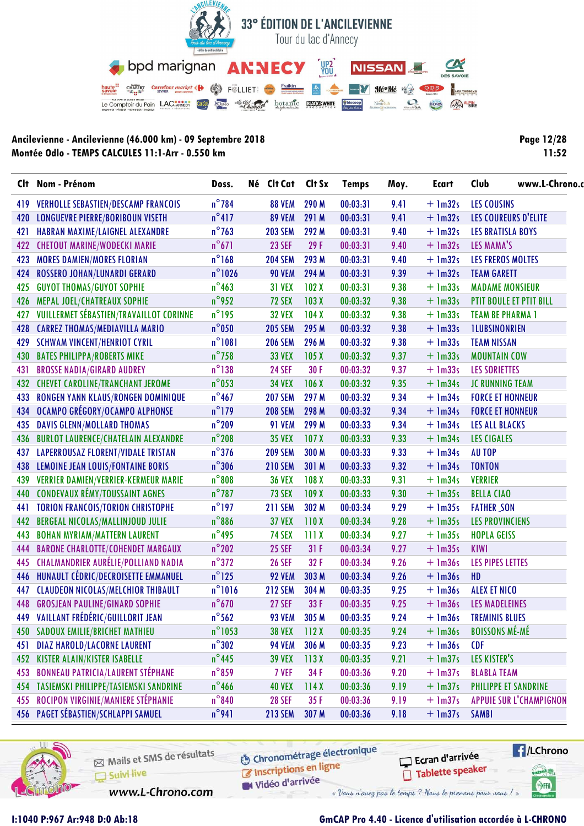

| Page 12/28 |
|------------|
| 11:52      |

|     | Clt Nom - Prénom                               | Doss.            | Né Clt Cat     | Clt Sx | <b>Temps</b> | Moy. | <b>Ecart</b> | Club<br>www.L-Chrono.c         |  |  |
|-----|------------------------------------------------|------------------|----------------|--------|--------------|------|--------------|--------------------------------|--|--|
| 419 | <b>VERHOLLE SEBASTIEN/DESCAMP FRANCOIS</b>     | $n^{\circ}$ 784  | <b>88 VEM</b>  | 290 M  | 00:03:31     | 9.41 | $+$ 1m32s    | <b>LES COUSINS</b>             |  |  |
| 420 | <b>LONGUEVRE PIERRE/BORIBOUN VISETH</b>        | $n^{\circ}417$   | <b>89 VEM</b>  | 291 M  | 00:03:31     | 9.41 | $+$ 1m32s    | LES COUREURS D'ELITE           |  |  |
| 421 | HABRAN MAXIME/LAIGNEL ALEXANDRE                | $n^{\circ}$ 763  | <b>203 SEM</b> | 292 M  | 00:03:31     | 9.40 | $+$ 1m32s    | <b>LES BRATISLA BOYS</b>       |  |  |
| 422 | <b>CHETOUT MARINE/WODECKI MARIE</b>            | $n^{\circ}671$   | <b>23 SEF</b>  | 29F    | 00:03:31     | 9.40 | $+$ 1m32s    | LES MAMA'S                     |  |  |
| 423 | <b>MORES DAMIEN/MORES FLORIAN</b>              | $n^{\circ}$ 168  | <b>204 SEM</b> | 293 M  | 00:03:31     | 9.40 | $+$ 1m32s    | <b>LES FREROS MOLTES</b>       |  |  |
| 424 | ROSSERO JOHAN/LUNARDI GERARD                   | $n^{\circ}$ 1026 | <b>90 VEM</b>  | 294 M  | 00:03:31     | 9.39 | $+$ 1m32s    | <b>TEAM GARETT</b>             |  |  |
| 425 | <b>GUYOT THOMAS/GUYOT SOPHIE</b>               | $n^{\circ}$ 463  | <b>31 VEX</b>  | 102X   | 00:03:31     | 9.38 | $+$ 1m33s    | <b>MADAME MONSIEUR</b>         |  |  |
| 426 | MEPAL JOEL/CHATREAUX SOPHIE                    | $n^{\circ}$ 952  | 72 SEX         | 103X   | 00:03:32     | 9.38 | $+$ 1m33s    | PTIT BOULE ET PTIT BILL        |  |  |
| 427 | <b>VUILLERMET SÉBASTIEN/TRAVAILLOT CORINNE</b> | $n^{\circ}$ 195  | <b>32 VEX</b>  | 104X   | 00:03:32     | 9.38 | $+$ 1m33s    | <b>TEAM BE PHARMA 1</b>        |  |  |
| 428 | <b>CARREZ THOMAS/MEDIAVILLA MARIO</b>          | $n^{\circ}$ 050  | <b>205 SEM</b> | 295 M  | 00:03:32     | 9.38 | $+$ 1m33s    | <b>ILUBSINONRIEN</b>           |  |  |
|     | 429 SCHWAM VINCENT/HENRIOT CYRIL               | $n^{\circ}1081$  | <b>206 SEM</b> | 296 M  | 00:03:32     | 9.38 | $+$ 1m33s    | <b>TEAM NISSAN</b>             |  |  |
| 430 | <b>BATES PHILIPPA/ROBERTS MIKE</b>             | $n^{\circ}$ 758  | <b>33 VEX</b>  | 105X   | 00:03:32     | 9.37 | $+$ 1m33s    | <b>MOUNTAIN COW</b>            |  |  |
| 431 | <b>BROSSE NADIA/GIRARD AUDREY</b>              | $n^{\circ}$ 138  | <b>24 SEF</b>  | 30 F   | 00:03:32     | 9.37 | $+$ 1m33s    | <b>LES SORIETTES</b>           |  |  |
| 432 | <b>CHEVET CAROLINE/TRANCHANT JEROME</b>        | $n^{\circ}$ 053  | <b>34 VEX</b>  | 106X   | 00:03:32     | 9.35 | $+$ 1m34s    | JC RUNNING TEAM                |  |  |
| 433 | RONGEN YANN KLAUS/RONGEN DOMINIQUE             | $n^{\circ}$ 467  | <b>207 SEM</b> | 297 M  | 00:03:32     | 9.34 | $+$ 1m34s    | <b>FORCE ET HONNEUR</b>        |  |  |
| 434 | OCAMPO GRÉGORY/OCAMPO ALPHONSE                 | $n^{\circ}$ 179  | <b>208 SEM</b> | 298 M  | 00:03:32     | 9.34 | $+$ 1m34s    | <b>FORCE ET HONNEUR</b>        |  |  |
| 435 | <b>DAVIS GLENN/MOLLARD THOMAS</b>              | $n^{\circ}$ 209  | <b>91 VEM</b>  | 299 M  | 00:03:33     | 9.34 | $+$ 1m34s    | <b>LES ALL BLACKS</b>          |  |  |
| 436 | <b>BURLOT LAURENCE/CHATELAIN ALEXANDRE</b>     | $n^{\circ}$ 208  | <b>35 VEX</b>  | 107X   | 00:03:33     | 9.33 | $+$ 1m34s    | <b>LES CIGALES</b>             |  |  |
| 437 | <b>LAPERROUSAZ FLORENT/VIDALE TRISTAN</b>      | $n^{\circ}376$   | <b>209 SEM</b> | 300 M  | 00:03:33     | 9.33 | $+$ 1m34s    | <b>AU TOP</b>                  |  |  |
| 438 | <b>LEMOINE JEAN LOUIS/FONTAINE BORIS</b>       | $n^{\circ}306$   | <b>210 SEM</b> | 301 M  | 00:03:33     | 9.32 | $+$ 1m34s    | <b>TONTON</b>                  |  |  |
| 439 | <b>VERRIER DAMIEN/VERRIER-KERMEUR MARIE</b>    | $n^{\circ}808$   | <b>36 VEX</b>  | 108 X  | 00:03:33     | 9.31 | $+$ 1m34s    | <b>VERRIER</b>                 |  |  |
| 440 | <b>CONDEVAUX RÉMY/TOUSSAINT AGNES</b>          | $n^{\circ}$ 787  | <b>73 SEX</b>  | 109X   | 00:03:33     | 9.30 | $+$ 1m35s    | <b>BELLA CIAO</b>              |  |  |
| 441 | <b>TORION FRANCOIS/TORION CHRISTOPHE</b>       | $n^{\circ}$ 197  | <b>211 SEM</b> | 302 M  | 00:03:34     | 9.29 | $+$ 1m35s    | <b>FATHER_SON</b>              |  |  |
| 442 | <b>BERGEAL NICOLAS/MALLINJOUD JULIE</b>        | $n^{\circ}$ 886  | <b>37 VEX</b>  | 110X   | 00:03:34     | 9.28 | $+$ 1m35s    | <b>LES PROVINCIENS</b>         |  |  |
| 443 | <b>BOHAN MYRIAM/MATTERN LAURENT</b>            | $n^{\circ}$ 495  | <b>74 SEX</b>  | 111X   | 00:03:34     | 9.27 | $+$ 1m35s    | <b>HOPLA GEISS</b>             |  |  |
| 444 | <b>BARONE CHARLOTTE/COHENDET MARGAUX</b>       | $n^{\circ}$ 202  | <b>25 SEF</b>  | 31F    | 00:03:34     | 9.27 | $+$ 1m35s    | <b>KIWI</b>                    |  |  |
| 445 | <b>CHALMANDRIER AURÉLIE/POLLIAND NADIA</b>     | $n^{\circ}372$   | <b>26 SEF</b>  | 32F    | 00:03:34     | 9.26 | $+$ 1m36s    | <b>LES PIPES LETTES</b>        |  |  |
| 446 | HUNAULT CÉDRIC/DECROISETTE EMMANUEL            | $n^{\circ}$ 125  | <b>92 VEM</b>  | 303 M  | 00:03:34     | 9.26 | $+$ 1m36s    | HD                             |  |  |
| 447 | <b>CLAUDEON NICOLAS/MELCHIOR THIBAULT</b>      | $n^{\circ}1016$  | <b>212 SEM</b> | 304 M  | 00:03:35     | 9.25 | $+$ 1m36s    | <b>ALEX ET NICO</b>            |  |  |
|     | <b>448 GROSJEAN PAULINE/GINARD SOPHIE</b>      | $n^{\circ}$ 670  | <b>27 SEF</b>  | 33F    | 00:03:35     | 9.25 | $+$ 1m36s    | <b>LES MADELEINES</b>          |  |  |
|     | 449 VAILLANT FRÉDÉRIC/GUILLORIT JEAN           | $n^{\circ}$ 562  | <b>93 VEM</b>  | 305 M  | 00:03:35     | 9.24 | $+$ 1m36s    | <b>TREMINIS BLUES</b>          |  |  |
| 450 | <b>SADOUX EMILIE/BRICHET MATHIEU</b>           | $n^{\circ}$ 1053 | <b>38 VEX</b>  | 112X   | 00:03:35     | 9.24 | $+$ $lm36s$  | <b>BOISSONS MÉ-MÉ</b>          |  |  |
| 451 | <b>DIAZ HAROLD/LACORNE LAURENT</b>             | $n^{\circ}302$   | <b>94 VEM</b>  | 306 M  | 00:03:35     | 9.23 | $+$ $lm36s$  | <b>CDF</b>                     |  |  |
| 452 | <b>KISTER ALAIN/KISTER ISABELLE</b>            | $n^{\circ}$ 445  | <b>39 VEX</b>  | 113X   | 00:03:35     | 9.21 | $+$ 1m37s    | LES KISTER'S                   |  |  |
| 453 | <b>BONNEAU PATRICIA/LAURENT STÉPHANE</b>       | $n^{\circ}$ 859  | 7 VEF          | 34 F   | 00:03:36     | 9.20 | $+$ 1m37s    | <b>BLABLA TEAM</b>             |  |  |
| 454 | TASIEMSKI PHILIPPE/TASIEMSKI SANDRINE          | $n^{\circ}$ 466  | <b>40 VEX</b>  | 114X   | 00:03:36     | 9.19 | $+$ 1m37s    | <b>PHILIPPE ET SANDRINE</b>    |  |  |
| 455 | ROCIPON VIRGINIE/MANIERE STÉPHANIE             | $n^{\circ}840$   | <b>28 SEF</b>  | 35 F   | 00:03:36     | 9.19 | $+$ 1m37s    | <b>APPUIE SUR L'CHAMPIGNON</b> |  |  |
|     | 456 PAGET SÉBASTIEN/SCHLAPPI SAMUEL            | $n^{\circ}$ 941  | <b>213 SEM</b> | 307 M  | 00:03:36     | 9.18 | $+$ 1m37s    | <b>SAMBI</b>                   |  |  |



Mails et SMS de résultats Suivi live

www.L-Chrono.com

**6** Chronométrage électronique is the conditions on ligne

W Vidéo d'arrivée

Ecran d'arrivée Tablette speaker



# **I:1040 P:967 Ar:948 D:0 Ab:18 GmCAP Pro 4.40 - Licence d'utilisation accordée à L-CHRONO**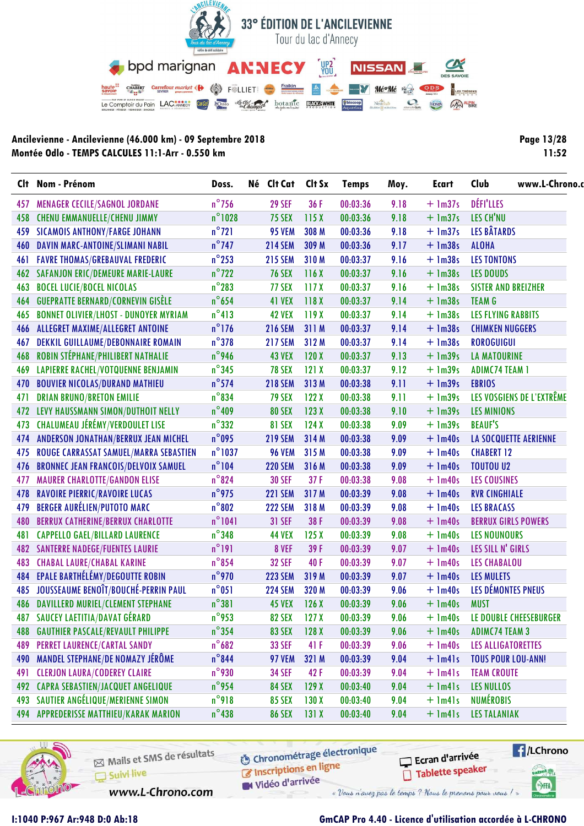

| <b>Page 13/28</b> |
|-------------------|
| 11:52             |

|     | Clt Nom - Prénom                             | Doss.            | Né Clt Cat     | Clt Sx           | <b>Temps</b> | Moy. | <b>Ecart</b> | www.L-Chrono.<br>Club        |  |
|-----|----------------------------------------------|------------------|----------------|------------------|--------------|------|--------------|------------------------------|--|
| 457 | <b>MENAGER CECILE/SAGNOL JORDANE</b>         | $n^{\circ}$ 756  | <b>29 SEF</b>  | 36 F             | 00:03:36     | 9.18 | $+$ 1m37s    | DÉFI'LLES                    |  |
| 458 | <b>CHENU EMMANUELLE/CHENU JIMMY</b>          | $n^{\circ}$ 1028 | <b>75 SEX</b>  | 115X             | 00:03:36     | 9.18 | $+$ 1m37s    | LES CH'NU                    |  |
| 459 | <b>SICAMOIS ANTHONY/FARGE JOHANN</b>         | $n^{\circ}$ 721  | <b>95 VEM</b>  | 308 M            | 00:03:36     | 9.18 | $+$ 1m37s    | <b>LES BÂTARDS</b>           |  |
| 460 | DAVIN MARC-ANTOINE/SLIMANI NABIL             | $n^{\circ}$ 747  | <b>214 SEM</b> | 309 M            | 00:03:36     | 9.17 | $+$ 1m38s    | <b>ALOHA</b>                 |  |
| 461 | <b>FAVRE THOMAS/GREBAUVAL FREDERIC</b>       | $n^{\circ}$ 253  | <b>215 SEM</b> | 310 M            | 00:03:37     | 9.16 | $+$ 1m38s    | <b>LES TONTONS</b>           |  |
| 462 | <b>SAFANJON ERIC/DEMEURE MARIE-LAURE</b>     | $n^{\circ}$ 722  | <b>76 SEX</b>  | 116X             | 00:03:37     | 9.16 | $+$ 1m38s    | <b>LES DOUDS</b>             |  |
| 463 | <b>BOCEL LUCIE/BOCEL NICOLAS</b>             | $n^{\circ}$ 283  | 77 SEX         | 117X             | 00:03:37     | 9.16 | $+$ 1m38s    | <b>SISTER AND BREIZHER</b>   |  |
| 464 | <b>GUEPRATTE BERNARD/CORNEVIN GISÈLE</b>     | $n^{\circ}$ 654  | 41 VEX         | 118X             | 00:03:37     | 9.14 | $+$ 1m38s    | <b>TEAM G</b>                |  |
| 465 | <b>BONNET OLIVIER/LHOST - DUNOYER MYRIAM</b> | $n^{\circ}413$   | <b>42 VEX</b>  | 119X             | 00:03:37     | 9.14 | $+$ 1m38s    | <b>LES FLYING RABBITS</b>    |  |
| 466 | ALLEGRET MAXIME/ALLEGRET ANTOINE             | $n^{\circ}$ 176  | <b>216 SEM</b> | 311 M            | 00:03:37     | 9.14 | $+$ 1m38s    | <b>CHIMKEN NUGGERS</b>       |  |
| 467 | DEKKIL GUILLAUME/DEBONNAIRE ROMAIN           | $n^{\circ}378$   | <b>217 SEM</b> | 312 M            | 00:03:37     | 9.14 | $+$ 1m38s    | <b>ROROGUIGUI</b>            |  |
| 468 | ROBIN STÉPHANE/PHILIBERT NATHALIE            | n°946            | <b>43 VEX</b>  | 120X             | 00:03:37     | 9.13 | $+$ 1m39s    | <b>LA MATOURINE</b>          |  |
| 469 | <b>LAPIERRE RACHEL/VOTQUENNE BENJAMIN</b>    | $n^{\circ}$ 345  | <b>78 SEX</b>  | 121X             | 00:03:37     | 9.12 | $+$ 1m39s    | <b>ADIMC74 TEAM 1</b>        |  |
| 470 | <b>BOUVIER NICOLAS/DURAND MATHIEU</b>        | $n^{\circ}$ 574  | <b>218 SEM</b> | 313 M            | 00:03:38     | 9.11 | $+$ 1m39s    | <b>EBRIOS</b>                |  |
| 471 | <b>DRIAN BRUNO/BRETON EMILIE</b>             | $n^{\circ}$ 834  | <b>79 SEX</b>  | 122X             | 00:03:38     | 9.11 | $+$ 1m39s    | LES VOSGIENS DE L'EXTRÊME    |  |
| 472 | LEVY HAUSSMANN SIMON/DUTHOIT NELLY           | $n^{\circ}409$   | <b>80 SEX</b>  | 123X             | 00:03:38     | 9.10 | $+$ 1m39s    | <b>LES MINIONS</b>           |  |
| 473 | CHALUMEAU JÉRÉMY/VERDOULET LISE              | $n^{\circ}332$   | <b>81 SEX</b>  | 124X             | 00:03:38     | 9.09 | $+$ 1m39s    | <b>BEAUF'S</b>               |  |
| 474 | ANDERSON JONATHAN/BERRUX JEAN MICHEL         | $n^{\circ}$ 095  | <b>219 SEM</b> | 314 M            | 00:03:38     | 9.09 | $+$ 1m40s    | <b>LA SOCQUETTE AERIENNE</b> |  |
| 475 | ROUGE CARRASSAT SAMUEL/MARRA SEBASTIEN       | $n^{\circ}$ 1037 | <b>96 VEM</b>  | 315 M            | 00:03:38     | 9.09 | $+$ 1m40s    | <b>CHABERT 12</b>            |  |
| 476 | <b>BRONNEC JEAN FRANCOIS/DELVOIX SAMUEL</b>  | $n^{\circ}104$   | <b>220 SEM</b> | 316 M            | 00:03:38     | 9.09 | $+$ 1m40s    | <b>TOUTOU U2</b>             |  |
| 477 | <b>MAURER CHARLOTTE/GANDON ELISE</b>         | $n^{\circ}824$   | <b>30 SEF</b>  | 37F              | 00:03:38     | 9.08 | $+$ 1m40s    | <b>LES COUSINES</b>          |  |
| 478 | <b>RAVOIRE PIERRIC/RAVOIRE LUCAS</b>         | $n^{\circ}$ 975  | <b>221 SEM</b> | 317 M            | 00:03:39     | 9.08 | $+$ 1m40s    | <b>RVR CINGHIALE</b>         |  |
| 479 | <b>BERGER AURÉLIEN/PUTOTO MARC</b>           | $n^{\circ}802$   | <b>222 SEM</b> | 318 M            | 00:03:39     | 9.08 | $+$ 1m40s    | <b>LES BRACASS</b>           |  |
| 480 | <b>BERRUX CATHERINE/BERRUX CHARLOTTE</b>     | $n^{\circ}1041$  | <b>31 SEF</b>  | 38 F             | 00:03:39     | 9.08 | $+$ 1m40s    | <b>BERRUX GIRLS POWERS</b>   |  |
| 481 | <b>CAPPELLO GAEL/BILLARD LAURENCE</b>        | $n^{\circ}$ 348  | <b>44 VEX</b>  | 125X             | 00:03:39     | 9.08 | $+$ 1m40s    | <b>LES NOUNOURS</b>          |  |
|     | <b>482 SANTERRE NADEGE/FUENTES LAURIE</b>    | $n^{\circ}$ 191  | 8 VEF          | 39F              | 00:03:39     | 9.07 | $+$ 1m40s    | LES SILL N' GIRLS            |  |
| 483 | <b>CHABAL LAURE/CHABAL KARINE</b>            | $n^{\circ}$ 854  | <b>32 SEF</b>  | 40F              | 00:03:39     | 9.07 | $+$ 1m40s    | <b>LES CHABALOU</b>          |  |
| 484 | EPALE BARTHÉLÉMY/DEGOUTTE ROBIN              | $n^{\circ}$ 970  | <b>223 SEM</b> | 319 M            | 00:03:39     | 9.07 | $+$ 1m40s    | <b>LES MULETS</b>            |  |
|     | 485 JOUSSEAUME BENOÎT/BOUCHÉ-PERRIN PAUL     | $n^{\circ}$ 051  | <b>224 SEM</b> | 320 M            | 00:03:39     | 9.06 | $+$ 1m40s    | LES DÉMONTES PNEUS           |  |
|     | 486 DAVILLERD MURIEL/CLEMENT STEPHANE        | $n^{\circ}381$   | <b>45 VEX</b>  | 126X             | 00:03:39     | 9.06 | $+$ 1m40s    | <b>MUST</b>                  |  |
|     | 487 SAUCEY LAETITIA/DAVAT GÉRARD             | $n^{\circ}$ 953  | <b>82 SEX</b>  | 127 <sub>X</sub> | 00:03:39     | 9.06 | $+$ 1m40s    | LE DOUBLE CHEESEBURGER       |  |
| 488 | <b>GAUTHIER PASCALE/REVAULT PHILIPPE</b>     | $n^{\circ}$ 354  | <b>83 SEX</b>  | 128X             | 00:03:39     | 9.06 | $+$ 1m40s    | <b>ADIMC74 TEAM 3</b>        |  |
| 489 | <b>PERRET LAURENCE/CARTAL SANDY</b>          | $n^{\circ}682$   | <b>33 SEF</b>  | 41 F             | 00:03:39     | 9.06 | $+$ 1m40s    | LES ALLIGATORETTES           |  |
| 490 | MANDEL STEPHANE/DE NOMAZY JÉRÔME             | $n^{\circ}$ 844  | <b>97 VEM</b>  | 321 M            | 00:03:39     | 9.04 | $+$ $lm41s$  | <b>TOUS POUR LOU-ANN!</b>    |  |
| 491 | <b>CLERJON LAURA/CODEREY CLAIRE</b>          | $n^{\circ}$ 930  | <b>34 SEF</b>  | 42 F             | 00:03:39     | 9.04 | $+$ $lm4$ s  | <b>TEAM CROUTE</b>           |  |
| 492 | <b>CAPRA SEBASTIEN/JACQUET ANGELIQUE</b>     | $n^{\circ}$ 954  | <b>84 SEX</b>  | 129X             | 00:03:40     | 9.04 | $+$ $lm41s$  | <b>LES NULLOS</b>            |  |
| 493 | SAUTIER ANGÉLIQUE/MERIENNE SIMON             | $n^{\circ}$ 918  | <b>85 SEX</b>  | 130X             | 00:03:40     | 9.04 | $+$ $lm4$ ]s | <b>NUMÉROBIS</b>             |  |
|     | 494 APPREDERISSE MATTHIEU/KARAK MARION       | $n^{\circ}$ 438  | <b>86 SEX</b>  | 131X             | 00:03:40     | 9.04 | $+$ $lm41s$  | <b>LES TALANIAK</b>          |  |



Mails et SMS de résultats Suivi live

www.L-Chrono.com

**6** Chronométrage électronique Inscriptions en ligne

Vidéo d'arrivée

Ecran d'arrivée Tablette speaker



### GmCAP Pro 4.40 - Licence d'utilisation accordée à L-CHRONO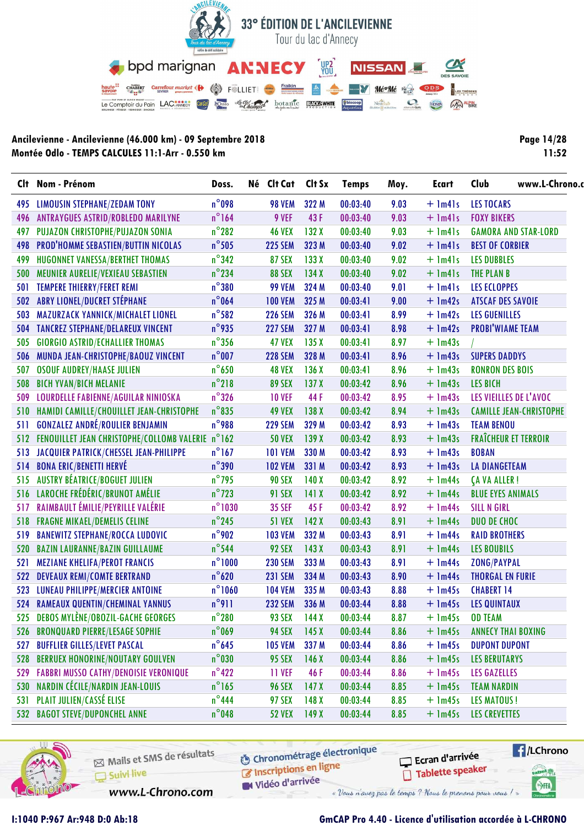

| Page 14/28 |
|------------|
| 11:52      |

|     | Clt Nom - Prénom                                     | Doss.            | Né Clt Cat     | Clt Sx           | <b>Temps</b> | Moy. | Ecart       | www.L-Chrono.<br>Club          |
|-----|------------------------------------------------------|------------------|----------------|------------------|--------------|------|-------------|--------------------------------|
|     | 495 LIMOUSIN STEPHANE/ZEDAM TONY                     | $n^{\circ}$ 098  | <b>98 VEM</b>  | 322 M            | 00:03:40     | 9.03 | $+$ $lm41s$ | <b>LES TOCARS</b>              |
| 496 | <b>ANTRAYGUES ASTRID/ROBLEDO MARILYNE</b>            | $n^{\circ}$ 164  | 9 VEF          | 43F              | 00:03:40     | 9.03 | $+$ 1m41s   | <b>FOXY BIKERS</b>             |
| 497 | PUJAZON CHRISTOPHE/PUJAZON SONIA                     | $n^{\circ}$ 282  | <b>46 VEX</b>  | 132X             | 00:03:40     | 9.03 | $+$ $lm41s$ | <b>GAMORA AND STAR-LORD</b>    |
| 498 | PROD'HOMME SEBASTIEN/BUTTIN NICOLAS                  | $n^{\circ}$ 505  | <b>225 SEM</b> | 323 M            | 00:03:40     | 9.02 | $+$ 1m41s   | <b>BEST OF CORBIER</b>         |
| 499 | HUGONNET VANESSA/BERTHET THOMAS                      | $n^{\circ}342$   | <b>87 SEX</b>  | 133X             | 00:03:40     | 9.02 | $+$ $lm41s$ | <b>LES DUBBLES</b>             |
| 500 | MEUNIER AURELIE/VEXIEAU SEBASTIEN                    | $n^{\circ}$ 234  | <b>88 SEX</b>  | 134X             | 00:03:40     | 9.02 | $+$ $lm41s$ | <b>THE PLAN B</b>              |
| 501 | TEMPERE THIERRY/FERET REMI                           | $n^{\circ}380$   | <b>99 VEM</b>  | 324 M            | 00:03:40     | 9.01 | $+$ 1m41s   | <b>LES ECLOPPES</b>            |
|     | 502 ABRY LIONEL/DUCRET STÉPHANE                      | $n^{\circ}$ 064  | <b>100 VEM</b> | 325 M            | 00:03:41     | 9.00 | $+$ 1m42s   | <b>ATSCAF DES SAVOIE</b>       |
| 503 | MAZURZACK YANNICK/MICHALET LIONEL                    | $n^{\circ}$ 582  | <b>226 SEM</b> | 326 M            | 00:03:41     | 8.99 | $+$ 1m42s   | <b>LES GUENILLES</b>           |
| 504 | TANCREZ STEPHANE/DELAREUX VINCENT                    | n°935            | <b>227 SEM</b> | 327 M            | 00:03:41     | 8.98 | $+$ 1m42s   | <b>PROBI'WIAME TEAM</b>        |
| 505 | <b>GIORGIO ASTRID/ECHALLIER THOMAS</b>               | $n^{\circ}$ 356  | <b>47 VEX</b>  | 135X             | 00:03:41     | 8.97 | $+$ 1m43s   |                                |
| 506 | MUNDA JEAN-CHRISTOPHE/BAOUZ VINCENT                  | $n^{\circ}$ 007  | <b>228 SEM</b> | 328 M            | 00:03:41     | 8.96 | $+$ 1m43s   | <b>SUPERS DADDYS</b>           |
| 507 | <b>OSOUF AUDREY/HAASE JULIEN</b>                     | $n^{\circ}$ 650  | <b>48 VEX</b>  | 136X             | 00:03:41     | 8.96 | $+$ 1m43s   | <b>RONRON DES BOIS</b>         |
| 508 | <b>BICH YVAN/BICH MELANIE</b>                        | $n^{\circ}$ 218  | <b>89 SEX</b>  | 137X             | 00:03:42     | 8.96 | $+$ 1m43s   | <b>LES BICH</b>                |
| 509 | LOURDELLE FABIENNE/AGUILAR NINIOSKA                  | $n^{\circ}326$   | <b>10 VEF</b>  | 44 F             | 00:03:42     | 8.95 | $+$ 1m43s   | LES VIEILLES DE L'AVOC         |
| 510 | HAMIDI CAMILLE/CHOUILLET JEAN-CHRISTOPHE             | $n^{\circ}$ 835  | <b>49 VEX</b>  | 138X             | 00:03:42     | 8.94 | $+$ 1m43s   | <b>CAMILLE JEAN-CHRISTOPHE</b> |
| 511 | <b>GONZALEZ ANDRÉ/ROULIER BENJAMIN</b>               | $n^{\circ}$ 988  | <b>229 SEM</b> | 329 M            | 00:03:42     | 8.93 | $+$ 1m43s   | <b>TEAM BENOU</b>              |
|     | 512 FENOUILLET JEAN CHRISTOPHE/COLLOMB VALERIE n°162 |                  | <b>50 VEX</b>  | 139X             | 00:03:42     | 8.93 | $+$ 1m43s   | <b>FRAÎCHEUR ET TERROIR</b>    |
| 513 | JACQUIER PATRICK/CHESSEL JEAN-PHILIPPE               | $n^{\circ}$ 167  | <b>101 VEM</b> | 330 M            | 00:03:42     | 8.93 | $+$ 1m43s   | <b>BOBAN</b>                   |
| 514 | <b>BONA ERIC/BENETTI HERVÉ</b>                       | $n^{\circ}$ 390  | <b>102 VEM</b> | 331 M            | 00:03:42     | 8.93 | $+$ 1m43s   | <b>LA DIANGETEAM</b>           |
| 515 | AUSTRY BÉATRICE/BOGUET JULIEN                        | $n^{\circ}$ 795  | <b>90 SEX</b>  | 140X             | 00:03:42     | 8.92 | $+$ 1m44s   | <b>CA VA ALLER!</b>            |
| 516 | LAROCHE FRÉDÉRIC/BRUNOT AMÉLIE                       | $n^{\circ}$ 723  | <b>91 SEX</b>  | 141X             | 00:03:42     | 8.92 | $+$ 1m44s   | <b>BLUE EYES ANIMALS</b>       |
| 517 | RAIMBAULT ÉMILIE/PEYRILLE VALÉRIE                    | $n^{\circ}$ 1030 | <b>35 SEF</b>  | 45F              | 00:03:42     | 8.92 | $+$ 1m44s   | <b>SILL N GIRL</b>             |
| 518 | <b>FRAGNE MIKAEL/DEMELIS CELINE</b>                  | $n^{\circ}$ 245  | <b>51 VEX</b>  | 142X             | 00:03:43     | 8.91 | $+$ 1m44s   | DUO DE CHOC                    |
| 519 | <b>BANEWITZ STEPHANE/ROCCA LUDOVIC</b>               | $n^{\circ}$ 902  | <b>103 VEM</b> | 332 M            | 00:03:43     | 8.91 | $+$ 1m44s   | <b>RAID BROTHERS</b>           |
| 520 | <b>BAZIN LAURANNE/BAZIN GUILLAUME</b>                | $n^{\circ}$ 544  | 92 SEX         | 143X             | 00:03:43     | 8.91 | $+$ 1m44s   | <b>LES BOUBILS</b>             |
| 521 | <b>MEZIANE KHELIFA/PEROT FRANCIS</b>                 | $n^{\circ}1000$  | <b>230 SEM</b> | 333 M            | 00:03:43     | 8.91 | $+$ 1m44s   | <b>ZONG/PAYPAL</b>             |
| 522 | <b>DEVEAUX REMI/COMTE BERTRAND</b>                   | $n^{\circ}$ 620  | <b>231 SEM</b> | 334 M            | 00:03:43     | 8.90 | $+$ 1m44s   | <b>THORGAL EN FURIE</b>        |
| 523 | LUNEAU PHILIPPE/MERCIER ANTOINE                      | $n^{\circ}1060$  | <b>104 VEM</b> | 335 M            | 00:03:43     | 8.88 | $+$ 1m45s   | <b>CHABERT 14</b>              |
| 524 | <b>RAMEAUX QUENTIN/CHEMINAL YANNUS</b>               | $n^{\circ}911$   | <b>232 SEM</b> | 336 M            | 00:03:44     | 8.88 | $+$ 1m45s   | <b>LES QUINTAUX</b>            |
|     | 525 DEBOS MYLÈNE/OBOZIL-GACHE GEORGES                | $n^{\circ}280$   | <b>93 SEX</b>  | 144X             | 00:03:44     | 8.87 | $+$ 1m45s   | <b>OD TEAM</b>                 |
| 526 | <b>BRONQUARD PIERRE/LESAGE SOPHIE</b>                | $n^{\circ}$ 069  | <b>94 SEX</b>  | 145X             | 00:03:44     | 8.86 | $+$ 1m45s   | <b>ANNECY THAI BOXING</b>      |
| 527 | <b>BUFFLIER GILLES/LEVET PASCAL</b>                  | $n^{\circ}$ 645  | <b>105 VEM</b> | 337 M            | 00:03:44     | 8.86 | $+$ 1m45s   | <b>DUPONT DUPONT</b>           |
| 528 | <b>BERRUEX HONORINE/NOUTARY GOULVEN</b>              | $n^{\circ}$ 030  | <b>95 SEX</b>  | 146X             | 00:03:44     | 8.86 | $+$ 1m45s   | <b>LES BERUTARYS</b>           |
| 529 | <b>FABBRI MUSSO CATHY/DENOISIE VERONIQUE</b>         | $n^{\circ}422$   | <b>11 VEF</b>  | 46 F             | 00:03:44     | 8.86 | $+$ 1m45s   | <b>LES GAZELLES</b>            |
| 530 | NARDIN CÉCILE/NARDIN JEAN-LOUIS                      | $n^{\circ}$ 165  | <b>96 SEX</b>  | 147 <sub>X</sub> | 00:03:44     | 8.85 | $+$ 1m45s   | <b>TEAM NARDIN</b>             |
| 531 | PLAIT JULIEN/CASSÉ ELISE                             | $n^{\circ}$ 444  | <b>97 SEX</b>  | 148 <sub>X</sub> | 00:03:44     | 8.85 | $+$ 1m45s   | <b>LES MATOUS!</b>             |
| 532 | <b>BAGOT STEVE/DUPONCHEL ANNE</b>                    | $n^{\circ}$ 048  | <b>52 VEX</b>  | 149X             | 00:03:44     | 8.85 | $+$ 1m45s   | <b>LES CREVETTES</b>           |



Mails et SMS de résultats Suivi live

www.L-Chrono.com

**6** Chronométrage électronique Inscriptions en ligne

Vidéo d'arrivée

Ecran d'arrivée Tablette speaker

**E**/LChrono anel W SHA

#### GmCAP Pro 4.40 - Licence d'utilisation accordée à L-CHRONO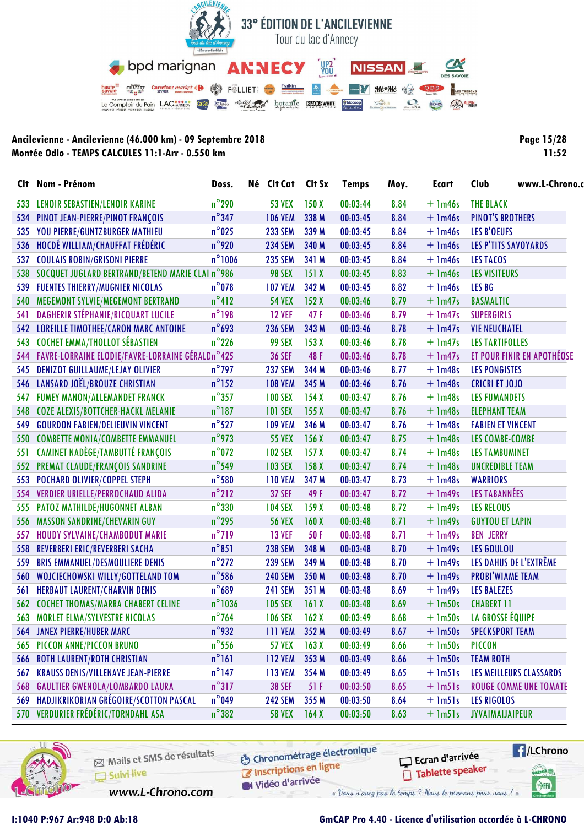

| <b>Page 15/28</b> |
|-------------------|
| 11:52             |

|     | Clt Nom - Prénom                                     | Doss.            | Né Clt Cat     | Clt Sx | <b>Temps</b> | Moy. | <b>Ecart</b>  | Club<br>www.L-Chrono.c        |
|-----|------------------------------------------------------|------------------|----------------|--------|--------------|------|---------------|-------------------------------|
| 533 | <b>LENOIR SEBASTIEN/LENOIR KARINE</b>                | $n^{\circ}$ 290  | <b>53 VEX</b>  | 150X   | 00:03:44     | 8.84 | $+$ 1m46s     | <b>THE BLACK</b>              |
| 534 | PINOT JEAN-PIERRE/PINOT FRANÇOIS                     | $n^{\circ}347$   | <b>106 VEM</b> | 338 M  | 00:03:45     | 8.84 | $+$ 1m46s     | <b>PINOT'S BROTHERS</b>       |
| 535 | YOU PIERRE/GUNTZBURGER MATHIEU                       | $n^{\circ}$ 025  | <b>233 SEM</b> | 339 M  | 00:03:45     | 8.84 | $+$ 1m46s     | <b>LES B'OEUFS</b>            |
| 536 | HOCDÉ WILLIAM/CHAUFFAT FRÉDÉRIC                      | $n^{\circ}$ 920  | <b>234 SEM</b> | 340 M  | 00:03:45     | 8.84 | $+$ 1m46s     | LES P'TITS SAVOYARDS          |
| 537 | <b>COULAIS ROBIN/GRISONI PIERRE</b>                  | $n^{\circ}$ 1006 | <b>235 SEM</b> | 341 M  | 00:03:45     | 8.84 | $+$ 1m46s     | <b>LES TACOS</b>              |
|     | 538 SOCQUET JUGLARD BERTRAND/BETEND MARIE CLAI n°986 |                  | <b>98 SEX</b>  | 151X   | 00:03:45     | 8.83 | $+$ 1m46s     | <b>LES VISITEURS</b>          |
| 539 | <b>FUENTES THIERRY/MUGNIER NICOLAS</b>               | $n^{\circ}$ 078  | <b>107 VEM</b> | 342 M  | 00:03:45     | 8.82 | $+$ 1m46s     | LES BG                        |
| 540 | MEGEMONT SYLVIE/MEGEMONT BERTRAND                    | $n^{\circ}412$   | <b>54 VEX</b>  | 152X   | 00:03:46     | 8.79 | $+$ 1m47s     | <b>BASMALTIC</b>              |
| 541 | DAGHERIR STÉPHANIE/RICQUART LUCILE                   | $n^{\circ}$ 198  | <b>12 VEF</b>  | 47F    | 00:03:46     | 8.79 | $+$ 1m47s     | <b>SUPERGIRLS</b>             |
|     | 542 LOREILLE TIMOTHEE/CARON MARC ANTOINE             | $n^{\circ}$ 693  | <b>236 SEM</b> | 343 M  | 00:03:46     | 8.78 | $+$ 1m47s     | <b>VIE NEUCHATEL</b>          |
| 543 | <b>COCHET EMMA/THOLLOT SÉBASTIEN</b>                 | $n^{\circ}$ 226  | <b>99 SEX</b>  | 153X   | 00:03:46     | 8.78 | $+$ 1m47s     | <b>LES TARTIFOLLES</b>        |
| 544 | FAVRE-LORRAINE ELODIE/FAVRE-LORRAINE GÉRALD n°425    |                  | <b>36 SEF</b>  | 48F    | 00:03:46     | 8.78 | $+$ 1m47s     | ET POUR FINIR EN APOTHÉOSE    |
| 545 | <b>DENIZOT GUILLAUME/LEJAY OLIVIER</b>               | $n^{\circ}$ 797  | <b>237 SEM</b> | 344 M  | 00:03:46     | 8.77 | $+$ 1m48s     | <b>LES PONGISTES</b>          |
| 546 | LANSARD JOËL/BROUZE CHRISTIAN                        | $n^{\circ}$ 152  | <b>108 VEM</b> | 345 M  | 00:03:46     | 8.76 | $+$ 1m48s     | <b>CRICRI ET JOJO</b>         |
| 547 | <b>FUMEY MANON/ALLEMANDET FRANCK</b>                 | $n^{\circ}$ 357  | <b>100 SEX</b> | 154X   | 00:03:47     | 8.76 | $+$ 1m48s     | <b>LES FUMANDETS</b>          |
| 548 | COZE ALEXIS/BOTTCHER-HACKL MELANIE                   | $n^{\circ}$ 187  | <b>101 SEX</b> | 155X   | 00:03:47     | 8.76 | $+$ 1m48s     | <b>ELEPHANT TEAM</b>          |
| 549 | <b>GOURDON FABIEN/DELIEUVIN VINCENT</b>              | $n^{\circ}$ 527  | <b>109 VEM</b> | 346 M  | 00:03:47     | 8.76 | $+$ 1m48s     | <b>FABIEN ET VINCENT</b>      |
| 550 | <b>COMBETTE MONIA/COMBETTE EMMANUEL</b>              | $n^{\circ}$ 973  | <b>55 VEX</b>  | 156X   | 00:03:47     | 8.75 | $+$ 1m48s     | <b>LES COMBE-COMBE</b>        |
| 551 | <b>CAMINET NADÈGE/TAMBUTTÉ FRANÇOIS</b>              | $n^{\circ}$ 072  | <b>102 SEX</b> | 157X   | 00:03:47     | 8.74 | $+$ 1m48s     | <b>LES TAMBUMINET</b>         |
| 552 | PREMAT CLAUDE/FRANÇOIS SANDRINE                      | $n^{\circ}$ 549  | <b>103 SEX</b> | 158X   | 00:03:47     | 8.74 | $+$ 1m48s     | <b>UNCREDIBLE TEAM</b>        |
| 553 | POCHARD OLIVIER/COPPEL STEPH                         | $n^{\circ}$ 580  | <b>110 VEM</b> | 347 M  | 00:03:47     | 8.73 | $+$ 1m48s     | <b>WARRIORS</b>               |
| 554 | <b>VERDIER URIELLE/PERROCHAUD ALIDA</b>              | $n^{\circ}$ 212  | <b>37 SEF</b>  | 49F    | 00:03:47     | 8.72 | $+$ 1m49s     | LES TABANNÉES                 |
| 555 | PATOZ MATHILDE/HUGONNET ALBAN                        | $n^{\circ}330$   | <b>104 SEX</b> | 159X   | 00:03:48     | 8.72 | $+$ 1m49s     | <b>LES RELOUS</b>             |
| 556 | MASSON SANDRINE/CHEVARIN GUY                         | $n^{\circ}$ 295  | <b>56 VEX</b>  | 160X   | 00:03:48     | 8.71 | $+$ 1m49s     | <b>GUYTOU ET LAPIN</b>        |
| 557 | HOUDY SYLVAINE/CHAMBODUT MARIE                       | $n^{\circ}$ 719  | <b>13 VEF</b>  | 50F    | 00:03:48     | 8.71 | $+$ 1m49s     | <b>BEN JERRY</b>              |
| 558 | REVERBERI ERIC/REVERBERI SACHA                       | $n^{\circ}851$   | <b>238 SEM</b> | 348 M  | 00:03:48     | 8.70 | $+$ 1m49s     | <b>LES GOULOU</b>             |
| 559 | <b>BRIS EMMANUEL/DESMOULIERE DENIS</b>               | $n^{\circ}$ 272  | <b>239 SEM</b> | 349 M  | 00:03:48     | 8.70 | $+$ 1m49s     | LES DAHUS DE L'EXTRÊME        |
| 560 | WOJCIECHOWSKI WILLY/GOTTELAND TOM                    | $n^{\circ}$ 586  | <b>240 SEM</b> | 350 M  | 00:03:48     | 8.70 | $+$ 1m49s     | <b>PROBI'WIAME TEAM</b>       |
| 561 | <b>HERBAUT LAURENT/CHARVIN DENIS</b>                 | $n^{\circ}689$   | <b>241 SEM</b> | 351 M  | 00:03:48     | 8.69 | $+$ 1m49s     | <b>LES BALEZES</b>            |
| 562 | <b>COCHET THOMAS/MARRA CHABERT CELINE</b>            | $n^{\circ}$ 1036 | <b>105 SEX</b> | 161X   | 00:03:48     | 8.69 | $+$ 1m50s     | <b>CHABERT 11</b>             |
|     | 563 MORLET ELMA/SYLVESTRE NICOLAS                    | $n^{\circ}$ 764  | <b>106 SEX</b> | 162X   | 00:03:49     | 8.68 | $+$ $lm50s$   | LA GROSSE ÉQUIPE              |
| 564 | <b>JANEX PIERRE/HUBER MARC</b>                       | $n^{\circ}$ 932  | <b>111 VEM</b> | 352 M  | 00:03:49     | 8.67 | $+$ 1m50s     | <b>SPECKSPORT TEAM</b>        |
| 565 | PICCON ANNE/PICCON BRUNO                             | $n^{\circ}$ 556  | <b>57 VEX</b>  | 163X   | 00:03:49     | 8.66 | $+$ 1m50s     | <b>PICCON</b>                 |
| 566 | <b>ROTH LAURENT/ROTH CHRISTIAN</b>                   | $n^{\circ}161$   | <b>112 VEM</b> | 353 M  | 00:03:49     | 8.66 | $+$ 1m50s     | <b>TEAM ROTH</b>              |
| 567 | <b>KRAUSS DENIS/VILLENAVE JEAN-PIERRE</b>            | $n^{\circ}$ 147  | <b>113 VEM</b> | 354 M  | 00:03:49     | 8.65 | $+$ $lm5$ ]s  | LES MEILLEURS CLASSARDS       |
| 568 | <b>GAULTIER GWENOLA/LOMBARDO LAURA</b>               | $n^{\circ}317$   | <b>38 SEF</b>  | 51F    | 00:03:50     | 8.65 | $+$ $lm5$ ]s  | <b>ROUGE COMME UNE TOMATE</b> |
| 569 | HADJIKRIKORIAN GRÉGOIRE/SCOTTON PASCAL               | $n^{\circ}$ 049  | <b>242 SEM</b> | 355 M  | 00:03:50     | 8.64 | $+$ $lm5$ ]s  | <b>LES RIGOLOS</b>            |
|     | 570 VERDURIER FRÉDÉRIC/TORNDAHL ASA                  | $n^{\circ}382$   | <b>58 VEX</b>  | 164X   | 00:03:50     | 8.63 | $+$ $lm5$ $s$ | JYVAIMAIJAIPEUR               |



Mails et SMS de résultats Suivi live

www.L-Chrono.com

**6** Chronométrage électronique Inscriptions en ligne

W Vidéo d'arrivée « Vous n'avez pas le temps ? Nous le prenons pour vous !

**E**/LChrono anel W

SHA



**I:1040 P:967 Ar:948 D:0 Ab:18 GmCAP Pro 4.40 - Licence d'utilisation accordée à L-CHRONO**

Ecran d'arrivée

Tablette speaker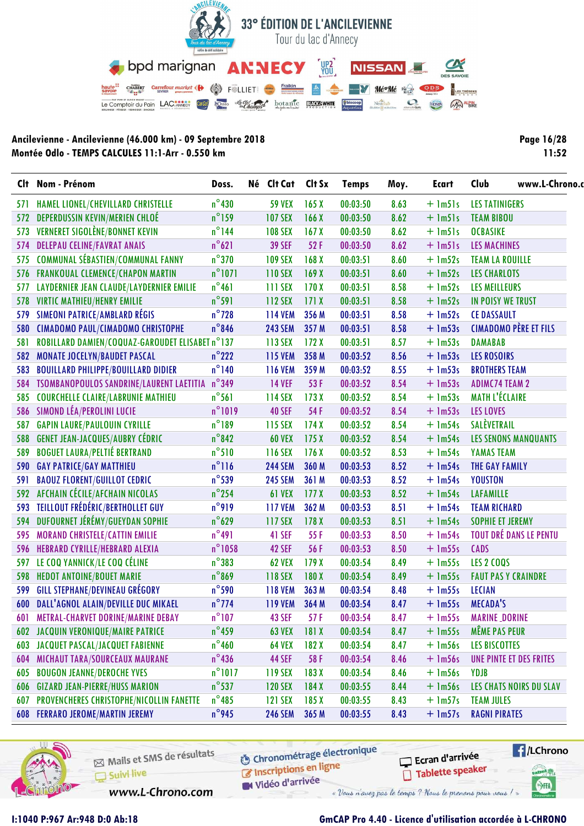

| <b>Page 16/28</b> |
|-------------------|
| 11:52             |

|     | Clt Nom - Prénom                                | Doss.            | Né Clt Cat     | Clt Sx           | <b>Temps</b> | Moy. | Ecart        | Club<br>www.L-Chrono.          |  |
|-----|-------------------------------------------------|------------------|----------------|------------------|--------------|------|--------------|--------------------------------|--|
| 571 | HAMEL LIONEL/CHEVILLARD CHRISTELLE              | $n^{\circ}430$   | <b>59 VEX</b>  | 165X             | 00:03:50     | 8.63 | $+$ $lm5$ ]s | <b>LES TATINIGERS</b>          |  |
|     | 572 DEPERDUSSIN KEVIN/MERIEN CHLOÉ              | $n^{\circ}$ 159  | <b>107 SEX</b> | 166X             | 00:03:50     | 8.62 | $+$ $lm51s$  | <b>TEAM BIBOU</b>              |  |
| 573 | <b>VERNERET SIGOLÈNE/BONNET KEVIN</b>           | $n^{\circ}$ 144  | <b>108 SEX</b> | 167X             | 00:03:50     | 8.62 | $+$ $lm51s$  | <b>OCBASIKE</b>                |  |
| 574 | <b>DELEPAU CELINE/FAVRAT ANAIS</b>              | $n^{\circ}621$   | <b>39 SEF</b>  | 52 F             | 00:03:50     | 8.62 | $+$ $lm51s$  | <b>LES MACHINES</b>            |  |
| 575 | <b>COMMUNAL SÉBASTIEN/COMMUNAL FANNY</b>        | $n^{\circ}$ 370  | <b>109 SEX</b> | 168X             | 00:03:51     | 8.60 | $+$ 1m52s    | <b>TEAM LA ROUILLE</b>         |  |
| 576 | <b>FRANKOUAL CLEMENCE/CHAPON MARTIN</b>         | $n^{\circ}$ 1071 | <b>110 SEX</b> | 169X             | 00:03:51     | 8.60 | $+$ 1m52s    | <b>LES CHARLOTS</b>            |  |
| 577 | <b>LAYDERNIER JEAN CLAUDE/LAYDERNIER EMILIE</b> | $n^{\circ}461$   | 111 SEX        | 170X             | 00:03:51     | 8.58 | $+$ 1m52s    | <b>LES MEILLEURS</b>           |  |
| 578 | <b>VIRTIC MATHIEU/HENRY EMILIE</b>              | $n^{\circ}$ 591  | 112 SEX        | 171X             | 00:03:51     | 8.58 | $+$ 1m52s    | IN POISY WE TRUST              |  |
| 579 | <b>SIMEONI PATRICE/AMBLARD RÉGIS</b>            | $n^{\circ}$ 728  | <b>114 VEM</b> | 356 M            | 00:03:51     | 8.58 | $+$ 1m52s    | <b>CE DASSAULT</b>             |  |
| 580 | <b>CIMADOMO PAUL/CIMADOMO CHRISTOPHE</b>        | $n^{\circ}$ 846  | <b>243 SEM</b> | 357 M            | 00:03:51     | 8.58 | $+$ 1m53s    | <b>CIMADOMO PÈRE ET FILS</b>   |  |
| 581 | ROBILLARD DAMIEN/COQUAZ-GAROUDET ELISABET n°137 |                  | 113 SEX        | 172X             | 00:03:51     | 8.57 | $+$ 1m53s    | <b>DAMABAB</b>                 |  |
| 582 | <b>MONATE JOCELYN/BAUDET PASCAL</b>             | $n^{\circ}$ 222  | <b>115 VEM</b> | 358 M            | 00:03:52     | 8.56 | $+$ 1m53s    | <b>LES ROSOIRS</b>             |  |
| 583 | <b>BOUILLARD PHILIPPE/BOUILLARD DIDIER</b>      | $n^{\circ}$ 140  | <b>116 VEM</b> | 359 M            | 00:03:52     | 8.55 | $+$ 1m53s    | <b>BROTHERS TEAM</b>           |  |
|     | 584 TSOMBANOPOULOS SANDRINE/LAURENT LAETITIA    | $n^{\circ}349$   | <b>14 VEF</b>  | 53F              | 00:03:52     | 8.54 | $+$ 1m53s    | <b>ADIMC74 TEAM 2</b>          |  |
| 585 | <b>COURCHELLE CLAIRE/LABRUNIE MATHIEU</b>       | $n^{\circ}$ 561  | 114 SEX        | 173X             | 00:03:52     | 8.54 | $+$ 1m53s    | <b>MATH L'ÉCLAIRE</b>          |  |
| 586 | SIMOND LÉA/PEROLINI LUCIE                       | $n^{\circ}1019$  | <b>40 SEF</b>  | 54 F             | 00:03:52     | 8.54 | $+$ 1m53s    | <b>LES LOVES</b>               |  |
| 587 | <b>GAPIN LAURE/PAULOUIN CYRILLE</b>             | $n^{\circ}189$   | 115 SEX        | 174X             | 00:03:52     | 8.54 | $+$ 1m54s    | SALÈVETRAIL                    |  |
| 588 | <b>GENET JEAN-JACQUES/AUBRY CÉDRIC</b>          | $n^{\circ}$ 842  | <b>60 VEX</b>  | 175X             | 00:03:52     | 8.54 | $+$ 1m54s    | <b>LES SENONS MANQUANTS</b>    |  |
| 589 | <b>BOGUET LAURA/PELTIÉ BERTRAND</b>             | $n^{\circ}510$   | 116 SEX        | 176X             | 00:03:52     | 8.53 | $+$ 1m54s    | YAMAS TEAM                     |  |
| 590 | <b>GAY PATRICE/GAY MATTHIEU</b>                 | $n^{\circ}$ ] 16 | <b>244 SEM</b> | 360 M            | 00:03:53     | 8.52 | $+$ 1m54s    | THE GAY FAMILY                 |  |
| 591 | <b>BAOUZ FLORENT/GUILLOT CEDRIC</b>             | $n^{\circ}$ 539  | <b>245 SEM</b> | 361 M            | 00:03:53     | 8.52 | $+$ 1m54s    | <b>YOUSTON</b>                 |  |
| 592 | AFCHAIN CÉCILE/AFCHAIN NICOLAS                  | $n^{\circ}$ 254  | <b>61 VEX</b>  | 177 <sub>X</sub> | 00:03:53     | 8.52 | $+$ 1m54s    | <b>LAFAMILLE</b>               |  |
| 593 | <b>TEILLOUT FRÉDÉRIC/BERTHOLLET GUY</b>         | $n^{\circ}919$   | <b>117 VEM</b> | 362 M            | 00:03:53     | 8.51 | $+$ 1m54s    | <b>TEAM RICHARD</b>            |  |
| 594 | DUFOURNET JÉRÉMY/GUEYDAN SOPHIE                 | $n^{\circ}$ 629  | <b>117 SEX</b> | 178 <sub>X</sub> | 00:03:53     | 8.51 | $+$ 1m54s    | <b>SOPHIE ET JEREMY</b>        |  |
| 595 | <b>MORAND CHRISTELE/CATTIN EMILIE</b>           | $n^{\circ}491$   | 41 SEF         | 55F              | 00:03:53     | 8.50 | $+$ 1m54s    | <b>TOUT DRÉ DANS LE PENTU</b>  |  |
| 596 | HEBRARD CYRILLE/HEBRARD ALEXIA                  | $n^{\circ}$ 1058 | <b>42 SEF</b>  | 56 F             | 00:03:53     | 8.50 | $+$ 1m55s    | <b>CADS</b>                    |  |
| 597 | LE COQ YANNICK/LE COQ CÉLINE                    | $n^{\circ}383$   | <b>62 VEX</b>  | 179X             | 00:03:54     | 8.49 | $+$ 1m55s    | <b>LES 2 COQS</b>              |  |
| 598 | <b>HEDOT ANTOINE/BOUET MARIE</b>                | $n^{\circ}869$   | 118 SEX        | 180X             | 00:03:54     | 8.49 | $+$ 1m55s    | <b>FAUT PAS Y CRAINDRE</b>     |  |
| 599 | <b>GILL STEPHANE/DEVINEAU GRÉGORY</b>           | $n^{\circ}$ 590  | <b>118 VEM</b> | 363 M            | 00:03:54     | 8.48 | $+$ 1m55s    | <b>LECIAN</b>                  |  |
| 600 | DALL'AGNOL ALAIN/DEVILLE DUC MIKAEL             | $n^{\circ}$ 774  | <b>119 VEM</b> | 364 M            | 00:03:54     | 8.47 | $+$ 1m55s    | <b>MECADA'S</b>                |  |
|     | 601 METRAL-CHARVET DORINE/MARINE DEBAY          | $n^{\circ}$ 107  | 43 SEF         | 57F              | 00:03:54     | 8.47 | $+$ 1m55s    | <b>MARINE_DORINE</b>           |  |
|     | <b>602 JACQUIN VERONIQUE/MAIRE PATRICE</b>      | $n^{\circ}$ 459  | <b>63 VEX</b>  | 181X             | 00:03:54     | 8.47 | $+$ 1m55s    | <b>MÊME PAS PEUR</b>           |  |
|     | <b>603 JACQUET PASCAL/JACQUET FABIENNE</b>      | $n^{\circ}$ 460  | <b>64 VEX</b>  | 182X             | 00:03:54     | 8.47 | $+$ 1m56s    | <b>LES BISCOTTES</b>           |  |
| 604 | <b>MICHAUT TARA/SOURCEAUX MAURANE</b>           | $n^{\circ}$ 436  | <b>44 SEF</b>  | 58 F             | 00:03:54     | 8.46 | $+$ 1m56s    | UNE PINTE ET DES FRITES        |  |
| 605 | <b>BOUGON JEANNE/DEROCHE YVES</b>               | $n^{\circ}1017$  | 119 SEX        | 183X             | 00:03:54     | 8.46 | $+$ $lm56s$  | YDJB                           |  |
| 606 | <b>GIZARD JEAN-PIERRE/HUSS MARION</b>           | $n^{\circ}$ 537  | <b>120 SEX</b> | 184X             | 00:03:55     | 8.44 | $+$ $lm56s$  | <b>LES CHATS NOIRS DU SLAV</b> |  |
| 607 | PROVENCHERES CHRISTOPHE/NICOLLIN FANETTE        | $n^{\circ}$ 485  | <b>121 SEX</b> | 185X             | 00:03:55     | 8.43 | $+$ 1m57s    | <b>TEAM JULES</b>              |  |
|     | <b>608 FERRARO JEROME/MARTIN JEREMY</b>         | $n^{\circ}$ 945  | <b>246 SEM</b> | 365 M            | 00:03:55     | 8.43 | $+$ 1m57s    | <b>RAGNI PIRATES</b>           |  |



Mails et SMS de résultats Suivi live

**6** Chronométrage électronique Inscriptions en ligne

Ecran d'arrivée Tablette speaker **E**/LChrono

anel W

SHA

Vidéo d'arrivée

www.L-Chrono.com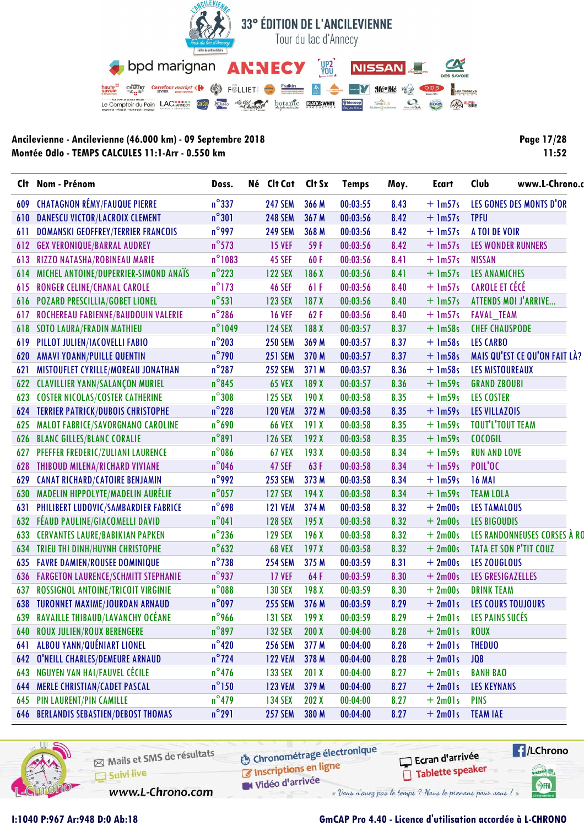

| <b>Page 17/28</b> |
|-------------------|
| 11:52             |

|     | Clt Nom - Prénom                             | Doss.            | Né Clt Cat     | Clt Sx | <b>Temps</b> | Moy. | <b>Ecart</b> | www.L-Chrono.c<br>Club        |  |
|-----|----------------------------------------------|------------------|----------------|--------|--------------|------|--------------|-------------------------------|--|
| 609 | <b>CHATAGNON RÉMY/FAUQUE PIERRE</b>          | $n^{\circ}$ 337  | <b>247 SEM</b> | 366 M  | 00:03:55     | 8.43 | $+$ 1m57s    | LES GONES DES MONTS D'OR      |  |
| 610 | <b>DANESCU VICTOR/LACROIX CLEMENT</b>        | $n^{\circ}301$   | <b>248 SEM</b> | 367 M  | 00:03:56     | 8.42 | $+$ 1m57s    | <b>TPFU</b>                   |  |
| 611 | <b>DOMANSKI GEOFFREY/TERRIER FRANCOIS</b>    | $n^{\circ}$ 997  | <b>249 SEM</b> | 368 M  | 00:03:56     | 8.42 | $+$ 1m57s    | A TOI DE VOIR                 |  |
| 612 | <b>GEX VERONIQUE/BARRAL AUDREY</b>           | $n^{\circ}$ 573  | <b>15 VEF</b>  | 59 F   | 00:03:56     | 8.42 | $+$ 1m57s    | <b>LES WONDER RUNNERS</b>     |  |
| 613 | RIZZO NATASHA/ROBINEAU MARIE                 | $n^{\circ}$ 1083 | <b>45 SEF</b>  | 60F    | 00:03:56     | 8.41 | $+$ 1m57s    | <b>NISSAN</b>                 |  |
| 614 | MICHEL ANTOINE/DUPERRIER-SIMOND ANAIS        | $n^{\circ}$ 223  | <b>122 SEX</b> | 186 X  | 00:03:56     | 8.41 | $+$ 1m57s    | <b>LES ANAMICHES</b>          |  |
| 615 | <b>RONGER CELINE/CHANAL CAROLE</b>           | $n^{\circ}$ 173  | <b>46 SEF</b>  | 61F    | 00:03:56     | 8.40 | $+$ 1m57s    | <b>CAROLE ET CÉCÉ</b>         |  |
| 616 | <b>POZARD PRESCILLIA/GOBET LIONEL</b>        | $n^{\circ}531$   | <b>123 SEX</b> | 187X   | 00:03:56     | 8.40 | $+$ 1m57s    | ATTENDS MOI J'ARRIVE          |  |
| 617 | ROCHEREAU FABIENNE/BAUDOUIN VALERIE          | $n^{\circ}$ 286  | <b>16 VEF</b>  | 62F    | 00:03:56     | 8.40 | $+$ 1m57s    | <b>FAVAL_TEAM</b>             |  |
| 618 | <b>SOTO LAURA/FRADIN MATHIEU</b>             | $n^{\circ}$ 1049 | <b>124 SEX</b> | 188X   | 00:03:57     | 8.37 | $+$ 1m58s    | <b>CHEF CHAUSPODE</b>         |  |
| 619 | PILLOT JULIEN/IACOVELLI FABIO                | $n^{\circ}$ 203  | <b>250 SEM</b> | 369 M  | 00:03:57     | 8.37 | $+$ 1m58s    | <b>LES CARBO</b>              |  |
| 620 | <b>AMAVI YOANN/PUILLE QUENTIN</b>            | $n^{\circ}$ 790  | <b>251 SEM</b> | 370 M  | 00:03:57     | 8.37 | $+$ 1m58s    | MAIS QU'EST CE QU'ON FAIT LÀ? |  |
| 621 | MISTOUFLET CYRILLE/MOREAU JONATHAN           | $n^{\circ}$ 287  | <b>252 SEM</b> | 371 M  | 00:03:57     | 8.36 | $+$ 1m58s    | <b>LES MISTOUREAUX</b>        |  |
| 622 | <b>CLAVILLIER YANN/SALANÇON MURIEL</b>       | $n^{\circ}$ 845  | <b>65 VEX</b>  | 189 X  | 00:03:57     | 8.36 | $+$ 1m59s    | <b>GRAND ZBOUBI</b>           |  |
| 623 | <b>COSTER NICOLAS/COSTER CATHERINE</b>       | $n^{\circ}308$   | <b>125 SEX</b> | 190X   | 00:03:58     | 8.35 | $+$ $lm59s$  | <b>LES COSTER</b>             |  |
| 624 | <b>TERRIER PATRICK/DUBOIS CHRISTOPHE</b>     | $n^{\circ}$ 228  | <b>120 VEM</b> | 372 M  | 00:03:58     | 8.35 | $+$ 1m59s    | <b>LES VILLAZOIS</b>          |  |
| 625 | MALOT FABRICE/SAVORGNANO CAROLINE            | $n^{\circ}$ 690  | <b>66 VEX</b>  | 191X   | 00:03:58     | 8.35 | $+$ 1m59s    | <b>TOUT'L'TOUT TEAM</b>       |  |
| 626 | <b>BLANC GILLES/BLANC CORALIE</b>            | $n^{\circ}891$   | <b>126 SEX</b> | 192X   | 00:03:58     | 8.35 | $+$ $lm59s$  | <b>COCOGIL</b>                |  |
| 627 | PFEFFER FREDERIC/ZULIANI LAURENCE            | $n^{\circ}$ 086  | <b>67 VEX</b>  | 193X   | 00:03:58     | 8.34 | $+$ 1m59s    | <b>RUN AND LOVE</b>           |  |
| 628 | <b>THIBOUD MILENA/RICHARD VIVIANE</b>        | $n^{\circ}$ 046  | 47 SEF         | 63F    | 00:03:58     | 8.34 | $+$ 1m59s    | POIL'OC                       |  |
| 629 | <b>CANAT RICHARD/CATOIRE BENJAMIN</b>        | $n^{\circ}$ 992  | <b>253 SEM</b> | 373 M  | 00:03:58     | 8.34 | $+$ 1m59s    | <b>16 MAI</b>                 |  |
| 630 | MADELIN HIPPOLYTE/MADELIN AURÉLIE            | $n^{\circ}$ 057  | <b>127 SEX</b> | 194X   | 00:03:58     | 8.34 | $+$ 1m59s    | <b>TEAM LOLA</b>              |  |
| 631 | PHILIBERT LUDOVIC/SAMBARDIER FABRICE         | $n^{\circ}$ 698  | <b>121 VEM</b> | 374 M  | 00:03:58     | 8.32 | $+2m00s$     | <b>LES TAMALOUS</b>           |  |
| 632 | FÉAUD PAULINE/GIACOMELLI DAVID               | $n^{\circ}041$   | <b>128 SEX</b> | 195X   | 00:03:58     | 8.32 | $+2m00s$     | <b>LES BIGOUDIS</b>           |  |
| 633 | <b>CERVANTES LAURE/BABIKIAN PAPKEN</b>       | $n^{\circ}$ 236  | <b>129 SEX</b> | 196X   | 00:03:58     | 8.32 | $+2m00s$     | LES RANDONNEUSES CORSES À RO  |  |
| 634 | TRIEU THI DINH/HUYNH CHRISTOPHE              | $n^{\circ}632$   | <b>68 VEX</b>  | 197X   | 00:03:58     | 8.32 | $+2m00s$     | TATA ET SON P'TIT COUZ        |  |
| 635 | <b>FAVRE DAMIEN/ROUSEE DOMINIQUE</b>         | $n^{\circ}$ 738  | <b>254 SEM</b> | 375 M  | 00:03:59     | 8.31 | $+2m00s$     | LES ZOUGLOUS                  |  |
| 636 | <b>FARGETON LAURENCE/SCHMITT STEPHANIE</b>   | $n^{\circ}$ 937  | <b>17 VEF</b>  | 64 F   | 00:03:59     | 8.30 | $+2m00s$     | LES GRESIGAZELLES             |  |
| 637 | ROSSIGNOL ANTOINE/TRICOIT VIRGINIE           | $n^{\circ}$ 088  | <b>130 SEX</b> | 198 X  | 00:03:59     | 8.30 | $+2m00s$     | <b>DRINK TEAM</b>             |  |
| 638 | <b>TURONNET MAXIME/JOURDAN ARNAUD</b>        | $n^{\circ}$ 097  | <b>255 SEM</b> | 376 M  | 00:03:59     | 8.29 | $+2m01s$     | <b>LES COURS TOUJOURS</b>     |  |
|     | 639 RAVAILLE THIBAUD/LAVANCHY OCÉANE         | $n^{\circ}$ 966  | <b>131 SEX</b> | 199X   | 00:03:59     | 8.29 | $+2m01s$     | LES PAINS SUCÉS               |  |
| 640 | <b>ROUX JULIEN/ROUX BERENGERE</b>            | $n^{\circ}$ 897  | <b>132 SEX</b> | 200X   | 00:04:00     | 8.28 | $+2m01s$     | <b>ROUX</b>                   |  |
| 641 | ALBOU YANN/QUÉNIART LIONEL                   | $n^{\circ}$ 420  | <b>256 SEM</b> | 377 M  | 00:04:00     | 8.28 | $+2$ m $01s$ | <b>THEDUO</b>                 |  |
| 642 | O'NEILL CHARLES/DEMEURE ARNAUD               | $n^{\circ}$ 724  | <b>122 VEM</b> | 378 M  | 00:04:00     | 8.28 | $+2m01s$     | <b>JQB</b>                    |  |
| 643 | NGUYEN VAN HAI/FAUVEL CÉCILE                 | $n^{\circ}$ 476  | 133 SEX        | 201X   | 00:04:00     | 8.27 | $+2m01s$     | <b>BANH BAO</b>               |  |
| 644 | <b>MERLE CHRISTIAN/CADET PASCAL</b>          | $n^{\circ}$ 150  | <b>123 VEM</b> | 379 M  | 00:04:00     | 8.27 | $+2m01s$     | <b>LES KEYNANS</b>            |  |
| 645 | <b>PIN LAURENT/PIN CAMILLE</b>               | $n^{\circ}$ 479  | <b>134 SEX</b> | 202 X  | 00:04:00     | 8.27 | $+2m01s$     | <b>PINS</b>                   |  |
|     | <b>646 BERLANDIS SEBASTIEN/DEBOST THOMAS</b> | $n^{\circ}291$   | <b>257 SEM</b> | 380 M  | 00:04:00     | 8.27 | $+2m01s$     | <b>TEAM IAE</b>               |  |



Mails et SMS de résultats Suivi live

**6** Chronométrage électronique Inscriptions en ligne

Vidéo d'arrivée

Ecran d'arrivée Tablette speaker



www.L-Chrono.com

# **GmCAP Pro 4.40 - Licence d'utilisation accordée à L-CHRONO**

« Vous n'avez pas le temps ? Nous le prenons pour vous !

#### I:1040 P:967 Ar:948 D:0 Ab:18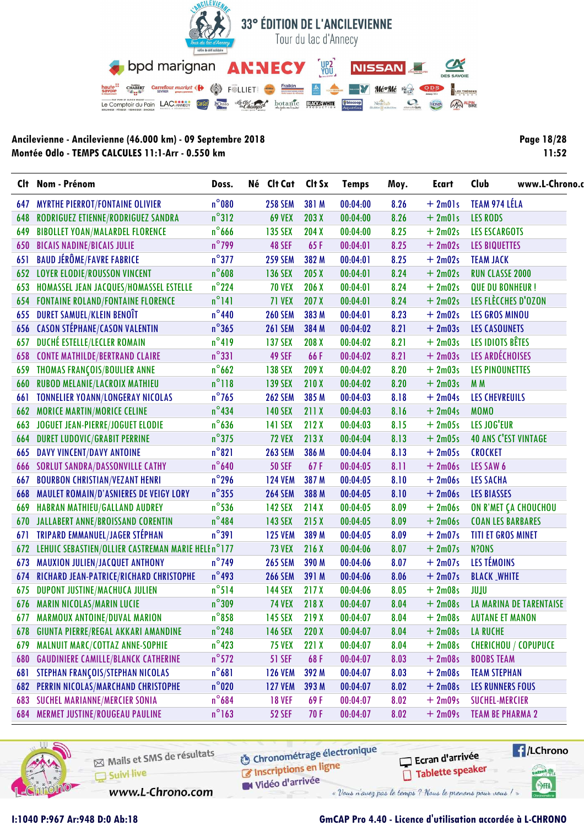

| <b>Page 18/28</b> |
|-------------------|
| 11:52             |

|     | Clt Nom - Prénom                                   | Doss.           | Né Clt Cat     | Clt Sx | <b>Temps</b> | Moy. | <b>Ecart</b> | Club<br>www.L-Chrono.          |  |
|-----|----------------------------------------------------|-----------------|----------------|--------|--------------|------|--------------|--------------------------------|--|
| 647 | <b>MYRTHE PIERROT/FONTAINE OLIVIER</b>             | $n^{\circ}080$  | <b>258 SEM</b> | 381 M  | 00:04:00     | 8.26 | $+2m01s$     | TEAM 974 LÉLA                  |  |
| 648 | RODRIGUEZ ETIENNE/RODRIGUEZ SANDRA                 | $n^{\circ}312$  | <b>69 VEX</b>  | 203 X  | 00:04:00     | 8.26 | $+2m01s$     | <b>LES RODS</b>                |  |
| 649 | <b>BIBOLLET YOAN/MALARDEL FLORENCE</b>             | $n^{\circ}$ 666 | <b>135 SEX</b> | 204X   | 00:04:00     | 8.25 | $+2m02s$     | <b>LES ESCARGOTS</b>           |  |
| 650 | <b>BICAIS NADINE/BICAIS JULIE</b>                  | $n^{\circ}$ 799 | <b>48 SEF</b>  | 65F    | 00:04:01     | 8.25 | $+2m02s$     | <b>LES BIQUETTES</b>           |  |
| 651 | <b>BAUD JÉRÔME/FAVRE FABRICE</b>                   | $n^{\circ}$ 377 | <b>259 SEM</b> | 382 M  | 00:04:01     | 8.25 | $+2m02s$     | <b>TEAM JACK</b>               |  |
|     | <b>652 LOYER ELODIE/ROUSSON VINCENT</b>            | $n^{\circ}608$  | <b>136 SEX</b> | 205X   | 00:04:01     | 8.24 | $+2m02s$     | <b>RUN CLASSE 2000</b>         |  |
| 653 | HOMASSEL JEAN JACQUES/HOMASSEL ESTELLE             | $n^{\circ}$ 224 | <b>70 VEX</b>  | 206 X  | 00:04:01     | 8.24 | $+2m02s$     | <b>QUE DU BONHEUR!</b>         |  |
|     | <b>654 FONTAINE ROLAND/FONTAINE FLORENCE</b>       | $n^{\circ}$ 141 | <b>71 VEX</b>  | 207 X  | 00:04:01     | 8.24 | $+2m02s$     | LES FLÈCCHES D'OZON            |  |
| 655 | DURET SAMUEL/KLEIN BENOÎT                          | $n^{\circ}440$  | <b>260 SEM</b> | 383 M  | 00:04:01     | 8.23 | $+2m02s$     | <b>LES GROS MINOU</b>          |  |
| 656 | <b>CASON STÉPHANE/CASON VALENTIN</b>               | $n^{\circ}365$  | <b>261 SEM</b> | 384 M  | 00:04:02     | 8.21 | $+2m03s$     | <b>LES CASOUNETS</b>           |  |
| 657 | DUCHÉ ESTELLE/LECLER ROMAIN                        | $n^{\circ}419$  | <b>137 SEX</b> | 208 X  | 00:04:02     | 8.21 | $+2m03s$     | LES IDIOTS BÊTES               |  |
| 658 | <b>CONTE MATHILDE/BERTRAND CLAIRE</b>              | $n^{\circ}331$  | 49 SEF         | 66F    | 00:04:02     | 8.21 | $+2m03s$     | LES ARDÉCHOISES                |  |
| 659 | THOMAS FRANÇOIS/BOULIER ANNE                       | $n^{\circ}$ 662 | <b>138 SEX</b> | 209 X  | 00:04:02     | 8.20 | $+2m03s$     | <b>LES PINOUNETTES</b>         |  |
| 660 | <b>RUBOD MELANIE/LACROIX MATHIEU</b>               | $n^{\circ}118$  | <b>139 SEX</b> | 210X   | 00:04:02     | 8.20 | $+2m03s$     | M <sub>M</sub>                 |  |
| 661 | <b>TONNELIER YOANN/LONGERAY NICOLAS</b>            | $n^{\circ}$ 765 | <b>262 SEM</b> | 385 M  | 00:04:03     | 8.18 | $+2m04s$     | <b>LES CHEVREUILS</b>          |  |
| 662 | <b>MORICE MARTIN/MORICE CELINE</b>                 | $n^{\circ}434$  | <b>140 SEX</b> | 211X   | 00:04:03     | 8.16 | $+2m04s$     | <b>MOMO</b>                    |  |
| 663 | JOGUET JEAN-PIERRE/JOGUET ELODIE                   | $n^{\circ}$ 636 | <b>141 SEX</b> | 212X   | 00:04:03     | 8.15 | $+2m05s$     | LES JOG'EUR                    |  |
| 664 | <b>DURET LUDOVIC/GRABIT PERRINE</b>                | $n^{\circ}$ 375 | <b>72 VEX</b>  | 213X   | 00:04:04     | 8.13 | $+2m05s$     | <b>40 ANS C'EST VINTAGE</b>    |  |
| 665 | <b>DAVY VINCENT/DAVY ANTOINE</b>                   | $n^{\circ}821$  | <b>263 SEM</b> | 386 M  | 00:04:04     | 8.13 | $+2m05s$     | <b>CROCKET</b>                 |  |
| 666 | <b>SORLUT SANDRA/DASSONVILLE CATHY</b>             | $n^{\circ}$ 640 | <b>50 SEF</b>  | 67F    | 00:04:05     | 8.11 | $+2m06s$     | LES SAW 6                      |  |
| 667 | <b>BOURBON CHRISTIAN/VEZANT HENRI</b>              | $n^{\circ}$ 296 | <b>124 VEM</b> | 387 M  | 00:04:05     | 8.10 | $+2m06s$     | <b>LES SACHA</b>               |  |
| 668 | <b>MAULET ROMAIN/D'ASNIERES DE VEIGY LORY</b>      | $n^{\circ}$ 355 | <b>264 SEM</b> | 388 M  | 00:04:05     | 8.10 | $+2m06s$     | <b>LES BIASSES</b>             |  |
| 669 | <b>HABRAN MATHIEU/GALLAND AUDREY</b>               | $n^{\circ}$ 536 | <b>142 SEX</b> | 214X   | 00:04:05     | 8.09 | $+2m06s$     | ON R'MET ÇA CHOUCHOU           |  |
| 670 | JALLABERT ANNE/BROISSAND CORENTIN                  | $n^{\circ}484$  | <b>143 SEX</b> | 215X   | 00:04:05     | 8.09 | $+2m06s$     | <b>COAN LES BARBARES</b>       |  |
| 671 | TRIPARD EMMANUEL/JAGER STÉPHAN                     | $n^{\circ}391$  | <b>125 VEM</b> | 389 M  | 00:04:05     | 8.09 | $+2m07s$     | <b>TITI ET GROS MINET</b>      |  |
| 672 | LEHUIC SEBASTIEN/OLLIER CASTREMAN MARIE HELE n°177 |                 | <b>73 VEX</b>  | 216 X  | 00:04:06     | 8.07 | $+2m07s$     | N?ONS                          |  |
| 673 | MAUXION JULIEN/JACQUET ANTHONY                     | $n^{\circ}$ 749 | <b>265 SEM</b> | 390 M  | 00:04:06     | 8.07 | $+2m07s$     | LES TÉMOINS                    |  |
| 674 | RICHARD JEAN-PATRICE/RICHARD CHRISTOPHE            | $n^{\circ}$ 493 | <b>266 SEM</b> | 391 M  | 00:04:06     | 8.06 | $+2m07s$     | <b>BLACK WHITE</b>             |  |
| 675 | DUPONT JUSTINE/MACHUCA JULIEN                      | $n^{\circ}514$  | <b>144 SEX</b> | 217X   | 00:04:06     | 8.05 | $+2m08s$     | JUIU                           |  |
|     | <b>676 MARIN NICOLAS/MARIN LUCIE</b>               | $n^{\circ}309$  | <b>74 VEX</b>  | 218 X  | 00:04:07     | 8.04 | $+2m08s$     | <b>LA MARINA DE TARENTAISE</b> |  |
| 677 | <b>MARMOUX ANTOINE/DUVAL MARION</b>                | $n^{\circ}$ 858 | <b>145 SEX</b> | 219X   | 00:04:07     | 8.04 | $+2m08s$     | <b>AUTANE ET MANON</b>         |  |
| 678 | <b>GIUNTA PIERRE/REGAL AKKARI AMANDINE</b>         | $n^{\circ}$ 248 | <b>146 SEX</b> | 220X   | 00:04:07     | 8.04 | $+2m08s$     | <b>LA RUCHE</b>                |  |
| 679 | MALNUIT MARC/COTTAZ ANNE-SOPHIE                    | $n^{\circ}$ 423 | <b>75 VEX</b>  | 221X   | 00:04:07     | 8.04 | $+2m08s$     | CHERICHOU / COPUPUCE           |  |
| 680 | <b>GAUDINIERE CAMILLE/BLANCK CATHERINE</b>         | $n^{\circ}$ 572 | <b>51 SEF</b>  | 68F    | 00:04:07     | 8.03 | $+2m08s$     | <b>BOOBS TEAM</b>              |  |
| 681 | STEPHAN FRANÇOIS/STEPHAN NICOLAS                   | $n^{\circ}681$  | <b>126 VEM</b> | 392 M  | 00:04:07     | 8.03 | $+2m08s$     | <b>TEAM STEPHAN</b>            |  |
| 682 | PERRIN NICOLAS/MARCHAND CHRISTOPHE                 | $n^{\circ}$ 020 | <b>127 VEM</b> | 393 M  | 00:04:07     | 8.02 | $+2m08s$     | <b>LES RUNNERS FOUS</b>        |  |
| 683 | <b>SUCHEL MARIANNE/MERCIER SONIA</b>               | $n^{\circ}$ 684 | <b>18 VEF</b>  | 69 F   | 00:04:07     | 8.02 | $+2m09s$     | <b>SUCHEL-MERCIER</b>          |  |
| 684 | <b>MERMET JUSTINE/ROUGEAU PAULINE</b>              | $n^{\circ}$ 163 | <b>52 SEF</b>  | 70 F   | 00:04:07     | 8.02 | $+2m09s$     | <b>TEAM BE PHARMA 2</b>        |  |



Mails et SMS de résultats Suivi live

**6** Chronométrage électronique Inscriptions en ligne

Vidéo d'arrivée

www.L-Chrono.com

« Vous n'avez pas le temps ? Nous le prenons pour vous !

#### GmCAP Pro 4.40 - Licence d'utilisation accordée à L-CHRONO

Ecran d'arrivée

Tablette speaker

**E**/LChrono

anel W

SHA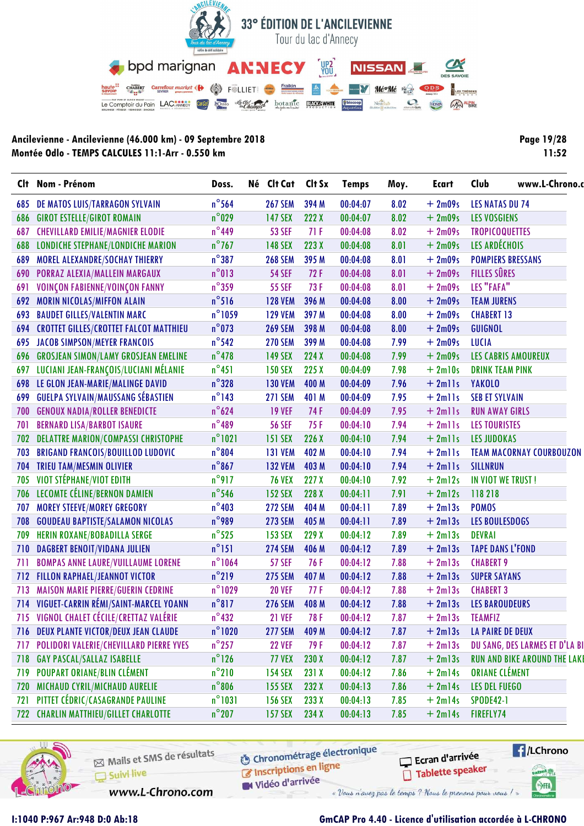

Page 19/28  $11:52$ 

|     | Clt Nom - Prénom                              | Doss.            | Né Clt Cat     | Clt Sx | <b>Temps</b> | Moy. | <b>Ecart</b> | Club                     | www.L-Chrono.o                     |  |
|-----|-----------------------------------------------|------------------|----------------|--------|--------------|------|--------------|--------------------------|------------------------------------|--|
| 685 | DE MATOS LUIS/TARRAGON SYLVAIN                | $n^{\circ}$ 564  | <b>267 SEM</b> | 394 M  | 00:04:07     | 8.02 | $+2m09s$     | <b>LES NATAS DU 74</b>   |                                    |  |
| 686 | <b>GIROT ESTELLE/GIROT ROMAIN</b>             | $n^{\circ}$ 029  | <b>147 SEX</b> | 222 X  | 00:04:07     | 8.02 | $+2m09s$     | <b>LES VOSGIENS</b>      |                                    |  |
| 687 | <b>CHEVILLARD EMILIE/MAGNIER ELODIE</b>       | $n^{\circ}$ 449  | <b>53 SEF</b>  | 71F    | 00:04:08     | 8.02 | $+2m09s$     | <b>TROPICOQUETTES</b>    |                                    |  |
| 688 | <b>LONDICHE STEPHANE/LONDICHE MARION</b>      | $n^{\circ}$ 767  | <b>148 SEX</b> | 223 X  | 00:04:08     | 8.01 | $+2m09s$     | LES ARDÉCHOIS            |                                    |  |
| 689 | MOREL ALEXANDRE/SOCHAY THIERRY                | $n^{\circ}387$   | <b>268 SEM</b> | 395 M  | 00:04:08     | 8.01 | $+2m09s$     | <b>POMPIERS BRESSANS</b> |                                    |  |
| 690 | PORRAZ ALEXIA/MALLEIN MARGAUX                 | $n^{\circ}013$   | <b>54 SEF</b>  | 72F    | 00:04:08     | 8.01 | $+2m09s$     | <b>FILLES SÛRES</b>      |                                    |  |
| 691 | VOINÇON FABIENNE/VOINÇON FANNY                | $n^{\circ}$ 359  | <b>55 SEF</b>  | 73 F   | 00:04:08     | 8.01 | $+2m09s$     | LES "FAFA"               |                                    |  |
| 692 | <b>MORIN NICOLAS/MIFFON ALAIN</b>             | $n^{\circ}$ 516  | <b>128 VEM</b> | 396 M  | 00:04:08     | 8.00 | $+2m09s$     | <b>TEAM JURENS</b>       |                                    |  |
| 693 | <b>BAUDET GILLES/VALENTIN MARC</b>            | $n^{\circ}$ 1059 | <b>129 VEM</b> | 397 M  | 00:04:08     | 8.00 | $+2m09s$     | <b>CHABERT 13</b>        |                                    |  |
| 694 | <b>CROTTET GILLES/CROTTET FALCOT MATTHIEU</b> | $n^{\circ}$ 073  | <b>269 SEM</b> | 398 M  | 00:04:08     | 8.00 | $+2m09s$     | <b>GUIGNOL</b>           |                                    |  |
| 695 | <b>JACOB SIMPSON/MEYER FRANCOIS</b>           | $n^{\circ}$ 542  | <b>270 SEM</b> | 399 M  | 00:04:08     | 7.99 | $+2m09s$     | <b>LUCIA</b>             |                                    |  |
| 696 | <b>GROSJEAN SIMON/LAMY GROSJEAN EMELINE</b>   | $n^{\circ}$ 478  | <b>149 SEX</b> | 224 X  | 00:04:08     | 7.99 | $+2m09s$     | LES CABRIS AMOUREUX      |                                    |  |
| 697 | LUCIANI JEAN-FRANÇOIS/LUCIANI MÉLANIE         | $n^{\circ}451$   | <b>150 SEX</b> | 225X   | 00:04:09     | 7.98 | $+2ml0s$     | <b>DRINK TEAM PINK</b>   |                                    |  |
|     | 698 LE GLON JEAN-MARIE/MALINGE DAVID          | $n^{\circ}328$   | <b>130 VEM</b> | 400 M  | 00:04:09     | 7.96 | $+2$ mlls    | <b>YAKOLO</b>            |                                    |  |
| 699 | <b>GUELPA SYLVAIN/MAUSSANG SÉBASTIEN</b>      | $n^{\circ}$ 143  | <b>271 SEM</b> | 401 M  | 00:04:09     | 7.95 | $+2$ mlls    | <b>SEB ET SYLVAIN</b>    |                                    |  |
| 700 | <b>GENOUX NADIA/ROLLER BENEDICTE</b>          | $n^{\circ}624$   | <b>19 VEF</b>  | 74 F   | 00:04:09     | 7.95 | $+ 2$ mlls   | <b>RUN AWAY GIRLS</b>    |                                    |  |
| 701 | <b>BERNARD LISA/BARBOT ISAURE</b>             | $n^{\circ}$ 489  | <b>56 SEF</b>  | 75 F   | 00:04:10     | 7.94 | $+ 2$ mlls   | <b>LES TOURISTES</b>     |                                    |  |
| 702 | <b>DELATTRE MARION/COMPASSI CHRISTOPHE</b>    | $n^{\circ}1021$  | <b>151 SEX</b> | 226X   | 00:04:10     | 7.94 | $+2$ mlls    | <b>LES JUDOKAS</b>       |                                    |  |
| 703 | <b>BRIGAND FRANCOIS/BOUILLOD LUDOVIC</b>      | $n^{\circ}804$   | <b>131 VEM</b> | 402 M  | 00:04:10     | 7.94 | $+2$ mlls    |                          | <b>TEAM MACORNAY COURBOUZON</b>    |  |
| 704 | <b>TRIEU TAM/MESMIN OLIVIER</b>               | $n^{\circ}867$   | <b>132 VEM</b> | 403 M  | 00:04:10     | 7.94 | $+2$ mlls    | SILLNRUN                 |                                    |  |
| 705 | VIOT STÉPHANE/VIOT EDITH                      | $n^{\circ}$ 917  | <b>76 VEX</b>  | 227X   | 00:04:10     | 7.92 | $+2ml2s$     | IN VIOT WE TRUST!        |                                    |  |
| 706 | LECOMTE CÉLINE/BERNON DAMIEN                  | $n^{\circ}$ 546  | <b>152 SEX</b> | 228 X  | 00:04:11     | 7.91 | $+2ml2s$     | 118218                   |                                    |  |
| 707 | <b>MOREY STEEVE/MOREY GREGORY</b>             | $n^{\circ}403$   | <b>272 SEM</b> | 404 M  | 00:04:11     | 7.89 | $+2ml3s$     | <b>POMOS</b>             |                                    |  |
| 708 | <b>GOUDEAU BAPTISTE/SALAMON NICOLAS</b>       | $n^{\circ}$ 989  | <b>273 SEM</b> | 405 M  | 00:04:11     | 7.89 | $+2ml3s$     | <b>LES BOULESDOGS</b>    |                                    |  |
| 709 | HERIN ROXANE/BOBADILLA SERGE                  | $n^{\circ}$ 525  | <b>153 SEX</b> | 229 X  | 00:04:12     | 7.89 | $+2ml3s$     | <b>DEVRAI</b>            |                                    |  |
| 710 | <b>DAGBERT BENOIT/VIDANA JULIEN</b>           | $n^{\circ}$ 151  | <b>274 SEM</b> | 406 M  | 00:04:12     | 7.89 | $+2ml3s$     | <b>TAPE DANS L'FOND</b>  |                                    |  |
| 711 | <b>BOMPAS ANNE LAURE/VUILLAUME LORENE</b>     | $n^{\circ}1064$  | <b>57 SEF</b>  | 76 F   | 00:04:12     | 7.88 | $+2ml3s$     | <b>CHABERT 9</b>         |                                    |  |
| 712 | <b>FILLON RAPHAEL/JEANNOT VICTOR</b>          | $n^{\circ}$ 219  | <b>275 SEM</b> | 407 M  | 00:04:12     | 7.88 | $+2ml3s$     | <b>SUPER SAYANS</b>      |                                    |  |
| 713 | <b>MAISON MARIE PIERRE/GUERIN CEDRINE</b>     | $n^{\circ}$ 1029 | <b>20 VEF</b>  | 77 F   | 00:04:12     | 7.88 | $+2ml3s$     | <b>CHABERT 3</b>         |                                    |  |
|     | 714 VIGUET-CARRIN RÉMI/SAINT-MARCEL YOANN     | $n^{\circ}817$   | <b>276 SEM</b> | 408 M  | 00:04:12     | 7.88 | $+2ml3s$     | <b>LES BAROUDEURS</b>    |                                    |  |
|     | 715 VIGNOL CHALET CÉCILE/CRETTAZ VALÉRIE      | $n^{\circ}$ 432  | <b>21 VEF</b>  | 78F    | 00:04:12     | 7.87 | $+2m13s$     | <b>TEAMFIZ</b>           |                                    |  |
|     | 716 DEUX PLANTE VICTOR/DEUX JEAN CLAUDE       | $n^{\circ}$ 1020 | <b>277 SEM</b> | 409 M  | 00:04:12     | 7.87 | $+2ml3s$     | <b>LA PAIRE DE DEUX</b>  |                                    |  |
| 717 | POLIDORI VALERIE/CHEVILLARD PIERRE YVES       | $n^{\circ}$ 257  | <b>22 VEF</b>  | 79 F   | 00:04:12     | 7.87 | $+2ml3s$     |                          | DU SANG, DES LARMES ET D'LA B      |  |
| 718 | <b>GAY PASCAL/SALLAZ ISABELLE</b>             | $n^{\circ}$ 126  | <b>77 VEX</b>  | 230X   | 00:04:12     | 7.87 | $+2ml3s$     |                          | <b>RUN AND BIKE AROUND THE LAK</b> |  |
| 719 | POUPART ORIANE/BLIN CLÉMENT                   | $n^{\circ}210$   | <b>154 SEX</b> | 231 X  | 00:04:12     | 7.86 | $+2ml4s$     | <b>ORIANE CLÉMENT</b>    |                                    |  |
| 720 | MICHAUD CYRIL/MICHAUD AURELIE                 | $n^{\circ}806$   | <b>155 SEX</b> | 232 X  | 00:04:13     | 7.86 | $+2ml4s$     | <b>LES DEL FUEGO</b>     |                                    |  |
| 721 | PITTET CÉDRIC/CASAGRANDE PAULINE              | $n^{\circ}1031$  | <b>156 SEX</b> | 233 X  | 00:04:13     | 7.85 | $+2ml4s$     | <b>SPODE42-1</b>         |                                    |  |
|     | 722 CHARLIN MATTHIEU/GILLET CHARLOTTE         | $n^{\circ}$ 207  | <b>157 SEX</b> | 234 X  | 00:04:13     | 7.85 | $+2ml4s$     | FIREFLY74                |                                    |  |



Mails et SMS de résultats Suivi live

www.L-Chrono.com

**6** Chronométrage électronique Inscriptions en ligne

Vidéo d'arrivée

Ecran d'arrivée Tablette speaker



I:1040 P:967 Ar:948 D:0 Ab:18

# GmCAP Pro 4.40 - Licence d'utilisation accordée à L-CHRONO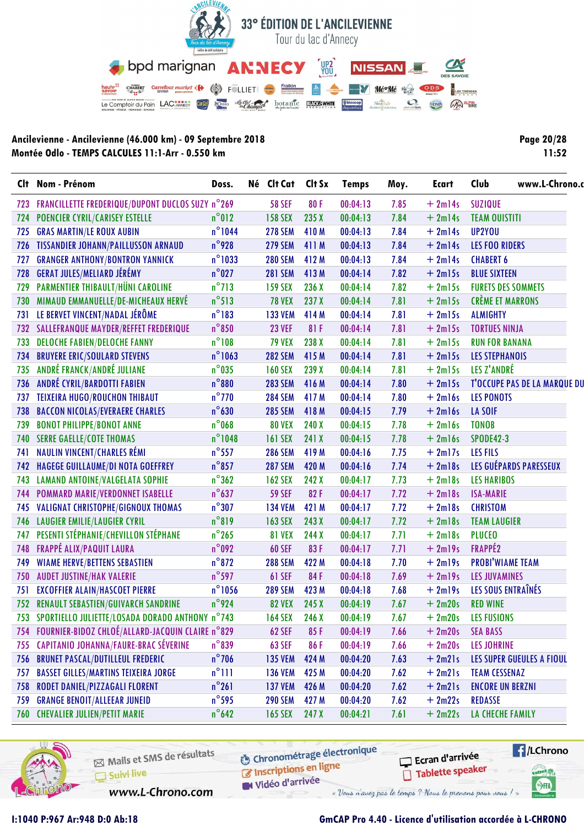

Page 20/28  $11:52$ 

|     | Clt Nom - Prénom                                     | Doss.            | Né Clt Cat Clt Sx |       | <b>Temps</b> | Moy. | Ecart     | Club                      | www.L-Chrono.                       |
|-----|------------------------------------------------------|------------------|-------------------|-------|--------------|------|-----------|---------------------------|-------------------------------------|
| 723 | FRANCILLETTE FREDERIQUE/DUPONT DUCLOS SUZY n°269     |                  | <b>58 SEF</b>     | 80F   | 00:04:13     | 7.85 | $+2m14s$  | <b>SUZIQUE</b>            |                                     |
|     | 724 POENCIER CYRIL/CARISEY ESTELLE                   | $n^{\circ}012$   | <b>158 SEX</b>    | 235 X | 00:04:13     | 7.84 | $+2ml4s$  | <b>TEAM OUISTITI</b>      |                                     |
| 725 | <b>GRAS MARTIN/LE ROUX AUBIN</b>                     | $n^{\circ}$ 1044 | <b>278 SEM</b>    | 410M  | 00:04:13     | 7.84 | $+2m14s$  | UP2YOU                    |                                     |
|     | 726 TISSANDIER JOHANN/PAILLUSSON ARNAUD              | $n^{\circ}$ 928  | <b>279 SEM</b>    | 411 M | 00:04:13     | 7.84 | $+2ml4s$  | <b>LES FOO RIDERS</b>     |                                     |
| 727 | <b>GRANGER ANTHONY/BONTRON YANNICK</b>               | $n^{\circ}$ 1033 | <b>280 SEM</b>    | 412 M | 00:04:13     | 7.84 | $+2m14s$  | <b>CHABERT 6</b>          |                                     |
| 728 | <b>GERAT JULES/MELIARD JÉRÉMY</b>                    | $n^{\circ}027$   | <b>281 SEM</b>    | 413M  | 00:04:14     | 7.82 | $+2m15s$  | <b>BLUE SIXTEEN</b>       |                                     |
| 729 | <b>PARMENTIER THIBAULT/HÜNI CAROLINE</b>             | $n^{\circ}$ 713  | <b>159 SEX</b>    | 236 X | 00:04:14     | 7.82 | $+2m15s$  | <b>FURETS DES SOMMETS</b> |                                     |
|     | 730 MIMAUD EMMANUELLE/DE-MICHEAUX HERVÉ              | $n^{\circ}513$   | <b>78 VEX</b>     | 237 X | 00:04:14     | 7.81 | $+2m15s$  | <b>CRÈME ET MARRONS</b>   |                                     |
| 731 | LE BERVET VINCENT/NADAL JÉRÔME                       | $n^{\circ}183$   | <b>133 VEM</b>    | 414 M | 00:04:14     | 7.81 | $+2m15s$  | <b>ALMIGHTY</b>           |                                     |
|     | 732 SALLEFRANQUE MAYDER/REFFET FREDERIQUE            | $n^{\circ}850$   | <b>23 VEF</b>     | 81F   | 00:04:14     | 7.81 | $+2m15s$  | <b>TORTUES NINJA</b>      |                                     |
| 733 | <b>DELOCHE FABIEN/DELOCHE FANNY</b>                  | $n^{\circ}108$   | <b>79 VEX</b>     | 238 X | 00:04:14     | 7.81 | $+2m15s$  | <b>RUN FOR BANANA</b>     |                                     |
| 734 | <b>BRUYERE ERIC/SOULARD STEVENS</b>                  | $n^{\circ}$ 1063 | <b>282 SEM</b>    | 415 M | 00:04:14     | 7.81 | $+2m15s$  | <b>LES STEPHANOIS</b>     |                                     |
| 735 | ANDRÉ FRANCK/ANDRÉ JULIANE                           | $n^{\circ}$ 035  | <b>160 SEX</b>    | 239 X | 00:04:14     | 7.81 | $+2m15s$  | LES Z'ANDRÉ               |                                     |
|     | 736 ANDRÉ CYRIL/BARDOTTI FABIEN                      | $n^{\circ}880$   | <b>283 SEM</b>    | 416 M | 00:04:14     | 7.80 | $+2m15s$  |                           | <b>T'OCCUPE PAS DE LA MARQUE DI</b> |
| 737 | <b>TEIXEIRA HUGO/ROUCHON THIBAUT</b>                 | $n^{\circ}$ 770  | <b>284 SEM</b>    | 417 M | 00:04:14     | 7.80 | $+2ml6s$  | <b>LES PONOTS</b>         |                                     |
| 738 | <b>BACCON NICOLAS/EVERAERE CHARLES</b>               | $n^{\circ}$ 630  | <b>285 SEM</b>    | 418 M | 00:04:15     | 7.79 | $+2ml6s$  | <b>LA SOIF</b>            |                                     |
| 739 | <b>BONOT PHILIPPE/BONOT ANNE</b>                     | $n^{\circ}$ 068  | <b>80 VEX</b>     | 240 X | 00:04:15     | 7.78 | $+2ml6s$  | <b>TONOB</b>              |                                     |
| 740 | <b>SERRE GAELLE/COTE THOMAS</b>                      | $n^{\circ}$ 1048 | <b>161 SEX</b>    | 241 X | 00:04:15     | 7.78 | $+2ml6s$  | <b>SPODE42-3</b>          |                                     |
| 741 | <b>NAULIN VINCENT/CHARLES RÉMI</b>                   | $n^{\circ}$ 557  | <b>286 SEM</b>    | 419 M | 00:04:16     | 7.75 | $+2ml7s$  | <b>LES FILS</b>           |                                     |
|     | 742 HAGEGE GUILLAUME/DI NOTA GOEFFREY                | $n^{\circ}$ 857  | <b>287 SEM</b>    | 420 M | 00:04:16     | 7.74 | $+2$ ml8s |                           | LES GUÉPARDS PARESSEUX              |
| 743 | <b>LAMAND ANTOINE/VALGELATA SOPHIE</b>               | $n^{\circ}362$   | <b>162 SEX</b>    | 242 X | 00:04:17     | 7.73 | $+2m18s$  | <b>LES HARIBOS</b>        |                                     |
|     | 744 POMMARD MARIE/VERDONNET ISABELLE                 | $n^{\circ}$ 637  | <b>59 SEF</b>     | 82F   | 00:04:17     | 7.72 | $+2$ ml8s | <b>ISA-MARIE</b>          |                                     |
| 745 | VALIGNAT CHRISTOPHE/GIGNOUX THOMAS                   | $n^{\circ}307$   | <b>134 VEM</b>    | 421 M | 00:04:17     | 7.72 | $+2$ ml8s | <b>CHRISTOM</b>           |                                     |
| 746 | <b>LAUGIER EMILIE/LAUGIER CYRIL</b>                  | $n^{\circ}819$   | <b>163 SEX</b>    | 243 X | 00:04:17     | 7.72 | $+2$ ml8s | <b>TEAM LAUGIER</b>       |                                     |
| 747 | PESENTI STÉPHANIE/CHEVILLON STÉPHANE                 | $n^{\circ}$ 265  | <b>81 VEX</b>     | 244 X | 00:04:17     | 7.71 | $+2m18s$  | <b>PLUCEO</b>             |                                     |
| 748 | <b>FRAPPÉ ALIX/PAQUIT LAURA</b>                      | $n^{\circ}$ 092  | <b>60 SEF</b>     | 83F   | 00:04:17     | 7.71 | $+2m19s$  | FRAPPÉ2                   |                                     |
| 749 | <b>WIAME HERVE/BETTENS SEBASTIEN</b>                 | $n^{\circ}872$   | <b>288 SEM</b>    | 422 M | 00:04:18     | 7.70 | $+2$ ml9s | <b>PROBI'WIAME TEAM</b>   |                                     |
| 750 | <b>AUDET JUSTINE/HAK VALERIE</b>                     | $n^{\circ}$ 597  | <b>61 SEF</b>     | 84 F  | 00:04:18     | 7.69 | $+2m19s$  | <b>LES JUVAMINES</b>      |                                     |
| 751 | <b>EXCOFFIER ALAIN/HASCOET PIERRE</b>                | $n^{\circ}$ 1056 | <b>289 SEM</b>    | 423 M | 00:04:18     | 7.68 | $+2$ ml9s | LES SOUS ENTRAÎNÉS        |                                     |
|     | 752 RENAULT SEBASTIEN/GUIVARCH SANDRINE              | n°924            | <b>82 VEX</b>     | 245 X | 00:04:19     | 7.67 | $+2m20s$  | <b>RED WINE</b>           |                                     |
|     | 753 SPORTIELLO JULIETTE/LOSADA DORADO ANTHONY n°743  |                  | <b>164 SEX</b>    | 246 X | 00:04:19     | 7.67 | $+2m20s$  | <b>LES FUSIONS</b>        |                                     |
|     | 754 FOURNIER-BIDOZ CHLOÉ/ALLARD-JACQUIN CLAIRE n°829 |                  | <b>62 SEF</b>     | 85F   | 00:04:19     | 7.66 | $+2m20s$  | <b>SEA BASS</b>           |                                     |
|     | 755 CAPITANIO JOHANNA/FAURE-BRAC SÉVERINE            | $n^{\circ}839$   | <b>63 SEF</b>     | 86F   | 00:04:19     | 7.66 | $+2m20s$  | <b>LES JOHRINE</b>        |                                     |
|     | 756 BRUNET PASCAL/DUTILLEUL FREDERIC                 | $n^{\circ}$ 706  | <b>135 VEM</b>    | 424 M | 00:04:20     | 7.63 | $+2m21s$  |                           | <b>LES SUPER GUEULES A FIOUL</b>    |
| 757 | <b>BASSET GILLES/MARTINS TEIXEIRA JORGE</b>          | $n^{\circ}$ 111  | <b>136 VEM</b>    | 425 M | 00:04:20     | 7.62 | $+2m21s$  | <b>TEAM CESSENAZ</b>      |                                     |
| 758 | RODET DANIEL/PIZZAGALI FLORENT                       | $n^{\circ}261$   | <b>137 VEM</b>    | 426 M | 00:04:20     | 7.62 | $+2m21s$  | <b>ENCORE UN BERZNI</b>   |                                     |
| 759 | <b>GRANGE BENOIT/ALLEEAR JUNEID</b>                  | $n^{\circ}$ 595  | <b>290 SEM</b>    | 427 M | 00:04:20     | 7.62 | $+2m22s$  | REDASSE                   |                                     |
|     | 760 CHEVALIER JULIEN/PETIT MARIE                     | $n^{\circ}$ 642  | <b>165 SEX</b>    | 247 X | 00:04:21     | 7.61 | $+2m22s$  | LA CHECHE FAMILY          |                                     |



Mails et SMS de résultats Suivi live

www.L-Chrono.com

**6** Chronométrage électronique Inscriptions en ligne

Vidéo d'arrivée

Ecran d'arrivée Tablette speaker



I:1040 P:967 Ar:948 D:0 Ab:18

« Vous n'avez pas le temps ? Nous le prenons pour vous !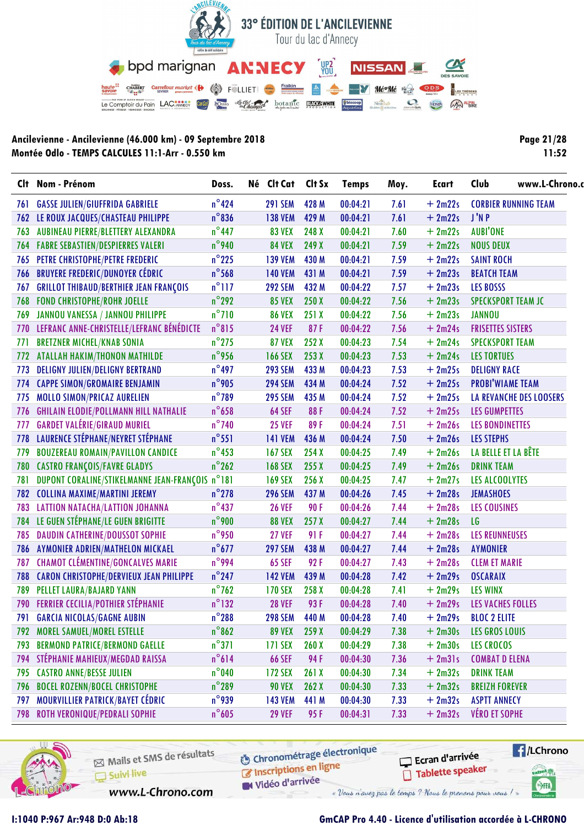

| <b>Page 21/28</b> |  |       |  |
|-------------------|--|-------|--|
|                   |  | 11:52 |  |

|      | Clt Nom - Prénom                                | Doss.           | Né Clt Cat     | Clt Sx | <b>Temps</b> | Moy. | <b>Ecart</b> | www.L-Chrono.<br>Club          |
|------|-------------------------------------------------|-----------------|----------------|--------|--------------|------|--------------|--------------------------------|
| 76 I | <b>GASSE JULIEN/GIUFFRIDA GABRIELE</b>          | $n^{\circ}$ 424 | <b>291 SEM</b> | 428 M  | 00:04:21     | 7.61 | $+2m22s$     | <b>CORBIER RUNNING TEAM</b>    |
| 762  | LE ROUX JACQUES/CHASTEAU PHILIPPE               | $n^{\circ}836$  | <b>138 VEM</b> | 429 M  | 00:04:21     | 7.61 | $+2m22s$     | J'N P                          |
| 763  | AUBINEAU PIERRE/BLETTERY ALEXANDRA              | $n^{\circ}$ 447 | <b>83 VEX</b>  | 248 X  | 00:04:21     | 7.60 | $+2m22s$     | <b>AUBI'ONE</b>                |
|      | <b>764 FABRE SEBASTIEN/DESPIERRES VALERI</b>    | $n^{\circ}$ 940 | <b>84 VEX</b>  | 249 X  | 00:04:21     | 7.59 | $+2m22s$     | <b>NOUS DEUX</b>               |
| 765  | PETRE CHRISTOPHE/PETRE FREDERIC                 | $n^{\circ}$ 225 | <b>139 VEM</b> | 430 M  | 00:04:21     | 7.59 | $+2m22s$     | <b>SAINT ROCH</b>              |
| 766  | <b>BRUYERE FREDERIC/DUNOYER CÉDRIC</b>          | $n^{\circ}$ 568 | <b>140 VEM</b> | 431 M  | 00:04:21     | 7.59 | $+2m23s$     | <b>BEATCH TEAM</b>             |
| 767  | <b>GRILLOT THIBAUD/BERTHIER JEAN FRANÇOIS</b>   | $n^{\circ}$ 117 | <b>292 SEM</b> | 432 M  | 00:04:22     | 7.57 | $+2m23s$     | <b>LES BOSSS</b>               |
| 768  | <b>FOND CHRISTOPHE/ROHR JOELLE</b>              | $n^{\circ}$ 292 | <b>85 VEX</b>  | 250X   | 00:04:22     | 7.56 | $+2m23s$     | <b>SPECKSPORT TEAM JC</b>      |
| 769  | JANNOU VANESSA / JANNOU PHILIPPE                | $n^{\circ}$ 710 | <b>86 VEX</b>  | 251X   | 00:04:22     | 7.56 | $+2m23s$     | <b>JANNOU</b>                  |
| 770  | LEFRANC ANNE-CHRISTELLE/LEFRANC BÉNÉDICTE       | $n^{\circ}815$  | <b>24 VEF</b>  | 87F    | 00:04:22     | 7.56 | $+2m24s$     | <b>FRISETTES SISTERS</b>       |
| 771  | <b>BRETZNER MICHEL/KNAB SONIA</b>               | $n^{\circ}$ 275 | <b>87 VEX</b>  | 252 X  | 00:04:23     | 7.54 | $+2m24s$     | <b>SPECKSPORT TEAM</b>         |
| 772  | <b>ATALLAH HAKIM/THONON MATHILDE</b>            | $n^{\circ}$ 956 | <b>166 SEX</b> | 253X   | 00:04:23     | 7.53 | $+2m24s$     | <b>LES TORTUES</b>             |
| 773  | <b>DELIGNY JULIEN/DELIGNY BERTRAND</b>          | $n^{\circ}$ 497 | <b>293 SEM</b> | 433 M  | 00:04:23     | 7.53 | $+2m25s$     | <b>DELIGNY RACE</b>            |
| 774  | <b>CAPPE SIMON/GROMAIRE BENJAMIN</b>            | $n^{\circ}$ 905 | <b>294 SEM</b> | 434 M  | 00:04:24     | 7.52 | $+2m25s$     | <b>PROBI'WIAME TEAM</b>        |
| 775  | MOLLO SIMON/PRICAZ AURELIEN                     | $n^{\circ}$ 789 | <b>295 SEM</b> | 435 M  | 00:04:24     | 7.52 | $+2m25s$     | <b>LA REVANCHE DES LOOSERS</b> |
| 776  | <b>GHILAIN ELODIE/POLLMANN HILL NATHALIE</b>    | $n^{\circ}$ 658 | <b>64 SEF</b>  | 88F    | 00:04:24     | 7.52 | $+2m25s$     | <b>LES GUMPETTES</b>           |
| 777  | <b>GARDET VALÉRIE/GIRAUD MURIEL</b>             | $n^{\circ}$ 740 | <b>25 VEF</b>  | 89F    | 00:04:24     | 7.51 | $+2m26s$     | <b>LES BONDINETTES</b>         |
| 778  | LAURENCE STÉPHANE/NEYRET STÉPHANE               | $n^{\circ}$ 551 | <b>141 VEM</b> | 436 M  | 00:04:24     | 7.50 | $+2m26s$     | <b>LES STEPHS</b>              |
| 779  | <b>BOUZEREAU ROMAIN/PAVILLON CANDICE</b>        | $n^{\circ}$ 453 | <b>167 SEX</b> | 254X   | 00:04:25     | 7.49 | $+2m26s$     | LA BELLE ET LA BÊTE            |
| 780  | <b>CASTRO FRANÇOIS/FAVRE GLADYS</b>             | $n^{\circ}$ 262 | <b>168 SEX</b> | 255X   | 00:04:25     | 7.49 | $+2m26s$     | <b>DRINK TEAM</b>              |
| 781  | DUPONT CORALINE/STIKELMANNE JEAN-FRANÇOIS n°181 |                 | <b>169 SEX</b> | 256X   | 00:04:25     | 7.47 | $+2m27s$     | LES ALCOOLYTES                 |
| 782  | <b>COLLINA MAXIME/MARTINI JEREMY</b>            | $n^{\circ}$ 278 | <b>296 SEM</b> | 437 M  | 00:04:26     | 7.45 | $+2m28s$     | <b>JEMASHOES</b>               |
| 783  | LATTION NATACHA/LATTION JOHANNA                 | $n^{\circ}437$  | <b>26 VEF</b>  | 90F    | 00:04:26     | 7.44 | $+2m28s$     | <b>LES COUSINES</b>            |
|      | 784 LE GUEN STÉPHANE/LE GUEN BRIGITTE           | $n^{\circ}$ 900 | <b>88 VEX</b>  | 257X   | 00:04:27     | 7.44 | $+2m28s$     | LG                             |
| 785  | <b>DAUDIN CATHERINE/DOUSSOT SOPHIE</b>          | $n^{\circ}$ 950 | <b>27 VEF</b>  | 91 F   | 00:04:27     | 7.44 | $+2m28s$     | <b>LES REUNNEUSES</b>          |
| 786  | AYMONIER ADRIEN/MATHELON MICKAEL                | $n^{\circ}677$  | <b>297 SEM</b> | 438 M  | 00:04:27     | 7.44 | $+2m28s$     | <b>AYMONIER</b>                |
| 787  | <b>CHAMOT CLÉMENTINE/GONCALVES MARIE</b>        | n°994           | <b>65 SEF</b>  | 92F    | 00:04:27     | 7.43 | $+2m28s$     | <b>CLEM ET MARIE</b>           |
| 788  | <b>CARON CHRISTOPHE/DERVIEUX JEAN PHILIPPE</b>  | $n^{\circ}$ 247 | <b>142 VEM</b> | 439 M  | 00:04:28     | 7.42 | $+2m29s$     | <b>OSCARAIX</b>                |
| 789  | PELLET LAURA/BAJARD YANN                        | $n^{\circ}$ 762 | <b>170 SEX</b> | 258 X  | 00:04:28     | 7.41 | $+2m29s$     | <b>LES WINX</b>                |
|      | 790 FERRIER CECILIA/POTHIER STÉPHANIE           | $n^{\circ}$ 132 | <b>28 VEF</b>  | 93F    | 00:04:28     | 7.40 | $+2m29s$     | LES VACHES FOLLES              |
|      | 791 GARCIA NICOLAS/GAGNE AUBIN                  | $n^{\circ}$ 288 | <b>298 SEM</b> | 440 M  | 00:04:28     | 7.40 | $+2m29s$     | <b>BLOC 2 ELITE</b>            |
|      | 792 MOREL SAMUEL/MOREL ESTELLE                  | $n^{\circ}$ 862 | <b>89 VEX</b>  | 259X   | 00:04:29     | 7.38 | $+2m30s$     | <b>LES GROS LOUIS</b>          |
| 793  | <b>BERMOND PATRICE/BERMOND GAELLE</b>           | $n^{\circ}371$  | <b>171 SEX</b> | 260X   | 00:04:29     | 7.38 | $+2m30s$     | <b>LES CROCOS</b>              |
| 794  | STÉPHANIE MAHIEUX/MEGDAD RAISSA                 | $n^{\circ}614$  | <b>66 SEF</b>  | 94 F   | 00:04:30     | 7.36 | $+2m31s$     | <b>COMBAT D ELENA</b>          |
| 795  | <b>CASTRO ANNE/BESSE JULIEN</b>                 | $n^{\circ}$ 040 | <b>172 SEX</b> | 261X   | 00:04:30     | 7.34 | $+2m32s$     | <b>DRINK TEAM</b>              |
| 796  | <b>BOCEL ROZENN/BOCEL CHRISTOPHE</b>            | $n^{\circ}$ 289 | <b>90 VEX</b>  | 262X   | 00:04:30     | 7.33 | $+2m32s$     | <b>BREIZH FOREVER</b>          |
| 797  | MOURVILLIER PATRICK/BAYET CÉDRIC                | $n^{\circ}$ 939 | <b>143 VEM</b> | 441 M  | 00:04:30     | 7.33 | $+2m32s$     | <b>ASPTT ANNECY</b>            |
| 798  | ROTH VERONIQUE/PEDRALI SOPHIE                   | $n^{\circ}605$  | <b>29 VEF</b>  | 95 F   | 00:04:31     | 7.33 | $+2m32s$     | <b>VÉRO ET SOPHE</b>           |



Mails et SMS de résultats Suivi live

**6** Chronométrage électronique Inscriptions en ligne

Ecran d'arrivée Tablette speaker



www.L-Chrono.com

Vidéo d'arrivée « Vous n'avez pas le temps ? Nous le prenons pour vous !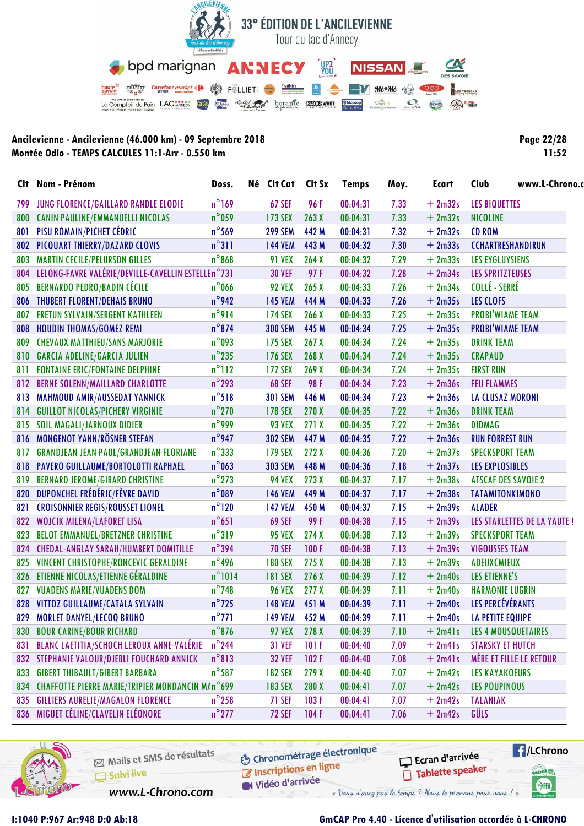

| Page 22/28 |
|------------|
| 11:52      |

| 799 |                                                         |                 |                |                  |          | Moy. | <b>Ecart</b> |                                    | www.L-Chrono.c |
|-----|---------------------------------------------------------|-----------------|----------------|------------------|----------|------|--------------|------------------------------------|----------------|
|     | JUNG FLORENCE/GAILLARD RANDLE ELODIE                    | $n^{\circ}$ 169 | <b>67 SEF</b>  | 96 F             | 00:04:31 | 7.33 | $+2m32s$     | <b>LES BIQUETTES</b>               |                |
| 800 | CANIN PAULINE/EMMANUELLI NICOLAS                        | $n^{\circ}$ 059 | <b>173 SEX</b> | 263X             | 00:04:31 | 7.33 | $+2m32s$     | <b>NICOLINE</b>                    |                |
| 801 | PISU ROMAIN/PICHET CÉDRIC                               | $n^{\circ}$ 569 | <b>299 SEM</b> | 442 M            | 00:04:31 | 7.32 | $+2m32s$     | <b>CD ROM</b>                      |                |
| 802 | PICQUART THIERRY/DAZARD CLOVIS                          | $n^{\circ}311$  | <b>144 VEM</b> | 443 M            | 00:04:32 | 7.30 | $+2m33s$     | <b>CCHARTRESHANDIRUN</b>           |                |
| 803 | <b>MARTIN CECILE/PELURSON GILLES</b>                    | $n^{\circ}868$  | <b>91 VEX</b>  | 264X             | 00:04:32 | 7.29 | $+2m33s$     | <b>LES EYGLUYSIENS</b>             |                |
| 804 | LELONG-FAVRE VALÉRIE/DEVILLE-CAVELLIN ESTELLE n°731     |                 | <b>30 VEF</b>  | 97F              | 00:04:32 | 7.28 | $+2m34s$     | <b>LES SPRITZTEUSES</b>            |                |
| 805 | <b>BERNARDO PEDRO/BADIN CÉCILE</b>                      | $n^{\circ}$ 066 | <b>92 VEX</b>  | 265X             | 00:04:33 | 7.26 | $+2m34s$     | <b>COLLÉ - SERRÉ</b>               |                |
|     | 806 THUBERT FLORENT/DEHAIS BRUNO                        | $n^{\circ}$ 942 | <b>145 VEM</b> | 444 M            | 00:04:33 | 7.26 | $+2m35s$     | LES CLOFS                          |                |
| 807 | <b>FRETUN SYLVAIN/SERGENT KATHLEEN</b>                  | $n^{\circ}$ 914 | <b>174 SEX</b> | 266X             | 00:04:33 | 7.25 | $+2m35s$     | <b>PROBI'WIAME TEAM</b>            |                |
| 808 | <b>HOUDIN THOMAS/GOMEZ REMI</b>                         | $n^{\circ}874$  | <b>300 SEM</b> | 445 M            | 00:04:34 | 7.25 | $+2m35s$     | <b>PROBI'WIAME TEAM</b>            |                |
| 809 | <b>CHEVAUX MATTHIEU/SANS MARJORIE</b>                   | $n^{\circ}$ 093 | <b>175 SEX</b> | 267X             | 00:04:34 | 7.24 | $+2m35s$     | <b>DRINK TEAM</b>                  |                |
| 810 | <b>GARCIA ADELINE/GARCIA JULIEN</b>                     | $n^{\circ}$ 235 | <b>176 SEX</b> | 268 X            | 00:04:34 | 7.24 | $+2m35s$     | <b>CRAPAUD</b>                     |                |
| 811 | <b>FONTAINE ERIC/FONTAINE DELPHINE</b>                  | $n^{\circ}112$  | <b>177 SEX</b> | 269 X            | 00:04:34 | 7.24 | $+2m35s$     | <b>FIRST RUN</b>                   |                |
| 812 | <b>BERNE SOLENN/MAILLARD CHARLOTTE</b>                  | $n^{\circ}$ 293 | <b>68 SEF</b>  | 98F              | 00:04:34 | 7.23 | $+2m36s$     | <b>FEU FLAMMES</b>                 |                |
| 813 | MAHMOUD AMIR/AUSSEDAT YANNICK                           | $n^{\circ}518$  | <b>301 SEM</b> | 446 M            | 00:04:34 | 7.23 | $+2m36s$     | <b>LA CLUSAZ MORONI</b>            |                |
| 814 | <b>GUILLOT NICOLAS/PICHERY VIRGINIE</b>                 | $n^{\circ}$ 270 | <b>178 SEX</b> | 270 X            | 00:04:35 | 7.22 | $+2m36s$     | <b>DRINK TEAM</b>                  |                |
| 815 | <b>SOIL MAGALI/JARNOUX DIDIER</b>                       | $n^{\circ}$ 999 | <b>93 VEX</b>  | 271X             | 00:04:35 | 7.22 | $+2m36s$     | <b>DIDMAG</b>                      |                |
| 816 | <b>MONGENOT YANN/RÖSNER STEFAN</b>                      | $n^{\circ}$ 947 | <b>302 SEM</b> | 447 M            | 00:04:35 | 7.22 | $+2m36s$     | <b>RUN FORREST RUN</b>             |                |
| 817 | <b>GRANDJEAN JEAN PAUL/GRANDJEAN FLORIANE</b>           | $n^{\circ}333$  | <b>179 SEX</b> | 272X             | 00:04:36 | 7.20 | $+2m37s$     | <b>SPECKSPORT TEAM</b>             |                |
| 818 | <b>PAVERO GUILLAUME/BORTOLOTTI RAPHAEL</b>              | $n^{\circ}$ 063 | <b>303 SEM</b> | 448 M            | 00:04:36 | 7.18 | $+2m37s$     | <b>LES EXPLOSIBLES</b>             |                |
| 819 | <b>BERNARD JEROME/GIRARD CHRISTINE</b>                  | $n^{\circ}$ 273 | <b>94 VEX</b>  | 273X             | 00:04:37 | 7.17 | $+2m38s$     | <b>ATSCAF DES SAVOIE 2</b>         |                |
| 820 | DUPONCHEL FRÉDÉRIC/FÈVRE DAVID                          | $n^{\circ}089$  | <b>146 VEM</b> | 449 M            | 00:04:37 | 7.17 | $+2m38s$     | <b>TATAMITONKIMONO</b>             |                |
| 821 | <b>CROISONNIER REGIS/ROUSSET LIONEL</b>                 | $n^{\circ}$ 120 | <b>147 VEM</b> | 450 M            | 00:04:37 | 7.15 | $+2m39s$     | <b>ALADER</b>                      |                |
| 822 | <b>WOJCIK MILENA/LAFORET LISA</b>                       | $n^{\circ}651$  | <b>69 SEF</b>  | 99 F             | 00:04:38 | 7.15 | $+2m39s$     | <b>LES STARLETTES DE LA YAUTE!</b> |                |
| 823 | <b>BELOT EMMANUEL/BRETZNER CHRISTINE</b>                | $n^{\circ}319$  | <b>95 VEX</b>  | 274X             | 00:04:38 | 7.13 | $+2m39s$     | <b>SPECKSPORT TEAM</b>             |                |
| 824 | <b>CHEDAL-ANGLAY SARAH/HUMBERT DOMITILLE</b>            | $n^{\circ}$ 394 | <b>70 SEF</b>  | 100F             | 00:04:38 | 7.13 | $+2m39s$     | <b>VIGOUSSES TEAM</b>              |                |
| 825 | VINCENT CHRISTOPHE/RONCEVIC GERALDINE                   | $n^{\circ}$ 496 | <b>180 SEX</b> | 275X             | 00:04:38 | 7.13 | $+2m39s$     | ADEUXCMIEUX                        |                |
| 826 | ETIENNE NICOLAS/ETIENNE GÉRALDINE                       | $n^{\circ}1014$ | <b>181 SEX</b> | 276 X            | 00:04:39 | 7.12 | $+2m40s$     | LES ETIENNE'S                      |                |
| 827 | <b>VUADENS MARIE/VUADENS DOM</b>                        | $n^{\circ}$ 748 | <b>96 VEX</b>  | 277 <sub>X</sub> | 00:04:39 | 7.11 | $+2m40s$     | <b>HARMONIE LUGRIN</b>             |                |
|     | 828 VITTOZ GUILLAUME/CATALA SYLVAIN                     | $n^{\circ}$ 725 | <b>148 VEM</b> | 451 M            | 00:04:39 | 7.11 | $+2m40s$     | LES PERCÉVÉRANTS                   |                |
| 829 | <b>MORLET DANYEL/LECOQ BRUNO</b>                        | $n^{\circ}$ 771 | 149 VEM        | 452 M            | 00:04:39 | 7.11 | $+2m40s$     | <b>LA PETITE EQUIPE</b>            |                |
| 830 | <b>BOUR CARINE/BOUR RICHARD</b>                         | $n^{\circ}$ 876 | <b>97 VEX</b>  | 278 X            | 00:04:39 | 7.10 | $+2m41s$     | <b>LES 4 MOUSQUETAIRES</b>         |                |
| 831 | <b>BLANC LAETITIA/SCHOCH LEROUX ANNE-VALÉRIE</b>        | $n^{\circ}$ 244 | <b>31 VEF</b>  | 101F             | 00:04:40 | 7.09 | $+2m41s$     | <b>STARSKY ET HUTCH</b>            |                |
| 832 | STEPHANIE VALOUR/DJEBLI FOUCHARD ANNICK                 | $n^{\circ}813$  | <b>32 VEF</b>  | 102F             | 00:04:40 | 7.08 | $+2m41s$     | MÈRE ET FILLE LE RETOUR            |                |
| 833 | <b>GIBERT THIBAULT/GIBERT BARBARA</b>                   | $n^{\circ}$ 587 | <b>182 SEX</b> | 279X             | 00:04:40 | 7.07 | $+2m42s$     | <b>LES KAYAKOEURS</b>              |                |
| 834 | <b>CHAFFOTTE PIERRE MARIE/TRIPIER MONDANCIN M/n°699</b> |                 | <b>183 SEX</b> | 280 X            | 00:04:41 | 7.07 | $+2m42s$     | <b>LES POUPINOUS</b>               |                |
| 835 | <b>GILLIERS AURELIE/MAGALON FLORENCE</b>                | $n^{\circ}$ 258 | 71 SEF         | 103F             | 00:04:41 | 7.07 | $+2m42s$     | <b>TALANIAK</b>                    |                |
|     | 836 MIGUET CÉLINE/CLAVELIN ELÉONORE                     | $n^{\circ}$ 277 | <b>72 SEF</b>  | 104F             | 00:04:41 | 7.06 | $+2m42s$     | GÜLS                               |                |



Mails et SMS de résultats Suivi live

www.L-Chrono.com

**6** Chronométrage électronique Inscriptions en ligne

W Vidéo d'arrivée

Ecran d'arrivée Tablette speaker



**I:1040 P:967 Ar:948 D:0 Ab:18 GmCAP Pro 4.40 - Licence d'utilisation accordée à L-CHRONO**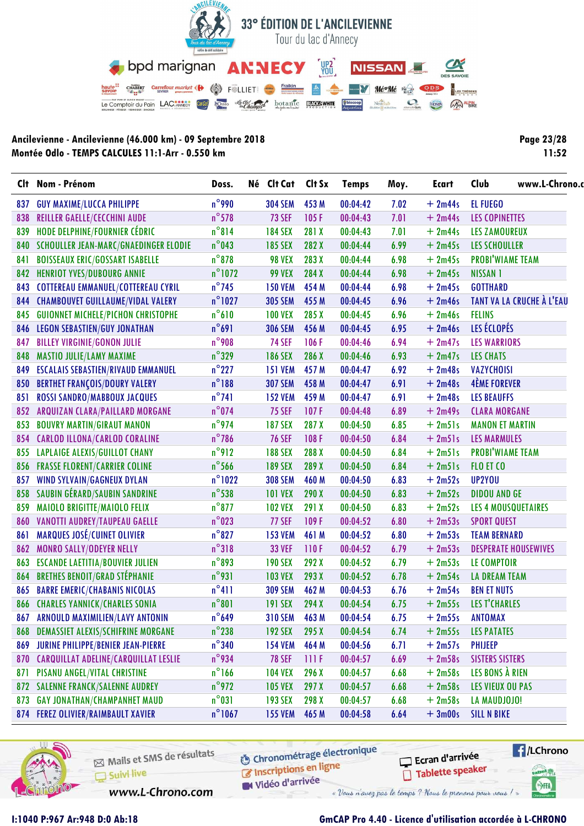

| <b>Page 23/28</b> |
|-------------------|
| 11:52             |

|     | Clt Nom - Prénom                            | Doss.            | Né Clt Cat     | Clt Sx | <b>Temps</b> | Moy. | <b>Ecart</b> | www.L-Chrono.<br>Club            |  |
|-----|---------------------------------------------|------------------|----------------|--------|--------------|------|--------------|----------------------------------|--|
| 837 | <b>GUY MAXIME/LUCCA PHILIPPE</b>            | $n^{\circ}$ 990  | <b>304 SEM</b> | 453 M  | 00:04:42     | 7.02 | $+2m44s$     | <b>EL FUEGO</b>                  |  |
| 838 | <b>REILLER GAELLE/CECCHINI AUDE</b>         | $n^{\circ}578$   | <b>73 SEF</b>  | 105F   | 00:04:43     | 7.01 | $+2m44s$     | <b>LES COPINETTES</b>            |  |
| 839 | HODE DELPHINE/FOURNIER CÉDRIC               | $n^{\circ}814$   | <b>184 SEX</b> | 281 X  | 00:04:43     | 7.01 | $+2m44s$     | <b>LES ZAMOUREUX</b>             |  |
|     | 840 SCHOULLER JEAN-MARC/GNAEDINGER ELODIE   | $n^{\circ}$ 043  | <b>185 SEX</b> | 282 X  | 00:04:44     | 6.99 | $+2m45s$     | <b>LES SCHOULLER</b>             |  |
| 841 | <b>BOISSEAUX ERIC/GOSSART ISABELLE</b>      | $n^{\circ}$ 878  | <b>98 VEX</b>  | 283 X  | 00:04:44     | 6.98 | $+2m45s$     | <b>PROBI'WIAME TEAM</b>          |  |
| 842 | <b>HENRIOT YVES/DUBOURG ANNIE</b>           | $n^{\circ}$ 1072 | <b>99 VEX</b>  | 284 X  | 00:04:44     | 6.98 | $+2m45s$     | <b>NISSAN 1</b>                  |  |
| 843 | <b>COTTEREAU EMMANUEL/COTTEREAU CYRIL</b>   | $n^{\circ}$ 745  | <b>150 VEM</b> | 454 M  | 00:04:44     | 6.98 | $+2m45s$     | <b>GOTTHARD</b>                  |  |
|     | 844 CHAMBOUVET GUILLAUME/VIDAL VALERY       | $n^{\circ}$ 1027 | <b>305 SEM</b> | 455 M  | 00:04:45     | 6.96 | $+2m46s$     | <b>TANT VA LA CRUCHE À L'EAU</b> |  |
| 845 | <b>GUIONNET MICHELE/PICHON CHRISTOPHE</b>   | $n^{\circ}610$   | <b>100 VEX</b> | 285 X  | 00:04:45     | 6.96 | $+2m46s$     | <b>FELINS</b>                    |  |
| 846 | <b>LEGON SEBASTIEN/GUY JONATHAN</b>         | $n^{\circ}691$   | <b>306 SEM</b> | 456 M  | 00:04:45     | 6.95 | $+2m46s$     | LES ÉCLOPÉS                      |  |
| 847 | <b>BILLEY VIRGINIE/GONON JULIE</b>          | $n^{\circ}$ 908  | <b>74 SEF</b>  | 106F   | 00:04:46     | 6.94 | $+2m47s$     | <b>LES WARRIORS</b>              |  |
| 848 | <b>MASTIO JULIE/LAMY MAXIME</b>             | $n^{\circ}329$   | <b>186 SEX</b> | 286 X  | 00:04:46     | 6.93 | $+2m47s$     | <b>LES CHATS</b>                 |  |
| 849 | <b>ESCALAIS SEBASTIEN/RIVAUD EMMANUEL</b>   | $n^{\circ}$ 227  | <b>151 VEM</b> | 457 M  | 00:04:47     | 6.92 | $+2m48s$     | <b>VAZYCHOISI</b>                |  |
| 850 | <b>BERTHET FRANÇOIS/DOURY VALERY</b>        | $n^{\circ}188$   | <b>307 SEM</b> | 458 M  | 00:04:47     | 6.91 | $+2m48s$     | <b>4ÈME FOREVER</b>              |  |
| 851 | ROSSI SANDRO/MABBOUX JACQUES                | $n^{\circ}741$   | <b>152 VEM</b> | 459 M  | 00:04:47     | 6.91 | $+2m48s$     | <b>LES BEAUFFS</b>               |  |
| 852 | ARQUIZAN CLARA/PAILLARD MORGANE             | $n^{\circ}$ 074  | <b>75 SEF</b>  | 107F   | 00:04:48     | 6.89 | $+2m49s$     | <b>CLARA MORGANE</b>             |  |
| 853 | <b>BOUVRY MARTIN/GIRAUT MANON</b>           | $n^{\circ}$ 974  | <b>187 SEX</b> | 287 X  | 00:04:50     | 6.85 | $+2m51s$     | <b>MANON ET MARTIN</b>           |  |
| 854 | <b>CARLOD ILLONA/CARLOD CORALINE</b>        | $n^{\circ}$ 786  | <b>76 SEF</b>  | 108F   | 00:04:50     | 6.84 | $+2m51s$     | <b>LES MARMULES</b>              |  |
| 855 | <b>LAPLAIGE ALEXIS/GUILLOT CHANY</b>        | $n^{\circ}$ 912  | <b>188 SEX</b> | 288 X  | 00:04:50     | 6.84 | $+2m51s$     | <b>PROBI'WIAME TEAM</b>          |  |
| 856 | <b>FRASSE FLORENT/CARRIER COLINE</b>        | $n^{\circ}$ 566  | <b>189 SEX</b> | 289 X  | 00:04:50     | 6.84 | $+2m51s$     | FLO ET CO                        |  |
| 857 | WIND SYLVAIN/GAGNEUX DYLAN                  | $n^{\circ}$ 1022 | <b>308 SEM</b> | 460 M  | 00:04:50     | 6.83 | $+2m52s$     | UP2YOU                           |  |
| 858 | SAUBIN GÉRARD/SAUBIN SANDRINE               | $n^{\circ}$ 538  | <b>101 VEX</b> | 290X   | 00:04:50     | 6.83 | $+2m52s$     | <b>DIDOU AND GE</b>              |  |
| 859 | <b>MAIOLO BRIGITTE/MAIOLO FELIX</b>         | $n^{\circ}$ 877  | <b>102 VEX</b> | 291 X  | 00:04:50     | 6.83 | $+2m52s$     | <b>LES 4 MOUSQUETAIRES</b>       |  |
| 860 | <b>VANOTTI AUDREY/TAUPEAU GAELLE</b>        | $n^{\circ}$ 023  | <b>77 SEF</b>  | 109F   | 00:04:52     | 6.80 | $+2m53s$     | <b>SPORT QUEST</b>               |  |
| 861 | <b>MARQUES JOSÉ/CUINET OLIVIER</b>          | $n^{\circ}827$   | <b>153 VEM</b> | 461 M  | 00:04:52     | 6.80 | $+2m53s$     | <b>TEAM BERNARD</b>              |  |
| 862 | <b>MONRO SALLY/ODEYER NELLY</b>             | $n^{\circ}318$   | <b>33 VEF</b>  | 110F   | 00:04:52     | 6.79 | $+2m53s$     | <b>DESPERATE HOUSEWIVES</b>      |  |
| 863 | <b>ESCANDE LAETITIA/BOUVIER JULIEN</b>      | $n^{\circ}$ 893  | <b>190 SEX</b> | 292 X  | 00:04:52     | 6.79 | $+2m53s$     | LE COMPTOIR                      |  |
| 864 | <b>BRETHES BENOIT/GRAD STÉPHANIE</b>        | $n^{\circ}$ 931  | <b>103 VEX</b> | 293 X  | 00:04:52     | 6.78 | $+2m54s$     | <b>LA DREAM TEAM</b>             |  |
| 865 | <b>BARRE EMERIC/CHABANIS NICOLAS</b>        | $n^{\circ}411$   | <b>309 SEM</b> | 462 M  | 00:04:53     | 6.76 | $+2m54s$     | <b>BEN ET NUTS</b>               |  |
|     | <b>866 CHARLES YANNICK/CHARLES SONIA</b>    | $n^{\circ}801$   | <b>191 SEX</b> | 294 X  | 00:04:54     | 6.75 | $+2m55s$     | <b>LES T'CHARLES</b>             |  |
|     | 867 ARNOULD MAXIMILIEN/LAVY ANTONIN         | $n^{\circ}$ 649  | <b>310 SEM</b> | 463 M  | 00:04:54     | 6.75 | $+2m55s$     | <b>ANTOMAX</b>                   |  |
| 868 | <b>DEMASSIET ALEXIS/SCHIFRINE MORGANE</b>   | $n^{\circ}$ 238  | <b>192 SEX</b> | 295X   | 00:04:54     | 6.74 | $+2m55s$     | <b>LES PATATES</b>               |  |
|     | 869 JURINE PHILIPPE/BENIER JEAN-PIERRE      | $n^{\circ}$ 340  | <b>154 VEM</b> | 464 M  | 00:04:56     | 6.71 | $+2m57s$     | <b>PHIJEEP</b>                   |  |
| 870 | <b>CARQUILLAT ADELINE/CARQUILLAT LESLIE</b> | $n^{\circ}$ 934  | <b>78 SEF</b>  | 111F   | 00:04:57     | 6.69 | $+2m58s$     | <b>SISTERS SISTERS</b>           |  |
| 871 | PISANU ANGEL/VITAL CHRISTINE                | $n^{\circ}$ 166  | <b>104 VEX</b> | 296 X  | 00:04:57     | 6.68 | $+2m58s$     | LES BONS À RIEN                  |  |
|     | 872 SALENNE FRANCK/SALENNE AUDREY           | $n^{\circ}$ 972  | <b>105 VEX</b> | 297X   | 00:04:57     | 6.68 | $+2m58s$     | <b>LES VIEUX OU PAS</b>          |  |
| 873 | <b>GAY JONATHAN/CHAMPANHET MAUD</b>         | $n^{\circ}031$   | <b>193 SEX</b> | 298 X  | 00:04:57     | 6.68 | $+2m58s$     | LA MAUDJOJO!                     |  |
|     | 874 FEREZ OLIVIER/RAIMBAULT XAVIER          | $n^{\circ}$ 1067 | <b>155 VEM</b> | 465 M  | 00:04:58     | 6.64 | $+3m00s$     | <b>SILL N BIKE</b>               |  |



Mails et SMS de résultats Suivi live

www.L-Chrono.com

**6** Chronométrage électronique Inscriptions en ligne

Vidéo d'arrivée

Ecran d'arrivée Tablette speaker

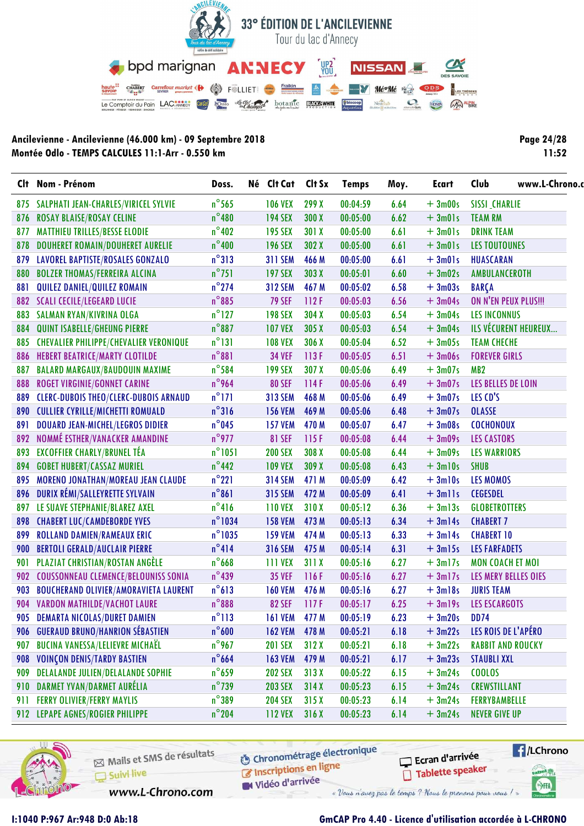

| <b>Page 24/28</b> |
|-------------------|
| 11:52             |

|     | Clt Nom - Prénom                              | Doss.            | Né Clt Cat     | Clt Sx | <b>Temps</b> | Moy. | <b>Ecart</b> | www.L-Chrono.<br>Club    |
|-----|-----------------------------------------------|------------------|----------------|--------|--------------|------|--------------|--------------------------|
|     | 875 SALPHATI JEAN-CHARLES/VIRICEL SYLVIE      | $n^{\circ}$ 565  | <b>106 VEX</b> | 299 X  | 00:04:59     | 6.64 | $+3m00s$     | <b>SISSI_CHARLIE</b>     |
| 876 | <b>ROSAY BLAISE/ROSAY CELINE</b>              | $n^{\circ}480$   | <b>194 SEX</b> | 300 X  | 00:05:00     | 6.62 | $+3m01s$     | <b>TEAM RM</b>           |
| 877 | <b>MATTHIEU TRILLES/BESSE ELODIE</b>          | $n^{\circ}$ 402  | <b>195 SEX</b> | 301 X  | 00:05:00     | 6.61 | $+3m01s$     | <b>DRINK TEAM</b>        |
| 878 | <b>DOUHERET ROMAIN/DOUHERET AURELIE</b>       | $n^{\circ}400$   | <b>196 SEX</b> | 302 X  | 00:05:00     | 6.61 | $+3m01s$     | <b>LES TOUTOUNES</b>     |
| 879 | <b>LAVOREL BAPTISTE/ROSALES GONZALO</b>       | $n^{\circ}313$   | <b>311 SEM</b> | 466 M  | 00:05:00     | 6.61 | $+3m01s$     | HUASCARAN                |
| 880 | <b>BOLZER THOMAS/FERREIRA ALCINA</b>          | $n^{\circ}$ 751  | <b>197 SEX</b> | 303 X  | 00:05:01     | 6.60 | $+3m02s$     | AMBULANCEROTH            |
| 881 | QUILEZ DANIEL/QUILEZ ROMAIN                   | $n^{\circ}$ 274  | <b>312 SEM</b> | 467 M  | 00:05:02     | 6.58 | $+3m03s$     | <b>BARÇA</b>             |
|     | 882 SCALI CECILE/LEGEARD LUCIE                | $n^{\circ}885$   | <b>79 SEF</b>  | 112F   | 00:05:03     | 6.56 | $+3m04s$     | ON N'EN PEUX PLUS !!!    |
| 883 | SALMAN RYAN/KIVRINA OLGA                      | $n^{\circ}$ 127  | <b>198 SEX</b> | 304 X  | 00:05:03     | 6.54 | $+3m04s$     | <b>LES INCONNUS</b>      |
| 884 | QUINT ISABELLE/GHEUNG PIERRE                  | $n^{\circ}887$   | <b>107 VEX</b> | 305X   | 00:05:03     | 6.54 | $+3m04s$     | ILS VÉCURENT HEUREUX     |
| 885 | <b>CHEVALIER PHILIPPE/CHEVALIER VERONIQUE</b> | $n^{\circ}131$   | <b>108 VEX</b> | 306 X  | 00:05:04     | 6.52 | $+3m05s$     | <b>TEAM CHECHE</b>       |
| 886 | <b>HEBERT BEATRICE/MARTY CLOTILDE</b>         | $n^{\circ}881$   | <b>34 VEF</b>  | 113F   | 00:05:05     | 6.51 | $+3m06s$     | <b>FOREVER GIRLS</b>     |
| 887 | <b>BALARD MARGAUX/BAUDOUIN MAXIME</b>         | $n^{\circ}$ 584  | <b>199 SEX</b> | 307X   | 00:05:06     | 6.49 | $+3m07s$     | MB <sub>2</sub>          |
| 888 | ROGET VIRGINIE/GONNET CARINE                  | n°964            | <b>80 SEF</b>  | 114F   | 00:05:06     | 6.49 | $+3m07s$     | LES BELLES DE LOIN       |
| 889 | <b>CLERC-DUBOIS THEO/CLERC-DUBOIS ARNAUD</b>  | $n^{\circ}$ 171  | <b>313 SEM</b> | 468 M  | 00:05:06     | 6.49 | $+3m07s$     | LES CD'S                 |
| 890 | <b>CULLIER CYRILLE/MICHETTI ROMUALD</b>       | $n^{\circ}316$   | <b>156 VEM</b> | 469 M  | 00:05:06     | 6.48 | $+3m07s$     | <b>OLASSE</b>            |
| 891 | <b>DOUARD JEAN-MICHEL/LEGROS DIDIER</b>       | $n^{\circ}$ 045  | <b>157 VEM</b> | 470 M  | 00:05:07     | 6.47 | $+3m08s$     | <b>COCHONOUX</b>         |
| 892 | NOMMÉ ESTHER/VANACKER AMANDINE                | $n^{\circ}$ 977  | <b>81 SEF</b>  | 115 F  | 00:05:08     | 6.44 | $+3m09s$     | <b>LES CASTORS</b>       |
| 893 | <b>EXCOFFIER CHARLY/BRUNEL TÉA</b>            | $n^{\circ}$ 1051 | <b>200 SEX</b> | 308 X  | 00:05:08     | 6.44 | $+3m09s$     | <b>LES WARRIORS</b>      |
| 894 | <b>GOBET HUBERT/CASSAZ MURIEL</b>             | $n^{\circ}$ 442  | <b>109 VEX</b> | 309 X  | 00:05:08     | 6.43 | $+3ml0s$     | <b>SHUB</b>              |
| 895 | MORENO JONATHAN/MOREAU JEAN CLAUDE            | $n^{\circ}221$   | <b>314 SEM</b> | 471 M  | 00:05:09     | 6.42 | $+3ml0s$     | LES MOMOS                |
| 896 | DURIX RÉMI/SALLEYRETTE SYLVAIN                | $n^{\circ}861$   | <b>315 SEM</b> | 472 M  | 00:05:09     | 6.41 | $+3$ mlls    | <b>CEGESDEL</b>          |
| 897 | LE SUAVE STEPHANIE/BLAREZ AXEL                | $n^{\circ}416$   | <b>110 VEX</b> | 310X   | 00:05:12     | 6.36 | $+3m13s$     | <b>GLOBETROTTERS</b>     |
| 898 | <b>CHABERT LUC/CAMDEBORDE YVES</b>            | $n^{\circ}$ 1034 | <b>158 VEM</b> | 473 M  | 00:05:13     | 6.34 | $+3ml4s$     | <b>CHABERT 7</b>         |
| 899 | <b>ROLLAND DAMIEN/RAMEAUX ERIC</b>            | $n^{\circ}$ 1035 | <b>159 VEM</b> | 474 M  | 00:05:13     | 6.33 | $+3ml4s$     | <b>CHABERT 10</b>        |
| 900 | <b>BERTOLI GERALD/AUCLAIR PIERRE</b>          | $n^{\circ}414$   | <b>316 SEM</b> | 475 M  | 00:05:14     | 6.31 | $+3m15s$     | <b>LES FARFADETS</b>     |
| 901 | PLAZIAT CHRISTIAN/ROSTAN ANGÈLE               | $n^{\circ}$ 668  | <b>111 VEX</b> | 311X   | 00:05:16     | 6.27 | $+3ml7s$     | <b>MON COACH ET MOI</b>  |
| 902 | <b>COUSSONNEAU CLEMENCE/BELOUNISS SONIA</b>   | $n^{\circ}439$   | <b>35 VEF</b>  | 116F   | 00:05:16     | 6.27 | $+3ml7s$     | LES MERY BELLES OIES     |
| 903 | <b>BOUCHERAND OLIVIER/AMORAVIETA LAURENT</b>  | $n^{\circ}613$   | <b>160 VEM</b> | 476 M  | 00:05:16     | 6.27 | $+3ml8s$     | <b>JURIS TEAM</b>        |
|     | 904 VARDON MATHILDE/VACHOT LAURE              | $n^{\circ}888$   | <b>82 SEF</b>  | 117F   | 00:05:17     | 6.25 | $+3m19s$     | <b>LES ESCARGOTS</b>     |
|     | 905 DEMARTA NICOLAS/DURET DAMIEN              | $n^{\circ}113$   | <b>161 VEM</b> | 477 M  | 00:05:19     | 6.23 | $+3m20s$     | <b>DD74</b>              |
| 906 | <b>GUERAUD BRUNO/HANRION SÉBASTIEN</b>        | $n^{\circ}600$   | <b>162 VEM</b> | 478 M  | 00:05:21     | 6.18 | $+3m22s$     | LES ROIS DE L'APÉRO      |
| 907 | <b>BUCINA VANESSA/LELIEVRE MICHAËL</b>        | $n^{\circ}$ 967  | <b>201 SEX</b> | 312X   | 00:05:21     | 6.18 | $+3m22s$     | <b>RABBIT AND ROUCKY</b> |
| 908 | <b>VOINÇON DENIS/TARDY BASTIEN</b>            | $n^{\circ}$ 664  | <b>163 VEM</b> | 479 M  | 00:05:21     | 6.17 | $+3m23s$     | <b>STAUBLI XXL</b>       |
| 909 | <b>DELALANDE JULIEN/DELALANDE SOPHIE</b>      | $n^{\circ}$ 659  | <b>202 SEX</b> | 313X   | 00:05:22     | 6.15 | $+3m24s$     | <b>COOLOS</b>            |
| 910 | DARMET YVAN/DARMET AURÉLIA                    | $n^{\circ}$ 739  | <b>203 SEX</b> | 314X   | 00:05:23     | 6.15 | $+3m24s$     | <b>CREWSTILLANT</b>      |
| 911 | <b>FERRY OLIVIER/FERRY MAYLIS</b>             | $n^{\circ}389$   | <b>204 SEX</b> | 315X   | 00:05:23     | 6.14 | $+3m24s$     | <b>FERRYBAMBELLE</b>     |
|     | 912 LEPAPE AGNES/ROGIER PHILIPPE              | $n^{\circ}$ 204  | <b>112 VEX</b> | 316X   | 00:05:23     | 6.14 | $+3m24s$     | <b>NEVER GIVE UP</b>     |



Mails et SMS de résultats Suivi live

www.L-Chrono.com

**6** Chronométrage électronique Inscriptions en ligne

Vidéo d'arrivée

Ecran d'arrivée Tablette speaker



I:1040 P:967 Ar:948 D:0 Ab:18

## GmCAP Pro 4.40 - Licence d'utilisation accordée à L-CHRONO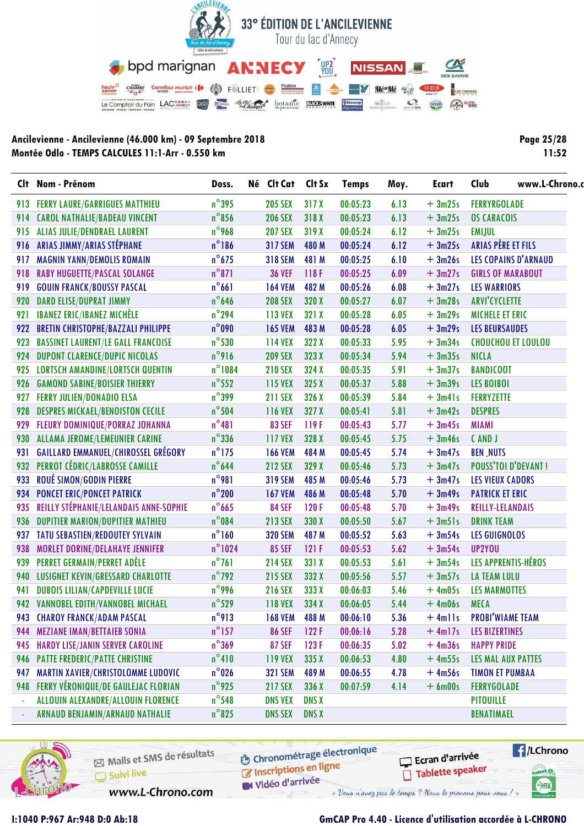

Page 25/28  $11:52$ 

|                | Clt Nom - Prénom                           | Doss.            | Né Clt Cat Clt Sx |              | <b>Temps</b> | Moy. | Ecart     | Club                       | www.L-Chrono. |
|----------------|--------------------------------------------|------------------|-------------------|--------------|--------------|------|-----------|----------------------------|---------------|
| 913            | <b>FERRY LAURE/GARRIGUES MATTHIEU</b>      | $n^{\circ}$ 395  | <b>205 SEX</b>    | 317X         | 00:05:23     | 6.13 | $+3m25s$  | <b>FERRYRGOLADE</b>        |               |
| 914            | <b>CAROL NATHALIE/BADEAU VINCENT</b>       | $n^{\circ}$ 856  | <b>206 SEX</b>    | 318 X        | 00:05:23     | 6.13 | $+3m25s$  | <b>OS CARACOIS</b>         |               |
| 915            | ALIAS JULIE/DENDRAEL LAURENT               | $n^{\circ}$ 968  | <b>207 SEX</b>    | 319 X        | 00:05:24     | 6.12 | $+3m25s$  | <b>EMIJUL</b>              |               |
| 916            | ARIAS JIMMY/ARIAS STÉPHANE                 | $n^{\circ}$ 186  | <b>317 SEM</b>    | 480 M        | 00:05:24     | 6.12 | $+3m25s$  | ARIAS PÈRE ET FILS         |               |
| 917            | <b>MAGNIN YANN/DEMOLIS ROMAIN</b>          | $n^{\circ}675$   | <b>318 SEM</b>    | 481 M        | 00:05:25     | 6.10 | $+3m26s$  | LES COPAINS D'ARNAUD       |               |
| 918            | <b>RABY HUGUETTE/PASCAL SOLANGE</b>        | $n^{\circ}871$   | <b>36 VEF</b>     | 118F         | 00:05:25     | 6.09 | $+3m27s$  | <b>GIRLS OF MARABOUT</b>   |               |
| 919            | <b>GOUIN FRANCK/BOUSSY PASCAL</b>          | $n^{\circ}661$   | <b>164 VEM</b>    | 482 M        | 00:05:26     | 6.08 | $+3m27s$  | <b>LES WARRIORS</b>        |               |
| 920            | <b>DARD ELISE/DUPRAT JIMMY</b>             | $n^{\circ}$ 646  | <b>208 SEX</b>    | 320 X        | 00:05:27     | 6.07 | $+3m28s$  | <b>ARVI'CYCLETTE</b>       |               |
| 921            | <b>IBANEZ ERIC/IBANEZ MICHÈLE</b>          | $n^{\circ}$ 294  | 113 VEX           | 321 X        | 00:05:28     | 6.05 | $+3m29s$  | <b>MICHELE ET ERIC</b>     |               |
| 922            | <b>BRETIN CHRISTOPHE/BAZZALI PHILIPPE</b>  | $n^{\circ}090$   | <b>165 VEM</b>    | 483 M        | 00:05:28     | 6.05 | $+3m29s$  | <b>LES BEURSAUDES</b>      |               |
| 923            | <b>BASSINET LAURENT/LE GALL FRANCOISE</b>  | $n^{\circ}$ 530  | <b>114 VEX</b>    | 322 X        | 00:05:33     | 5.95 | $+3m34s$  | <b>CHOUCHOU ET LOULOU</b>  |               |
| 924            | <b>DUPONT CLARENCE/DUPIC NICOLAS</b>       | n°916            | <b>209 SEX</b>    | 323 X        | 00:05:34     | 5.94 | $+3m35s$  | <b>NICLA</b>               |               |
| 925            | <b>LORTSCH AMANDINE/LORTSCH QUENTIN</b>    | $n^{\circ}1084$  | <b>210 SEX</b>    | 324 X        | 00:05:35     | 5.91 | $+3m37s$  | <b>BANDICOOT</b>           |               |
| 926            | <b>GAMOND SABINE/BOISIER THIERRY</b>       | $n^{\circ}$ 552  | 115 VEX           | 325X         | 00:05:37     | 5.88 | $+3m39s$  | <b>LES BOIBOI</b>          |               |
| 927            | <b>FERRY JULIEN/DONADIO ELSA</b>           | $n^{\circ}$ 399  | <b>211 SEX</b>    | 326 X        | 00:05:39     | 5.84 | $+3m41s$  | <b>FERRYZETTE</b>          |               |
| 928            | <b>DESPRES MICKAEL/BENOISTON CECILE</b>    | $n^{\circ}$ 504  | <b>116 VEX</b>    | 327 X        | 00:05:41     | 5.81 | $+3m42s$  | <b>DESPRES</b>             |               |
| 929            | FLEURY DOMINIQUE/PORRAZ JOHANNA            | $n^{\circ}481$   | <b>83 SEF</b>     | 119F         | 00:05:43     | 5.77 | $+3m45s$  | <b>MIAMI</b>               |               |
|                | 930 ALLAMA JEROME/LEMEUNIER CARINE         | $n^{\circ}$ 336  | <b>117 VEX</b>    | 328 X        | 00:05:45     | 5.75 | $+3m46s$  | CAND J                     |               |
| 931            | <b>GAILLARD EMMANUEL/CHIROSSEL GRÉGORY</b> | $n^{\circ}$ 175  | <b>166 VEM</b>    | 484 M        | 00:05:45     | 5.74 | $+3m47s$  | <b>BEN_NUTS</b>            |               |
| 932            | PERROT CÉDRIC/LABROSSE CAMILLE             | $n^{\circ}$ 644  | <b>212 SEX</b>    | 329 X        | 00:05:46     | 5.73 | $+3m47s$  | <b>POUSS'TOI D'DEVANT!</b> |               |
| 933            | ROUÉ SIMON/GODIN PIERRE                    | $n^{\circ}981$   | <b>319 SEM</b>    | 485 M        | 00:05:46     | 5.73 | $+3m47s$  | <b>LES VIEUX CADORS</b>    |               |
| 934            | <b>PONCET ERIC/PONCET PATRICK</b>          | $n^{\circ}$ 200  | <b>167 VEM</b>    | 486 M        | 00:05:48     | 5.70 | $+3m49s$  | <b>PATRICK ET ERIC</b>     |               |
| 935            | REILLY STÉPHANIE/LELANDAIS ANNE-SOPHIE     | $n^{\circ}$ 665  | <b>84 SEF</b>     | 120F         | 00:05:48     | 5.70 | $+3m49s$  | REILLY-LELANDAIS           |               |
| 936            | <b>DUPITIER MARION/DUPITIER MATHIEU</b>    | $n^{\circ}084$   | <b>213 SEX</b>    | 330 X        | 00:05:50     | 5.67 | $+3m51s$  | <b>DRINK TEAM</b>          |               |
| 937            | TATU SEBASTIEN/REDOUTEY SYLVAIN            | $n^{\circ}160$   | <b>320 SEM</b>    | 487 M        | 00:05:52     | 5.63 | $+3m54s$  | <b>LES GUIGNOLOS</b>       |               |
| 938            | MORLET DORINE/DELAHAYE JENNIFER            | $n^{\circ}$ 1024 | <b>85 SEF</b>     | 121F         | 00:05:53     | 5.62 | $+3m54s$  | UP2YOU                     |               |
| 939            | PERRET GERMAIN/PERRET ADÈLE                | $n^{\circ}761$   | <b>214 SEX</b>    | 331 X        | 00:05:53     | 5.61 | $+3m54s$  | LES APPRENTIS-HÉROS        |               |
| 940            | LUSIGNET KEVIN/GRESSARD CHARLOTTE          | $n^{\circ}$ 792  | <b>215 SEX</b>    | 332 X        | 00:05:56     | 5.57 | $+3m57s$  | <b>LA TEAM LULU</b>        |               |
| 941            | <b>DUBOIS LILIAN/CAPDEVILLE LUCIE</b>      | n°996            | <b>216 SEX</b>    | 333 X        | 00:06:03     | 5.46 | $+4m05s$  | <b>LES MARMOTTES</b>       |               |
|                | 942 VANNOBEL EDITH/VANNOBEL MICHAEL        | $n^{\circ}$ 529  | <b>118 VEX</b>    | 334 X        | 00:06:05     | 5.44 | $+4m06s$  | <b>MECA</b>                |               |
|                | 943 CHAROY FRANCK/ADAM PASCAL              | $n^{\circ}913$   | 168 VEM           | 488 M        | 00:06:10     | 5.36 | $+$ 4mlls | <b>PROBI'WIAME TEAM</b>    |               |
| 944            | <b>MEZIANE IMAN/BETTAIEB SONIA</b>         | $n^{\circ}$ 157  | <b>86 SEF</b>     | 122F         | 00:06:16     | 5.28 | $+4ml7s$  | <b>LES BIZERTINES</b>      |               |
| 945            | HARDY LISE/JANIN SERVER CAROLINE           | $n^{\circ}369$   | <b>87 SEF</b>     | 123F         | 00:06:35     | 5.02 | $+4m36s$  | <b>HAPPY PRIDE</b>         |               |
| 946            | PATTE FREDERIC/PATTE CHRISTINE             | $n^{\circ}410$   | <b>119 VEX</b>    | 335X         | 00:06:53     | 4.80 | $+4m55s$  | LES MAL AUX PATTES         |               |
| 947            | MARTIN XAVIER/CHRISTOLOMME LUDOVIC         | $n^{\circ}$ 026  | <b>321 SEM</b>    | 489 M        | 00:06:55     | 4.78 | $+4m56s$  | <b>TIMON ET PUMBAA</b>     |               |
| 948            | FERRY VÉRONIQUE/DE GAULEJAC FLORIAN        | $n^{\circ}$ 925  | <b>217 SEX</b>    | 336 X        | 00:07:59     | 4.14 | $+6$ m00s | <b>FERRYGOLADE</b>         |               |
| $\Box$         | ALLOUIN ALEXANDRE/ALLOUIN FLORENCE         | $n^{\circ}$ 548  | <b>DNS VEX</b>    | <b>DNS X</b> |              |      |           | <b>PITOUILLE</b>           |               |
| $\blacksquare$ | ARNAUD BENJAMIN/ARNAUD NATHALIE            | $n^{\circ}$ 825  | <b>DNS SEX</b>    | <b>DNS X</b> |              |      |           | <b>BENATIMAEL</b>          |               |



Mails et SMS de résultats Suivi live

**6** Chronométrage électronique Inscriptions en ligne

Ecran d'arrivée Tablette speaker **E**/LChrono anel <sub>VI</sub>

SHA

www.L-Chrono.com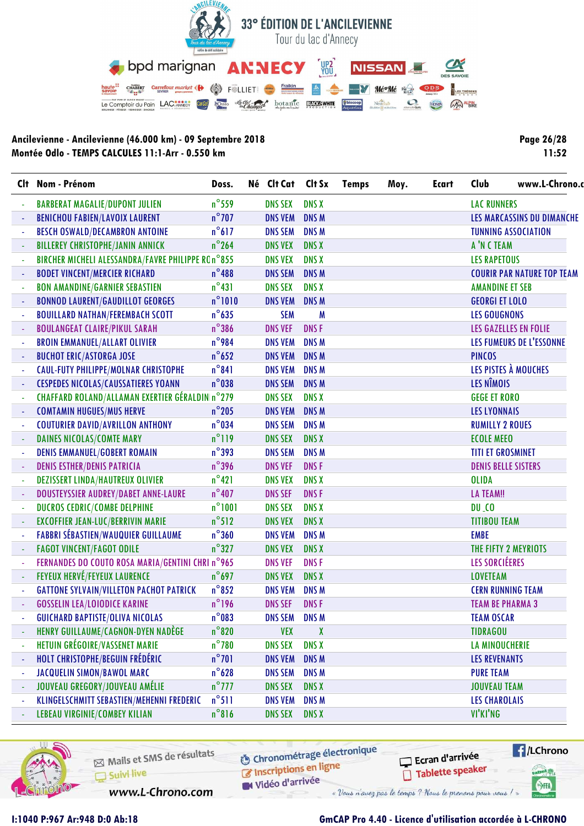

**Page 26/28 11:52**

| Clt.           | Nom - Prénom                                      | Doss.           | Né Clt Cat Clt Sx    |              | <b>Temps</b> | Moy. | <b>Ecart</b> | Club                     | www.L-Chrono.c                    |
|----------------|---------------------------------------------------|-----------------|----------------------|--------------|--------------|------|--------------|--------------------------|-----------------------------------|
|                | <b>BARBERAT MAGALIE/DUPONT JULIEN</b>             | $n^{\circ}$ 559 | <b>DNS SEX</b>       | <b>DNS X</b> |              |      |              | <b>LAC RUNNERS</b>       |                                   |
|                | <b>BENICHOU FABIEN/LAVOIX LAURENT</b>             | $n^{\circ}$ 707 | <b>DNS VEM</b>       | <b>DNSM</b>  |              |      |              |                          | LES MARCASSINS DU DIMANCHE        |
|                | <b>BESCH OSWALD/DECAMBRON ANTOINE</b>             | $n^{\circ}617$  | <b>DNS SEM</b>       | <b>DNS M</b> |              |      |              |                          | <b>TUNNING ASSOCIATION</b>        |
|                | <b>BILLEREY CHRISTOPHE/JANIN ANNICK</b>           | $n^{\circ}$ 264 | <b>DNS VEX</b>       | <b>DNS X</b> |              |      |              | A'N C TEAM               |                                   |
|                | BIRCHER MICHELI ALESSANDRA/FAVRE PHILIPPE ROn°855 |                 | <b>DNS VEX</b>       | <b>DNS X</b> |              |      |              | <b>LES RAPETOUS</b>      |                                   |
|                | <b>BODET VINCENT/MERCIER RICHARD</b>              | $n^{\circ}$ 488 | <b>DNS SEM</b>       | <b>DNSM</b>  |              |      |              |                          | <b>COURIR PAR NATURE TOP TEAM</b> |
|                | <b>BON AMANDINE/GARNIER SEBASTIEN</b>             | $n^{\circ}431$  | <b>DNS SEX</b>       | <b>DNS X</b> |              |      |              | <b>AMANDINE ET SEB</b>   |                                   |
|                | <b>BONNOD LAURENT/GAUDILLOT GEORGES</b>           | $n^{\circ}1010$ | <b>DNS VEM</b>       | <b>DNSM</b>  |              |      |              | <b>GEORGI ET LOLO</b>    |                                   |
|                | <b>BOUILLARD NATHAN/FEREMBACH SCOTT</b>           | $n^{\circ}$ 635 | <b>SEM</b>           | M            |              |      |              | <b>LES GOUGNONS</b>      |                                   |
|                | <b>BOULANGEAT CLAIRE/PIKUL SARAH</b>              | $n^{\circ}$ 386 | <b>DNS VEF</b>       | <b>DNSF</b>  |              |      |              |                          | LES GAZELLES EN FOLIE             |
|                | <b>BROIN EMMANUEL/ALLART OLIVIER</b>              | $n^{\circ}$ 984 | <b>DNS VEM</b>       | <b>DNSM</b>  |              |      |              |                          | LES FUMEURS DE L'ESSONNE          |
|                | <b>BUCHOT ERIC/ASTORGA JOSE</b>                   | $n^{\circ}$ 652 | <b>DNS VEM</b>       | <b>DNS M</b> |              |      |              | <b>PINCOS</b>            |                                   |
|                | <b>CAUL-FUTY PHILIPPE/MOLNAR CHRISTOPHE</b>       | $n^{\circ}841$  | <b>DNS VEM</b>       | <b>DNSM</b>  |              |      |              |                          | LES PISTES À MOUCHES              |
|                | <b>CESPEDES NICOLAS/CAUSSATIERES YOANN</b>        | $n^{\circ}$ 038 | <b>DNS SEM</b>       | <b>DNS M</b> |              |      |              | LES NÎMOIS               |                                   |
|                | CHAFFARD ROLAND/ALLAMAN EXERTIER GÉRALDIN n°279   |                 | <b>DNS SEX</b>       | <b>DNS X</b> |              |      |              | <b>GEGE ET RORO</b>      |                                   |
|                | <b>COMTAMIN HUGUES/MUS HERVE</b>                  | $n^{\circ}$ 205 | <b>DNS VEM</b>       | <b>DNS M</b> |              |      |              | <b>LES LYONNAIS</b>      |                                   |
|                | <b>COUTURIER DAVID/AVRILLON ANTHONY</b>           | $n^{\circ}$ 034 | <b>DNS SEM</b>       | <b>DNSM</b>  |              |      |              | <b>RUMILLY 2 ROUES</b>   |                                   |
|                | <b>DAINES NICOLAS/COMTE MARY</b>                  | $n^{\circ}119$  | <b>DNS SEX</b>       | <b>DNS X</b> |              |      |              | <b>ECOLE MEEO</b>        |                                   |
|                | <b>DENIS EMMANUEL/GOBERT ROMAIN</b>               | $n^{\circ}393$  | <b>DNS SEM</b>       | <b>DNSM</b>  |              |      |              | <b>TITI ET GROSMINET</b> |                                   |
|                | <b>DENIS ESTHER/DENIS PATRICIA</b>                | $n^{\circ}$ 396 | <b>DNS VEF</b>       | <b>DNSF</b>  |              |      |              |                          | <b>DENIS BELLE SISTERS</b>        |
|                | <b>DEZISSERT LINDA/HAUTREUX OLIVIER</b>           | $n^{\circ}421$  | <b>DNS VEX</b>       | <b>DNS X</b> |              |      |              | <b>OLIDA</b>             |                                   |
|                | DOUSTEYSSIER AUDREY/DABET ANNE-LAURE              | $n^{\circ}$ 407 | <b>DNS SEF</b>       | <b>DNSF</b>  |              |      |              | <b>LA TEAM!!</b>         |                                   |
|                | DUCROS CEDRIC/COMBE DELPHINE                      | $n^{\circ}1001$ | <b>DNS SEX</b>       | <b>DNS X</b> |              |      |              | $DU-CO$                  |                                   |
|                | EXCOFFIER JEAN-LUC/BERRIVIN MARIE                 | $n^{\circ}512$  | <b>DNS VEX</b>       | <b>DNS X</b> |              |      |              | <b>TITIBOU TEAM</b>      |                                   |
|                | <b>FABBRI SÉBASTIEN/WAUQUIER GUILLAUME</b>        | $n^{\circ}360$  | <b>DNS VEM</b>       | <b>DNS M</b> |              |      |              | <b>EMBE</b>              |                                   |
|                | <b>FAGOT VINCENT/FAGOT ODILE</b>                  | $n^{\circ}327$  | <b>DNS VEX</b>       | <b>DNS X</b> |              |      |              |                          | THE FIFTY 2 MEYRIOTS              |
|                | FERNANDES DO COUTO ROSA MARIA/GENTINI CHRI nº965  |                 | <b>DNS VEF</b>       | <b>DNSF</b>  |              |      |              | LES SORCIÉERES           |                                   |
|                | <b>FEYEUX HERVÉ/FEYEUX LAURENCE</b>               | $n^{\circ}$ 697 | <b>DNS VEX</b>       | <b>DNS X</b> |              |      |              | <b>LOVETEAM</b>          |                                   |
|                | <b>GATTONE SYLVAIN/VILLETON PACHOT PATRICK</b>    | $n^{\circ}852$  | <b>DNS VEM</b>       | <b>DNSM</b>  |              |      |              |                          | <b>CERN RUNNING TEAM</b>          |
|                | <b>GOSSELIN LEA/LOIODICE KARINE</b>               | $n^{\circ}$ 196 | <b>DNS SEF</b>       | <b>DNSF</b>  |              |      |              | <b>TEAM BE PHARMA 3</b>  |                                   |
|                | <b>GUICHARD BAPTISTE/OLIVA NICOLAS</b>            | $n^{\circ}$ 083 | <b>DNS SEM DNS M</b> |              |              |      |              | <b>TEAM OSCAR</b>        |                                   |
|                | HENRY GUILLAUME/CAGNON-DYEN NADÈGE                | $n^{\circ}820$  | <b>VEX</b>           | X            |              |      |              | <b>TIDRAGOU</b>          |                                   |
|                | HETUIN GRÉGOIRE/VASSENET MARIE                    | $n^{\circ}$ 780 | <b>DNS SEX</b>       | <b>DNS X</b> |              |      |              | LA MINOUCHERIE           |                                   |
|                | HOLT CHRISTOPHE/BEGUIN FRÉDÉRIC                   | $n^{\circ}$ 701 | <b>DNS VEM</b>       | DNS M        |              |      |              | <b>LES REVENANTS</b>     |                                   |
| ÷,             | <b>JACQUELIN SIMON/BAWOL MARC</b>                 | $n^{\circ}$ 628 | <b>DNS SEM</b>       | <b>DNS M</b> |              |      |              | <b>PURE TEAM</b>         |                                   |
| $\blacksquare$ | JOUVEAU GREGORY/JOUVEAU AMÉLIE                    | $n^{\circ}$ 777 | <b>DNS SEX</b>       | <b>DNS X</b> |              |      |              | <b>JOUVEAU TEAM</b>      |                                   |
| $\blacksquare$ | KLINGELSCHMITT SEBASTIEN/MEHENNI FREDERIC         | $n^{\circ}511$  | <b>DNS VEM</b>       | DNS M        |              |      |              | <b>LES CHAROLAIS</b>     |                                   |
| $\blacksquare$ | <b>LEBEAU VIRGINIE/COMBEY KILIAN</b>              | $n^{\circ}816$  | <b>DNS SEX</b>       | <b>DNS X</b> |              |      |              | VI'KI'NG                 |                                   |
|                |                                                   |                 |                      |              |              |      |              |                          |                                   |



Mails et SMS de résultats  $\Box$  Suivi live

**6** Chronométrage électronique Inscriptions en ligne

W Vidéo d'arrivée

www.L-Chrono.com

« Vous n'avez pas le temps ? Nous le prenons pour vous !

#### **I:1040 P:967 Ar:948 D:0 Ab:18 GmCAP Pro 4.40 - Licence d'utilisation accordée à L-CHRONO**

Ecran d'arrivée

Tablette speaker

**E**/LChrono

anel W

SHA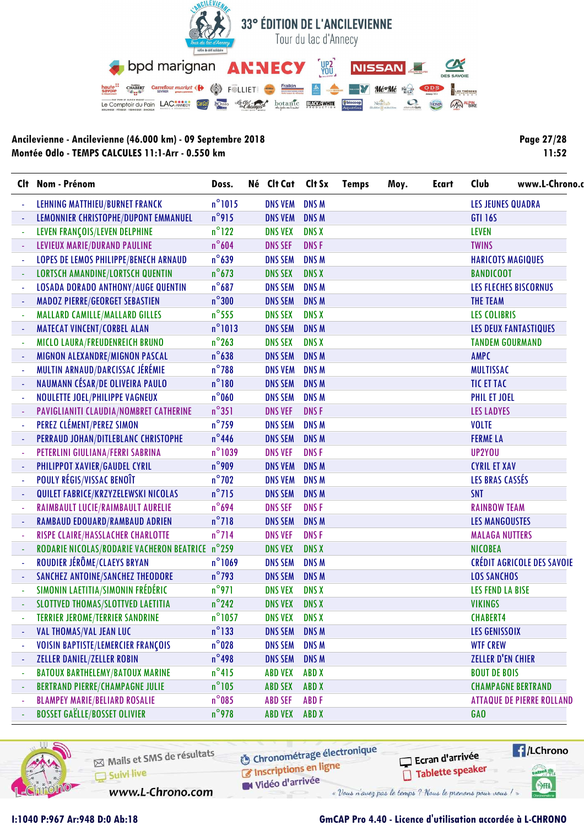

**Page 27/28 11:52**

|                          | Clt Nom - Prénom                                | Doss.            | Né Clt Cat           | Clt Sx       | <b>Temps</b> | Moy. | <b>Ecart</b> | Club                    | www.L-Chrono.c                    |
|--------------------------|-------------------------------------------------|------------------|----------------------|--------------|--------------|------|--------------|-------------------------|-----------------------------------|
|                          | LEHNING MATTHIEU/BURNET FRANCK                  | $n^{\circ}$ 1015 | <b>DNS VEM</b>       | <b>DNSM</b>  |              |      |              |                         | <b>LES JEUNES QUADRA</b>          |
|                          | LEMONNIER CHRISTOPHE/DUPONT EMMANUEL            | $n^{\circ}$ 915  | <b>DNS VEM</b>       | <b>DNSM</b>  |              |      |              | <b>GTI 16S</b>          |                                   |
|                          | LEVEN FRANÇOIS/LEVEN DELPHINE                   | $n^{\circ}122$   | <b>DNS VEX</b>       | <b>DNS X</b> |              |      |              | <b>LEVEN</b>            |                                   |
|                          | LEVIEUX MARIE/DURAND PAULINE                    | $n^{\circ}604$   | <b>DNS SEF</b>       | <b>DNSF</b>  |              |      |              | <b>TWINS</b>            |                                   |
|                          | LOPES DE LEMOS PHILIPPE/BENECH ARNAUD           | $n^{\circ}639$   | <b>DNS SEM</b>       | <b>DNSM</b>  |              |      |              |                         | <b>HARICOTS MAGIQUES</b>          |
|                          | <b>LORTSCH AMANDINE/LORTSCH QUENTIN</b>         | $n^{\circ}$ 673  | <b>DNS SEX</b>       | <b>DNS X</b> |              |      |              | <b>BANDICOOT</b>        |                                   |
|                          | <b>LOSADA DORADO ANTHONY/AUGE QUENTIN</b>       | $n^{\circ}687$   | <b>DNS SEM</b>       | <b>DNSM</b>  |              |      |              |                         | <b>LES FLECHES BISCORNUS</b>      |
|                          | MADOZ PIERRE/GEORGET SEBASTIEN                  | $n^{\circ}300$   | <b>DNS SEM</b>       | <b>DNSM</b>  |              |      |              | <b>THE TEAM</b>         |                                   |
|                          | MALLARD CAMILLE/MALLARD GILLES                  | $n^{\circ}$ 555  | <b>DNS SEX</b>       | <b>DNS X</b> |              |      |              | <b>LES COLIBRIS</b>     |                                   |
|                          | <b>MATECAT VINCENT/CORBEL ALAN</b>              | $n^{\circ}1013$  | <b>DNS SEM</b>       | <b>DNSM</b>  |              |      |              |                         | <b>LES DEUX FANTASTIQUES</b>      |
|                          | MICLO LAURA/FREUDENREICH BRUNO                  | $n^{\circ}$ 263  | <b>DNS SEX</b>       | <b>DNS X</b> |              |      |              |                         | <b>TANDEM GOURMAND</b>            |
|                          | MIGNON ALEXANDRE/MIGNON PASCAL                  | $n^{\circ}$ 638  | <b>DNS SEM</b>       | <b>DNSM</b>  |              |      |              | <b>AMPC</b>             |                                   |
|                          | MULTIN ARNAUD/DARCISSAC JÉRÉMIE                 | $n^{\circ}788$   | <b>DNS VEM</b>       | <b>DNSM</b>  |              |      |              | <b>MULTISSAC</b>        |                                   |
|                          | NAUMANN CÉSAR/DE OLIVEIRA PAULO                 | $n^{\circ}180$   | <b>DNS SEM</b>       | <b>DNS M</b> |              |      |              | TIC ET TAC              |                                   |
|                          | NOULETTE JOEL/PHILIPPE VAGNEUX                  | $n^{\circ}$ 060  | <b>DNS SEM</b>       | <b>DNSM</b>  |              |      |              | PHIL ET JOEL            |                                   |
|                          | PAVIGLIANITI CLAUDIA/NOMBRET CATHERINE          | $n^{\circ}351$   | <b>DNS VEF</b>       | <b>DNSF</b>  |              |      |              | <b>LES LADYES</b>       |                                   |
|                          | PEREZ CLÉMENT/PEREZ SIMON                       | $n^{\circ}$ 759  | <b>DNS SEM</b>       | <b>DNS M</b> |              |      |              | <b>VOLTE</b>            |                                   |
|                          | PERRAUD JOHAN/DITLEBLANC CHRISTOPHE             | $n^{\circ}$ 446  | <b>DNS SEM</b>       | <b>DNS M</b> |              |      |              | <b>FERME LA</b>         |                                   |
|                          | PETERLINI GIULIANA/FERRI SABRINA                | $n^{\circ}$ 1039 | <b>DNS VEF</b>       | <b>DNSF</b>  |              |      |              | UP2YOU                  |                                   |
|                          | <b>PHILIPPOT XAVIER/GAUDEL CYRIL</b>            | $n^{\circ}$ 909  | <b>DNS VEM</b>       | <b>DNSM</b>  |              |      |              | <b>CYRIL ET XAV</b>     |                                   |
|                          | POULY RÉGIS/VISSAC BENOÎT                       | $n^{\circ}$ 702  | <b>DNS VEM</b>       | <b>DNSM</b>  |              |      |              | LES BRAS CASSÉS         |                                   |
|                          | QUILET FABRICE/KRZYZELEWSKI NICOLAS             | $n^{\circ}$ 715  | <b>DNS SEM</b>       | <b>DNS M</b> |              |      |              | <b>SNT</b>              |                                   |
|                          | RAIMBAULT LUCIE/RAIMBAULT AURELIE               | $n^{\circ}694$   | <b>DNS SEF</b>       | <b>DNSF</b>  |              |      |              | <b>RAINBOW TEAM</b>     |                                   |
|                          | RAMBAUD EDOUARD/RAMBAUD ADRIEN                  | $n^{\circ}718$   | <b>DNS SEM</b>       | <b>DNS M</b> |              |      |              | <b>LES MANGOUSTES</b>   |                                   |
|                          | RISPE CLAIRE/HASSLACHER CHARLOTTE               | $n^{\circ}$ 714  | <b>DNS VEF</b>       | <b>DNSF</b>  |              |      |              | <b>MALAGA NUTTERS</b>   |                                   |
|                          | RODARIE NICOLAS/RODARIE VACHERON BEATRICE n°259 |                  | <b>DNS VEX</b>       | <b>DNS X</b> |              |      |              | <b>NICOBEA</b>          |                                   |
|                          | ROUDIER JÉRÔME/CLAEYS BRYAN                     | $n^{\circ}1069$  | <b>DNS SEM</b>       | <b>DNSM</b>  |              |      |              |                         | <b>CRÉDIT AGRICOLE DES SAVOIE</b> |
|                          | SANCHEZ ANTOINE/SANCHEZ THEODORE                | $n^{\circ}$ 793  | <b>DNS SEM</b>       | <b>DNSM</b>  |              |      |              | <b>LOS SANCHOS</b>      |                                   |
|                          | SIMONIN LAETITIA/SIMONIN FRÉDÉRIC               | $n^{\circ}$ 971  | <b>DNS VEX</b>       | <b>DNS X</b> |              |      |              | <b>LES FEND LA BISE</b> |                                   |
|                          | <b>SLOTTVED THOMAS/SLOTTVED LAETITIA</b>        | $n^{\circ}$ 242  | <b>DNS VEX</b>       | <b>DNS X</b> |              |      |              | <b>VIKINGS</b>          |                                   |
|                          | <b>TERRIER JEROME/TERRIER SANDRINE</b>          | $n^{\circ}$ 1057 | <b>DNS VEX</b>       | <b>DNS X</b> |              |      |              | <b>CHABERT4</b>         |                                   |
|                          | VAL THOMAS/VAL JEAN LUC                         | $n^{\circ}$ 133  | <b>DNS SEM</b>       | DNS M        |              |      |              | <b>LES GENISSOIX</b>    |                                   |
|                          | <b>VOISIN BAPTISTE/LEMERCIER FRANÇOIS</b>       | $n^{\circ}$ 028  | <b>DNS SEM</b>       | <b>DNSM</b>  |              |      |              | <b>WTF CREW</b>         |                                   |
| ÷,                       | <b>ZELLER DANIEL/ZELLER ROBIN</b>               | $n^{\circ}$ 498  | <b>DNS SEM</b>       | DNS M        |              |      |              |                         | <b>ZELLER D'EN CHIER</b>          |
| $\overline{\phantom{a}}$ | <b>BATOUX BARTHELEMY/BATOUX MARINE</b>          | $n^{\circ}415$   | <b>ABD VEX</b>       | <b>ABD X</b> |              |      |              | <b>BOUT DE BOIS</b>     |                                   |
|                          | <b>BERTRAND PIERRE/CHAMPAGNE JULIE</b>          | $n^{\circ}105$   | <b>ABD SEX</b>       | <b>ABDX</b>  |              |      |              |                         | <b>CHAMPAGNE BERTRAND</b>         |
|                          | <b>BLAMPEY MARIE/BELIARD ROSALIE</b>            | $n^{\circ}085$   | <b>ABD SEF</b>       | <b>ABDF</b>  |              |      |              |                         | <b>ATTAQUE DE PIERRE ROLLAND</b>  |
|                          | <b>BOSSET GAËLLE/BOSSET OLIVIER</b>             | $n^{\circ}$ 978  | <b>ABD VEX ABD X</b> |              |              |      |              | <b>GAO</b>              |                                   |



Mails et SMS de résultats  $\Box$  Suivi live

www.L-Chrono.com

**6** Chronométrage électronique Inscriptions en ligne W Vidéo d'arrivée

Tablette speaker

**E**/LChrono Ecran d'arrivée



#### **I:1040 P:967 Ar:948 D:0 Ab:18 GmCAP Pro 4.40 - Licence d'utilisation accordée à L-CHRONO**